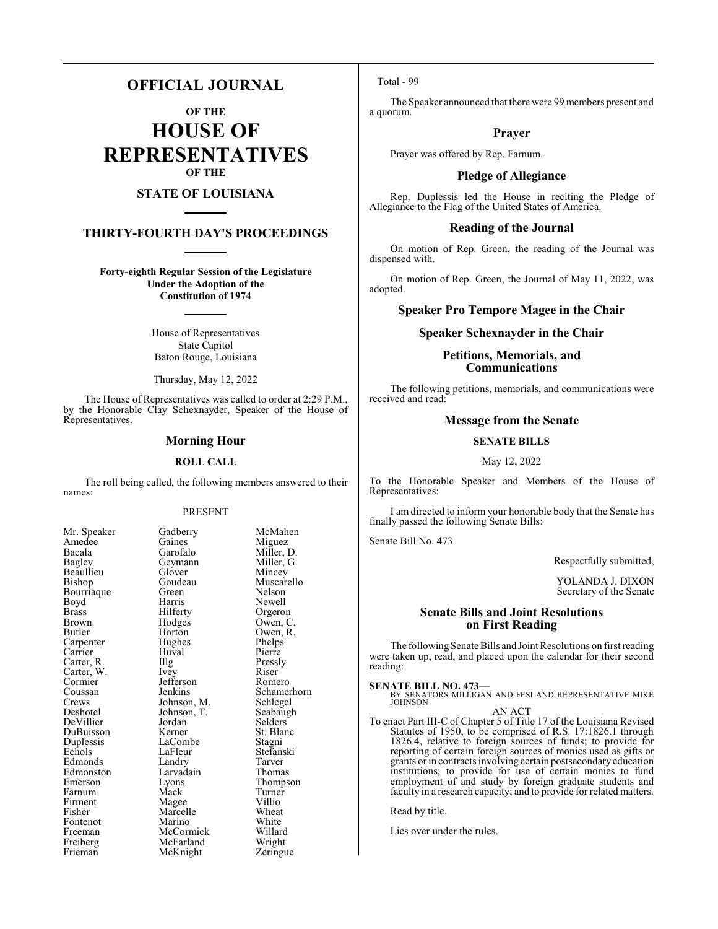# **OFFICIAL JOURNAL**

**OF THE**

**HOUSE OF REPRESENTATIVES OF THE**

# **STATE OF LOUISIANA**

# **THIRTY-FOURTH DAY'S PROCEEDINGS**

**Forty-eighth Regular Session of the Legislature Under the Adoption of the Constitution of 1974**

> House of Representatives State Capitol Baton Rouge, Louisiana

Thursday, May 12, 2022

The House of Representatives was called to order at 2:29 P.M., by the Honorable Clay Schexnayder, Speaker of the House of Representatives.

### **Morning Hour**

#### **ROLL CALL**

The roll being called, the following members answered to their names:

### PRESENT

Amedee Gaines<br>Bacala Garofalo Beaullieu Glover<br>Bishop Goudeau Bourriaque Green<br>Boyd Harris Cormier Jefferson<br>Coussan Jenkins Duplessis LaComb<br>Echols LaFleur Edmonston Larvadain<br>Emerson Lyons

Mr. Speaker Gadberry McMahen<br>Amedee Gaines Miguez Bacala Garofalo Miller, D.<br>Bagley Geymann Miller, G. Geymann Miller, G.<br>Glover Mincey Goudeau Muscarello<br>Green Nelson Boyd Harris Newell<br>Brass Hilferty Orgero Brass Hilferty Orgeron<br>Brown Hodges Owen, C Brown Hodges Owen, C. Horton Owen, R.<br>Hughes Phelps Carpenter Hughes Phelps<br>
Carrier Huval Pierre Carrier Huval Pierre<br>Carter, R. Illg Pressly Carter, R. Illg Pressl<br>Carter, W. Ivey Riser Carter, W. Ivey Riser Riser<br>
Cormier Jefferson Romero Coussan Jenkins Schamerhorn<br>Crews Johnson, M. Schlegel Crews Johnson, M. Schlegel<br>Deshotel Johnson, T. Seabaugh Johnson, T. Seabaughten Selders DeVillier Jordan Selders<br>DuBuisson Kerner St. Blanc DuBuisson Kerner St. Blanc<br>Duplessis LaCombe Stagni LaFleur Stefanski<br>Landry Tarver Edmonds Landry Tarver<br>
Edmonston Larvadain Thomas Eyons Thompson<br>
Mack Turner Farnum Mack Turner<br>Firment Magee Villio Firment Magee Villio<br>Fisher Marcelle Wheat Marcelle Wheat<br>
Marino White Fontenot Marino White<br>
Freeman McCormick Willard Freeman McCormick Willard<br>
Freiberg McFarland Wright Freiberg McFarland Wright<br>
Frieman McKnight Zeringue McKnight

Total - 99

The Speaker announced that there were 99 members present and a quorum.

# **Prayer**

Prayer was offered by Rep. Farnum.

#### **Pledge of Allegiance**

Rep. Duplessis led the House in reciting the Pledge of Allegiance to the Flag of the United States of America.

### **Reading of the Journal**

On motion of Rep. Green, the reading of the Journal was dispensed with.

On motion of Rep. Green, the Journal of May 11, 2022, was adopted.

# **Speaker Pro Tempore Magee in the Chair**

### **Speaker Schexnayder in the Chair**

# **Petitions, Memorials, and Communications**

The following petitions, memorials, and communications were received and read:

# **Message from the Senate**

#### **SENATE BILLS**

May 12, 2022

To the Honorable Speaker and Members of the House of Representatives:

I am directed to inform your honorable body that the Senate has finally passed the following Senate Bills:

Senate Bill No. 473

Respectfully submitted,

YOLANDA J. DIXON Secretary of the Senate

# **Senate Bills and Joint Resolutions on First Reading**

The following Senate Bills and Joint Resolutions on first reading were taken up, read, and placed upon the calendar for their second reading:

**SENATE BILL NO. 473—**<br>BY SENATORS MILLIGAN AND FESI AND REPRESENTATIVE MIKE<br>JOHNSON

#### AN ACT

To enact Part III-C of Chapter 5 of Title 17 of the Louisiana Revised Statutes of 1950, to be comprised of R.S. 17:1826.1 through 1826.4, relative to foreign sources of funds; to provide for reporting of certain foreign sources of monies used as gifts or grants or in contracts involving certain postsecondary education institutions; to provide for use of certain monies to fund employment of and study by foreign graduate students and faculty in a research capacity; and to provide for related matters.

Read by title.

Lies over under the rules.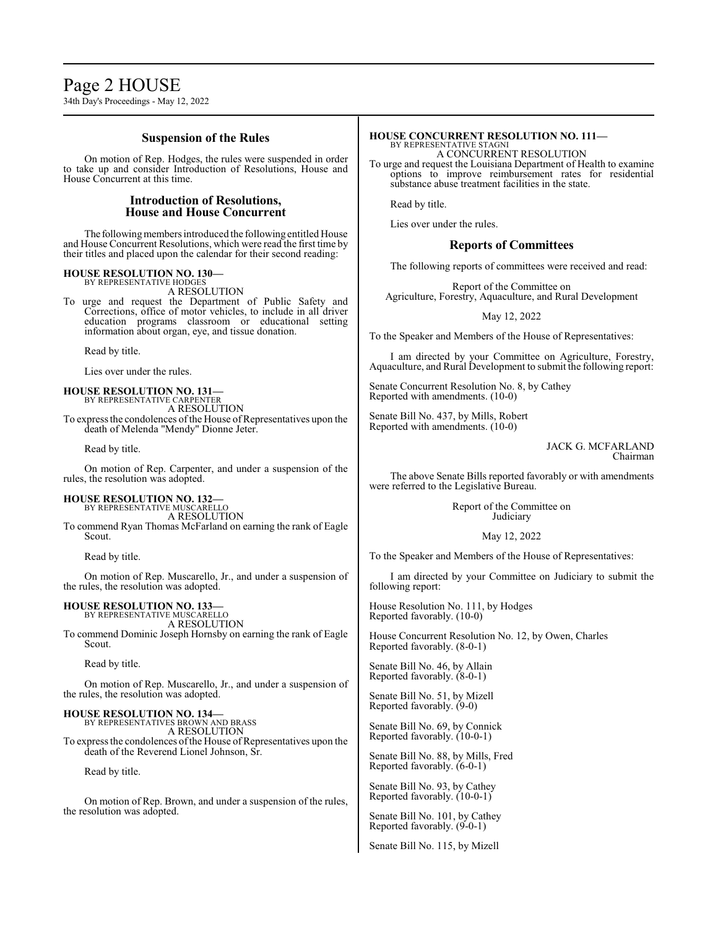# Page 2 HOUSE

34th Day's Proceedings - May 12, 2022

# **Suspension of the Rules**

On motion of Rep. Hodges, the rules were suspended in order to take up and consider Introduction of Resolutions, House and House Concurrent at this time.

# **Introduction of Resolutions, House and House Concurrent**

The following members introduced the following entitled House and House Concurrent Resolutions, which were read the first time by their titles and placed upon the calendar for their second reading:

# **HOUSE RESOLUTION NO. 130—** BY REPRESENTATIVE HODGES

A RESOLUTION

To urge and request the Department of Public Safety and Corrections, office of motor vehicles, to include in all driver education programs classroom or educational setting information about organ, eye, and tissue donation.

Read by title.

Lies over under the rules.

# **HOUSE RESOLUTION NO. 131—** BY REPRESENTATIVE CARPENTER

A RESOLUTION To express the condolences of the House of Representatives upon the death of Melenda "Mendy" Dionne Jeter.

Read by title.

On motion of Rep. Carpenter, and under a suspension of the rules, the resolution was adopted.

#### **HOUSE RESOLUTION NO. 132—** BY REPRESENTATIVE MUSCARELLO

A RESOLUTION

To commend Ryan Thomas McFarland on earning the rank of Eagle Scout.

Read by title.

On motion of Rep. Muscarello, Jr., and under a suspension of the rules, the resolution was adopted.

# **HOUSE RESOLUTION NO. 133**

BY REPRESENTATIVE MUSCARELLO A RESOLUTION To commend Dominic Joseph Hornsby on earning the rank of Eagle Scout.

Read by title.

On motion of Rep. Muscarello, Jr., and under a suspension of the rules, the resolution was adopted.

**HOUSE RESOLUTION NO. 134—** BY REPRESENTATIVES BROWN AND BRASS A RESOLUTION

To express the condolences of the House of Representatives upon the death of the Reverend Lionel Johnson, Sr.

Read by title.

On motion of Rep. Brown, and under a suspension of the rules, the resolution was adopted.

#### **HOUSE CONCURRENT RESOLUTION NO. 111—** BY REPRESENTATIVE STAGNI

A CONCURRENT RESOLUTION

To urge and request the Louisiana Department of Health to examine options to improve reimbursement rates for residential substance abuse treatment facilities in the state.

Read by title.

Lies over under the rules.

# **Reports of Committees**

The following reports of committees were received and read:

Report of the Committee on Agriculture, Forestry, Aquaculture, and Rural Development

May 12, 2022

To the Speaker and Members of the House of Representatives:

I am directed by your Committee on Agriculture, Forestry, Aquaculture, and Rural Development to submit the following report:

Senate Concurrent Resolution No. 8, by Cathey Reported with amendments. (10-0)

Senate Bill No. 437, by Mills, Robert Reported with amendments. (10-0)

> JACK G. MCFARLAND Chairman

The above Senate Bills reported favorably or with amendments were referred to the Legislative Bureau.

> Report of the Committee on **Judiciary**

#### May 12, 2022

To the Speaker and Members of the House of Representatives:

I am directed by your Committee on Judiciary to submit the following report:

House Resolution No. 111, by Hodges Reported favorably. (10-0)

House Concurrent Resolution No. 12, by Owen, Charles Reported favorably. (8-0-1)

Senate Bill No. 46, by Allain Reported favorably. (8-0-1)

Senate Bill No. 51, by Mizell Reported favorably. (9-0)

Senate Bill No. 69, by Connick Reported favorably. (10-0-1)

Senate Bill No. 88, by Mills, Fred Reported favorably. (6-0-1)

Senate Bill No. 93, by Cathey Reported favorably. (10-0-1)

Senate Bill No. 101, by Cathey Reported favorably. (9-0-1)

Senate Bill No. 115, by Mizell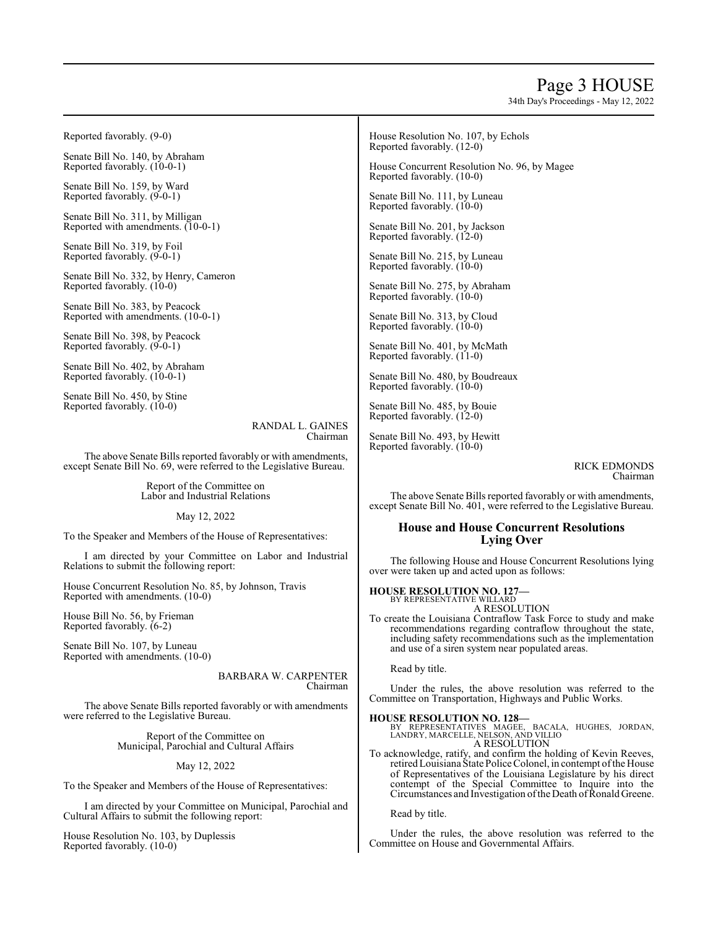# Page 3 HOUSE

34th Day's Proceedings - May 12, 2022

Reported favorably. (9-0)

Senate Bill No. 140, by Abraham Reported favorably. (10-0-1)

Senate Bill No. 159, by Ward Reported favorably. (9-0-1)

Senate Bill No. 311, by Milligan Reported with amendments. (10-0-1)

Senate Bill No. 319, by Foil Reported favorably. (9-0-1)

Senate Bill No. 332, by Henry, Cameron Reported favorably. (10-0)

Senate Bill No. 383, by Peacock Reported with amendments. (10-0-1)

Senate Bill No. 398, by Peacock Reported favorably. (9-0-1)

Senate Bill No. 402, by Abraham Reported favorably. (10-0-1)

Senate Bill No. 450, by Stine Reported favorably. (10-0)

> RANDAL L. GAINES Chairman

The above Senate Bills reported favorably or with amendments, except Senate Bill No. 69, were referred to the Legislative Bureau.

> Report of the Committee on Labor and Industrial Relations

> > May 12, 2022

To the Speaker and Members of the House of Representatives:

I am directed by your Committee on Labor and Industrial Relations to submit the following report:

House Concurrent Resolution No. 85, by Johnson, Travis Reported with amendments. (10-0)

House Bill No. 56, by Frieman Reported favorably. (6-2)

Senate Bill No. 107, by Luneau Reported with amendments. (10-0)

> BARBARA W. CARPENTER Chairman

The above Senate Bills reported favorably or with amendments were referred to the Legislative Bureau.

> Report of the Committee on Municipal, Parochial and Cultural Affairs

#### May 12, 2022

To the Speaker and Members of the House of Representatives:

I am directed by your Committee on Municipal, Parochial and Cultural Affairs to submit the following report:

House Resolution No. 103, by Duplessis Reported favorably. (10-0)

House Resolution No. 107, by Echols Reported favorably. (12-0)

House Concurrent Resolution No. 96, by Magee Reported favorably. (10-0)

Senate Bill No. 111, by Luneau Reported favorably. (10-0)

Senate Bill No. 201, by Jackson Reported favorably. (12-0)

Senate Bill No. 215, by Luneau Reported favorably. (10-0)

Senate Bill No. 275, by Abraham Reported favorably. (10-0)

Senate Bill No. 313, by Cloud Reported favorably. (10-0)

Senate Bill No. 401, by McMath Reported favorably. (11-0)

Senate Bill No. 480, by Boudreaux Reported favorably. (10-0)

Senate Bill No. 485, by Bouie Reported favorably. (12-0)

Senate Bill No. 493, by Hewitt Reported favorably. (10-0)

> RICK EDMONDS Chairman

The above Senate Bills reported favorably or with amendments, except Senate Bill No. 401, were referred to the Legislative Bureau.

# **House and House Concurrent Resolutions Lying Over**

The following House and House Concurrent Resolutions lying over were taken up and acted upon as follows:

**HOUSE RESOLUTION NO. 127—**

BY REPRESENTATIVE WILLARD A RESOLUTION

To create the Louisiana Contraflow Task Force to study and make recommendations regarding contraflow throughout the state, including safety recommendations such as the implementation and use of a siren system near populated areas.

Read by title.

Under the rules, the above resolution was referred to the Committee on Transportation, Highways and Public Works.

**HOUSE RESOLUTION NO. 128—**<br>BY REPRESENTATIVES MAGGEE, BACALA, HUGHES, JORDAN,<br>LANDRY, MARCELLE, NELSON, AND VILLIO<br>A RESOLUTION

To acknowledge, ratify, and confirm the holding of Kevin Reeves, retired Louisiana State Police Colonel, in contempt of the House of Representatives of the Louisiana Legislature by his direct contempt of the Special Committee to Inquire into the Circumstances and Investigation of the Death of Ronald Greene.

Read by title.

Under the rules, the above resolution was referred to the Committee on House and Governmental Affairs.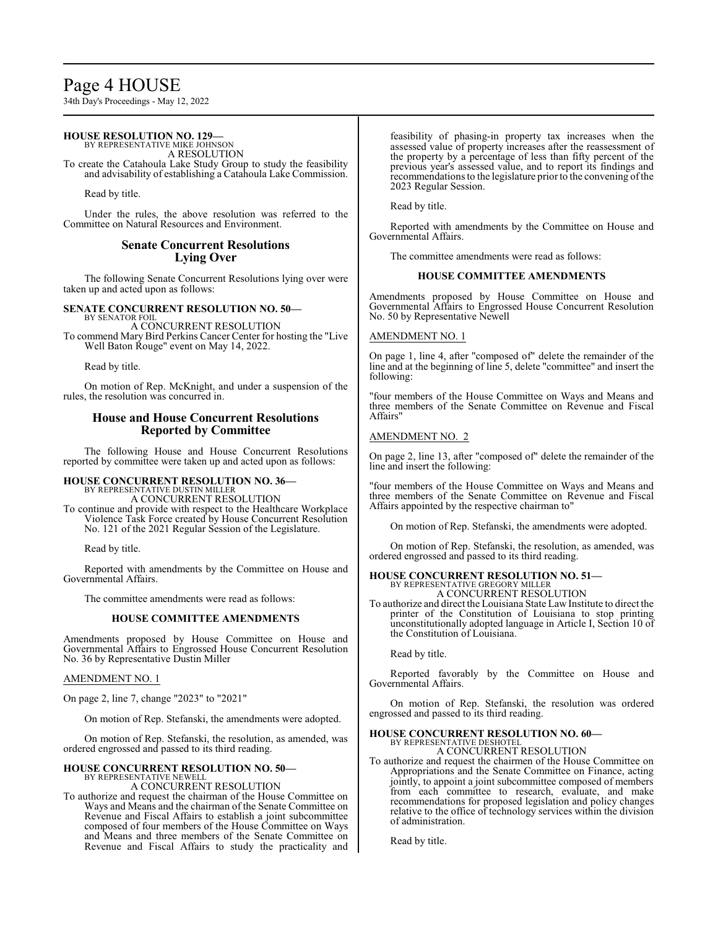# Page 4 HOUSE

34th Day's Proceedings - May 12, 2022

# **HOUSE RESOLUTION NO. 129—**

BY REPRESENTATIVE MIKE JOHNSON A RESOLUTION

To create the Catahoula Lake Study Group to study the feasibility and advisability of establishing a Catahoula Lake Commission.

Read by title.

Under the rules, the above resolution was referred to the Committee on Natural Resources and Environment.

# **Senate Concurrent Resolutions Lying Over**

The following Senate Concurrent Resolutions lying over were taken up and acted upon as follows:

#### **SENATE CONCURRENT RESOLUTION NO. 50—** BY SENATOR FOIL

A CONCURRENT RESOLUTION To commend Mary Bird Perkins Cancer Center for hosting the "Live Well Baton Rouge" event on May 14, 2022.

Read by title.

On motion of Rep. McKnight, and under a suspension of the rules, the resolution was concurred in.

# **House and House Concurrent Resolutions Reported by Committee**

The following House and House Concurrent Resolutions reported by committee were taken up and acted upon as follows:

# **HOUSE CONCURRENT RESOLUTION NO. 36—** BY REPRESENTATIVE DUSTIN MILLER A CONCURRENT RESOLUTION

To continue and provide with respect to the Healthcare Workplace Violence Task Force created by House Concurrent Resolution No. 121 of the 2021 Regular Session of the Legislature.

Read by title.

Reported with amendments by the Committee on House and Governmental Affairs.

The committee amendments were read as follows:

# **HOUSE COMMITTEE AMENDMENTS**

Amendments proposed by House Committee on House and Governmental Affairs to Engrossed House Concurrent Resolution No. 36 by Representative Dustin Miller

# AMENDMENT NO. 1

On page 2, line 7, change "2023" to "2021"

On motion of Rep. Stefanski, the amendments were adopted.

On motion of Rep. Stefanski, the resolution, as amended, was ordered engrossed and passed to its third reading.

# **HOUSE CONCURRENT RESOLUTION NO. 50—** BY REPRESENTATIVE NEWELL

A CONCURRENT RESOLUTION

To authorize and request the chairman of the House Committee on Ways and Means and the chairman of the Senate Committee on Revenue and Fiscal Affairs to establish a joint subcommittee composed of four members of the House Committee on Ways and Means and three members of the Senate Committee on Revenue and Fiscal Affairs to study the practicality and

feasibility of phasing-in property tax increases when the assessed value of property increases after the reassessment of the property by a percentage of less than fifty percent of the previous year's assessed value, and to report its findings and recommendations to the legislature prior to the convening of the 2023 Regular Session.

Read by title.

Reported with amendments by the Committee on House and Governmental Affairs.

The committee amendments were read as follows:

# **HOUSE COMMITTEE AMENDMENTS**

Amendments proposed by House Committee on House and Governmental Affairs to Engrossed House Concurrent Resolution No. 50 by Representative Newell

# AMENDMENT NO. 1

On page 1, line 4, after "composed of" delete the remainder of the line and at the beginning of line 5, delete "committee" and insert the following:

"four members of the House Committee on Ways and Means and three members of the Senate Committee on Revenue and Fiscal Affairs"

# AMENDMENT NO. 2

On page 2, line 13, after "composed of" delete the remainder of the line and insert the following:

"four members of the House Committee on Ways and Means and three members of the Senate Committee on Revenue and Fiscal Affairs appointed by the respective chairman to"

On motion of Rep. Stefanski, the amendments were adopted.

On motion of Rep. Stefanski, the resolution, as amended, was ordered engrossed and passed to its third reading.

#### **HOUSE CONCURRENT RESOLUTION NO. 51—** BY REPRESENTATIVE GREGORY MILLER A CONCURRENT RESOLUTION

To authorize and direct the Louisiana State Law Institute to direct the printer of the Constitution of Louisiana to stop printing unconstitutionally adopted language in Article I, Section 10 of the Constitution of Louisiana.

Read by title.

Reported favorably by the Committee on House and Governmental Affairs.

On motion of Rep. Stefanski, the resolution was ordered engrossed and passed to its third reading.

#### **HOUSE CONCURRENT RESOLUTION NO. 60—** BY REPRESENTATIVE DESHOTEL

A CONCURRENT RESOLUTION

To authorize and request the chairmen of the House Committee on Appropriations and the Senate Committee on Finance, acting jointly, to appoint a joint subcommittee composed of members from each committee to research, evaluate, and make recommendations for proposed legislation and policy changes relative to the office of technology services within the division of administration.

Read by title.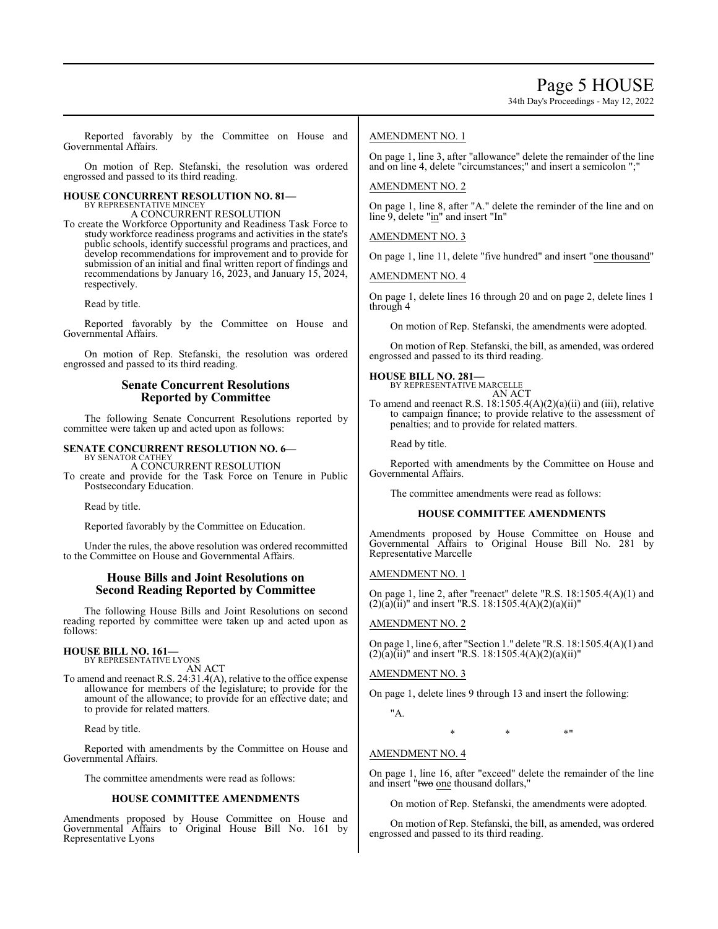34th Day's Proceedings - May 12, 2022

Reported favorably by the Committee on House and Governmental Affairs.

On motion of Rep. Stefanski, the resolution was ordered engrossed and passed to its third reading.

# **HOUSE CONCURRENT RESOLUTION NO. 81—** BY REPRESENTATIVE MINCEY

A CONCURRENT RESOLUTION

To create the Workforce Opportunity and Readiness Task Force to study workforce readiness programs and activities in the state's public schools, identify successful programs and practices, and develop recommendations for improvement and to provide for submission of an initial and final written report of findings and recommendations by January 16, 2023, and January 15, 2024, respectively.

Read by title.

Reported favorably by the Committee on House and Governmental Affairs.

On motion of Rep. Stefanski, the resolution was ordered engrossed and passed to its third reading.

# **Senate Concurrent Resolutions Reported by Committee**

The following Senate Concurrent Resolutions reported by committee were taken up and acted upon as follows:

# **SENATE CONCURRENT RESOLUTION NO. 6—**

BY SENATOR CATHEY A CONCURRENT RESOLUTION To create and provide for the Task Force on Tenure in Public Postsecondary Education.

Read by title.

Reported favorably by the Committee on Education.

Under the rules, the above resolution was ordered recommitted to the Committee on House and Governmental Affairs.

# **House Bills and Joint Resolutions on Second Reading Reported by Committee**

The following House Bills and Joint Resolutions on second reading reported by committee were taken up and acted upon as follows:

# **HOUSE BILL NO. 161—** BY REPRESENTATIVE LYONS

AN ACT

To amend and reenact R.S. 24:31.4(A), relative to the office expense allowance for members of the legislature; to provide for the amount of the allowance; to provide for an effective date; and to provide for related matters.

Read by title.

Reported with amendments by the Committee on House and Governmental Affairs.

The committee amendments were read as follows:

# **HOUSE COMMITTEE AMENDMENTS**

Amendments proposed by House Committee on House and Governmental Affairs to Original House Bill No. 161 by Representative Lyons

# AMENDMENT NO. 1

On page 1, line 3, after "allowance" delete the remainder of the line and on line 4, delete "circumstances;" and insert a semicolon ";

# AMENDMENT NO. 2

On page 1, line 8, after "A." delete the reminder of the line and on line 9, delete "in" and insert "In"

AMENDMENT NO. 3

On page 1, line 11, delete "five hundred" and insert "one thousand"

AMENDMENT NO. 4

On page 1, delete lines 16 through 20 and on page 2, delete lines 1 through 4

On motion of Rep. Stefanski, the amendments were adopted.

On motion of Rep. Stefanski, the bill, as amended, was ordered engrossed and passed to its third reading.

#### **HOUSE BILL NO. 281—** BY REPRESENTATIVE MARCELLE

AN ACT To amend and reenact R.S. 18:1505.4(A)(2)(a)(ii) and (iii), relative to campaign finance; to provide relative to the assessment of penalties; and to provide for related matters.

Read by title.

Reported with amendments by the Committee on House and Governmental Affairs.

The committee amendments were read as follows:

#### **HOUSE COMMITTEE AMENDMENTS**

Amendments proposed by House Committee on House and Governmental Affairs to Original House Bill No. 281 by Representative Marcelle

#### AMENDMENT NO. 1

On page 1, line 2, after "reenact" delete "R.S. 18:1505.4(A)(1) and  $(2)(a)(ii)$ " and insert "R.S. 18:1505.4(A)(2)(a)(ii)"

# AMENDMENT NO. 2

On page 1, line 6, after "Section 1." delete "R.S. 18:1505.4(A)(1) and  $(2)(a)(ii)$ " and insert "R.S. 18:1505.4(A)(2)(a)(ii)"

# AMENDMENT NO. 3

On page 1, delete lines 9 through 13 and insert the following:

"A.

 $*$  \*  $*$  \*  $*$  \*

# AMENDMENT NO. 4

On page 1, line 16, after "exceed" delete the remainder of the line and insert "two one thousand dollars,"

On motion of Rep. Stefanski, the amendments were adopted.

On motion of Rep. Stefanski, the bill, as amended, was ordered engrossed and passed to its third reading.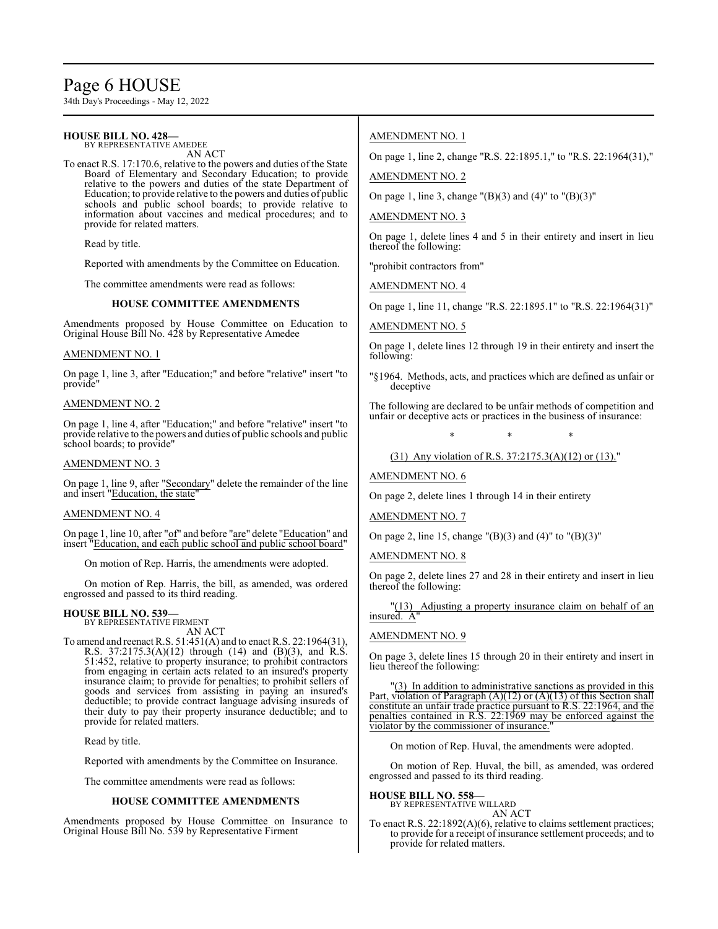# Page 6 HOUSE

34th Day's Proceedings - May 12, 2022

#### **HOUSE BILL NO. 428—** BY REPRESENTATIVE AMEDEE

AN ACT

To enact R.S. 17:170.6, relative to the powers and duties of the State Board of Elementary and Secondary Education; to provide relative to the powers and duties of the state Department of Education; to provide relative to the powers and duties of public schools and public school boards; to provide relative to information about vaccines and medical procedures; and to provide for related matters.

Read by title.

Reported with amendments by the Committee on Education.

The committee amendments were read as follows:

# **HOUSE COMMITTEE AMENDMENTS**

Amendments proposed by House Committee on Education to Original House Bill No. 428 by Representative Amedee

### AMENDMENT NO. 1

On page 1, line 3, after "Education;" and before "relative" insert "to provide"

# AMENDMENT NO. 2

On page 1, line 4, after "Education;" and before "relative" insert "to provide relative to the powers and duties of public schools and public school boards; to provide"

#### AMENDMENT NO. 3

On page 1, line 9, after "Secondary" delete the remainder of the line and insert "Education, the state"

### AMENDMENT NO. 4

On page 1, line 10, after "of" and before "are" delete "Education" and insert "Education, and each public school and public school board"

On motion of Rep. Harris, the amendments were adopted.

On motion of Rep. Harris, the bill, as amended, was ordered engrossed and passed to its third reading.

#### **HOUSE BILL NO. 539—** BY REPRESENTATIVE FIRMENT

AN ACT

To amend and reenact R.S. 51:451(A) and to enact R.S. 22:1964(31), R.S. 37:2175.3(A)(12) through (14) and (B)(3), and R.S. 51:452, relative to property insurance; to prohibit contractors from engaging in certain acts related to an insured's property insurance claim; to provide for penalties; to prohibit sellers of goods and services from assisting in paying an insured's deductible; to provide contract language advising insureds of their duty to pay their property insurance deductible; and to provide for related matters.

Read by title.

Reported with amendments by the Committee on Insurance.

The committee amendments were read as follows:

#### **HOUSE COMMITTEE AMENDMENTS**

Amendments proposed by House Committee on Insurance to Original House Bill No. 539 by Representative Firment

# AMENDMENT NO. 1

On page 1, line 2, change "R.S. 22:1895.1," to "R.S. 22:1964(31),"

AMENDMENT NO. 2

On page 1, line 3, change "(B)(3) and (4)" to "(B)(3)"

### AMENDMENT NO. 3

On page 1, delete lines 4 and 5 in their entirety and insert in lieu thereof the following:

"prohibit contractors from"

AMENDMENT NO. 4

On page 1, line 11, change "R.S. 22:1895.1" to "R.S. 22:1964(31)"

# AMENDMENT NO. 5

On page 1, delete lines 12 through 19 in their entirety and insert the following:

"§1964. Methods, acts, and practices which are defined as unfair or deceptive

The following are declared to be unfair methods of competition and unfair or deceptive acts or practices in the business of insurance:

\* \* \* (31) Any violation of R.S. 37:2175.3(A)(12) or (13)."

AMENDMENT NO. 6

On page 2, delete lines 1 through 14 in their entirety

AMENDMENT NO. 7

On page 2, line 15, change "(B)(3) and (4)" to "(B)(3)"

#### AMENDMENT NO. 8

On page 2, delete lines 27 and 28 in their entirety and insert in lieu thereof the following:

"(13) Adjusting a property insurance claim on behalf of an insured. A"

# AMENDMENT NO. 9

On page 3, delete lines 15 through 20 in their entirety and insert in lieu thereof the following:

"(3) In addition to administrative sanctions as provided in this Part, violation of Paragraph (A)(12) or (A)(13) of this Section shall constitute an unfair trade practice pursuant to R.S. 22:1964, and the penalties contained in R.S. 22:1969 may be enforced against the violator by the commissioner of insurance.

On motion of Rep. Huval, the amendments were adopted.

On motion of Rep. Huval, the bill, as amended, was ordered engrossed and passed to its third reading.

**HOUSE BILL NO. 558—** BY REPRESENTATIVE WILLARD

AN ACT

To enact R.S. 22:1892(A)(6), relative to claims settlement practices; to provide for a receipt of insurance settlement proceeds; and to provide for related matters.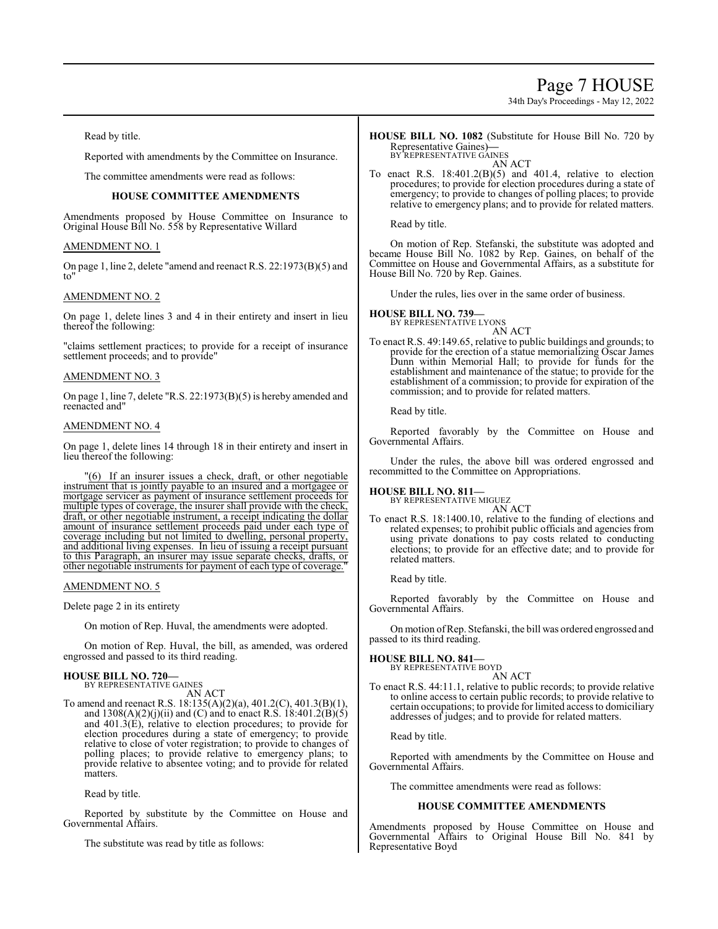# Page 7 HOUSE

34th Day's Proceedings - May 12, 2022

Read by title.

Reported with amendments by the Committee on Insurance.

The committee amendments were read as follows:

### **HOUSE COMMITTEE AMENDMENTS**

Amendments proposed by House Committee on Insurance to Original House Bill No. 558 by Representative Willard

### AMENDMENT NO. 1

On page 1, line 2, delete "amend and reenact R.S. 22:1973(B)(5) and to"

### AMENDMENT NO. 2

On page 1, delete lines 3 and 4 in their entirety and insert in lieu thereof the following:

"claims settlement practices; to provide for a receipt of insurance settlement proceeds; and to provide"

#### AMENDMENT NO. 3

On page 1, line 7, delete "R.S. 22:1973(B)(5) is hereby amended and reenacted and"

#### AMENDMENT NO. 4

On page 1, delete lines 14 through 18 in their entirety and insert in lieu thereof the following:

"(6) If an insurer issues a check, draft, or other negotiable instrument that is jointly payable to an insured and a mortgagee or mortgage servicer as payment of insurance settlement proceeds for multiple types of coverage, the insurer shall provide with the check, draft, or other negotiable instrument, a receipt indicating the dollar amount of insurance settlement proceeds paid under each type of coverage including but not limited to dwelling, personal property, and additional living expenses. In lieu of issuing a receipt pursuant to this Paragraph, an insurer may issue separate checks, drafts, or other negotiable instruments for payment of each type of coverage."

AMENDMENT NO. 5

Delete page 2 in its entirety

On motion of Rep. Huval, the amendments were adopted.

On motion of Rep. Huval, the bill, as amended, was ordered engrossed and passed to its third reading.

# **HOUSE BILL NO. 720—**

BY REPRESENTATIVE GAINES AN ACT

To amend and reenact R.S. 18:135(A)(2)(a), 401.2(C), 401.3(B)(1), and  $1308(A)(2)(j)(ii)$  and (C) and to enact R.S.  $18:401.2(B)(5)$ and 401.3(E), relative to election procedures; to provide for election procedures during a state of emergency; to provide relative to close of voter registration; to provide to changes of polling places; to provide relative to emergency plans; to provide relative to absentee voting; and to provide for related matters.

Read by title.

Reported by substitute by the Committee on House and Governmental Affairs.

The substitute was read by title as follows:

**HOUSE BILL NO. 1082** (Substitute for House Bill No. 720 by Representative Gaines)**—** BY REPRESENTATIVE GAINES

AN ACT

To enact R.S.  $18:401.2(B)(5)$  and  $401.4$ , relative to election procedures; to provide for election procedures during a state of emergency; to provide to changes of polling places; to provide relative to emergency plans; and to provide for related matters.

Read by title.

On motion of Rep. Stefanski, the substitute was adopted and became House Bill No. 1082 by Rep. Gaines, on behalf of the Committee on House and Governmental Affairs, as a substitute for House Bill No. 720 by Rep. Gaines.

Under the rules, lies over in the same order of business.

**HOUSE BILL NO. 739—** BY REPRESENTATIVE LYONS

AN ACT

To enact R.S. 49:149.65, relative to public buildings and grounds; to provide for the erection of a statue memorializing Oscar James Dunn within Memorial Hall; to provide for funds for the establishment and maintenance of the statue; to provide for the establishment of a commission; to provide for expiration of the commission; and to provide for related matters.

Read by title.

Reported favorably by the Committee on House and Governmental Affairs.

Under the rules, the above bill was ordered engrossed and recommitted to the Committee on Appropriations.

**HOUSE BILL NO. 811—**

BY REPRESENTATIVE MIGUEZ AN ACT

To enact R.S. 18:1400.10, relative to the funding of elections and related expenses; to prohibit public officials and agencies from using private donations to pay costs related to conducting elections; to provide for an effective date; and to provide for related matters.

Read by title.

Reported favorably by the Committee on House and Governmental Affairs.

On motion ofRep. Stefanski, the bill was ordered engrossed and passed to its third reading.

**HOUSE BILL NO. 841—**

BY REPRESENTATIVE BOYD AN ACT

To enact R.S. 44:11.1, relative to public records; to provide relative to online access to certain public records; to provide relative to certain occupations; to provide for limited access to domiciliary addresses of judges; and to provide for related matters.

Read by title.

Reported with amendments by the Committee on House and Governmental Affairs.

The committee amendments were read as follows:

#### **HOUSE COMMITTEE AMENDMENTS**

Amendments proposed by House Committee on House and Governmental Affairs to Original House Bill No. 841 by Representative Boyd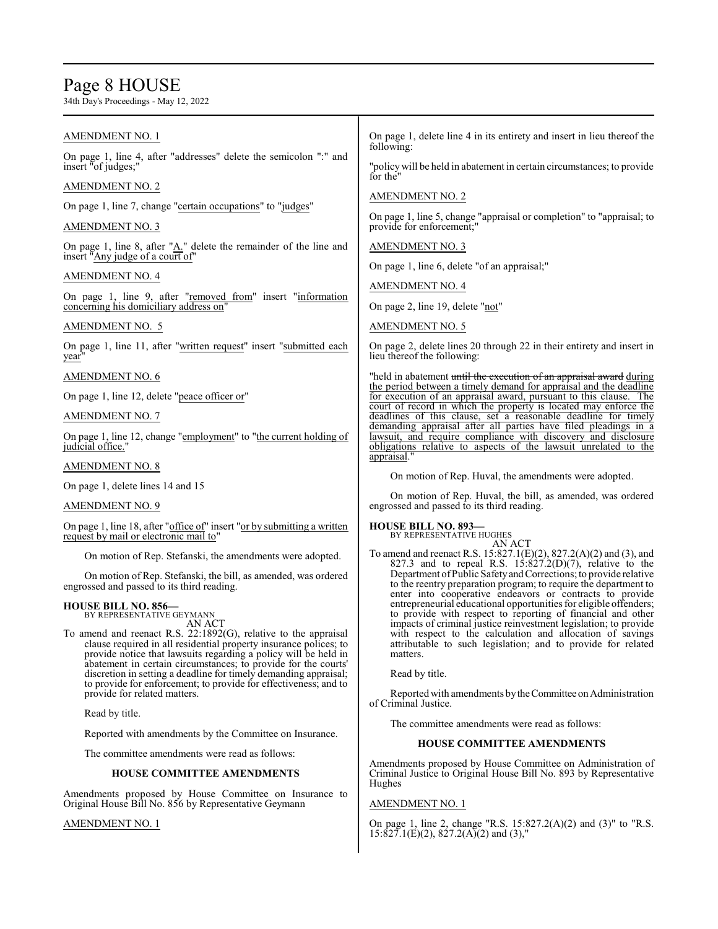# Page 8 HOUSE

34th Day's Proceedings - May 12, 2022

# AMENDMENT NO. 1

On page 1, line 4, after "addresses" delete the semicolon ":" and insert "of judges;

# AMENDMENT NO. 2

On page 1, line 7, change "certain occupations" to "judges"

### AMENDMENT NO. 3

On page 1, line 8, after " $\underline{A}$ ." delete the remainder of the line and insert "Any judge of a court of"

### AMENDMENT NO. 4

On page 1, line 9, after "removed from" insert "information concerning his domiciliary address on"

# AMENDMENT NO. 5

On page 1, line 11, after "written request" insert "submitted each year

### AMENDMENT NO. 6

On page 1, line 12, delete "peace officer or"

### AMENDMENT NO. 7

On page 1, line 12, change "employment" to "the current holding of judicial office.

#### AMENDMENT NO. 8

On page 1, delete lines 14 and 15

#### AMENDMENT NO. 9

On page 1, line 18, after "office of" insert "or by submitting a written request by mail or electronic mail to"

On motion of Rep. Stefanski, the amendments were adopted.

On motion of Rep. Stefanski, the bill, as amended, was ordered engrossed and passed to its third reading.

# **HOUSE BILL NO. 856—** BY REPRESENTATIVE GEYMANN

AN ACT

To amend and reenact R.S. 22:1892(G), relative to the appraisal clause required in all residential property insurance polices; to provide notice that lawsuits regarding a policy will be held in abatement in certain circumstances; to provide for the courts' discretion in setting a deadline for timely demanding appraisal; to provide for enforcement; to provide for effectiveness; and to provide for related matters.

Read by title.

Reported with amendments by the Committee on Insurance.

The committee amendments were read as follows:

#### **HOUSE COMMITTEE AMENDMENTS**

Amendments proposed by House Committee on Insurance to Original House Bill No. 856 by Representative Geymann

### AMENDMENT NO. 1

On page 1, delete line 4 in its entirety and insert in lieu thereof the following:

"policy will be held in abatement in certain circumstances; to provide for the"

AMENDMENT NO. 2

On page 1, line 5, change "appraisal or completion" to "appraisal; to provide for enforcement;"

AMENDMENT NO. 3

On page 1, line 6, delete "of an appraisal;"

AMENDMENT NO. 4

On page 2, line 19, delete "not"

AMENDMENT NO. 5

On page 2, delete lines 20 through 22 in their entirety and insert in lieu thereof the following:

"held in abatement <del>until the execution of an appraisal award</del> during the period between a timely demand for appraisal and the deadline<br>for execution of an appraisal award, pursuant to this clause. The for execution of an appraisal award, pursuant to this clause. court of record in which the property is located may enforce the deadlines of this clause, set a reasonable deadline for timely demanding appraisal after all parties have filed pleadings in a lawsuit, and require compliance with discovery and disclosure obligations relative to aspects of the lawsuit unrelated to the appraisal."

On motion of Rep. Huval, the amendments were adopted.

On motion of Rep. Huval, the bill, as amended, was ordered engrossed and passed to its third reading.

# **HOUSE BILL NO. 893—**

BY REPRESENTATIVE HUGHES AN ACT

To amend and reenact R.S. 15:827.1(E)(2), 827.2(A)(2) and (3), and 827.3 and to repeal R.S.  $1\frac{3:827}{.2}$ (D)(7), relative to the Department of Public Safety and Corrections; to provide relative to the reentry preparation program; to require the department to enter into cooperative endeavors or contracts to provide entrepreneurial educational opportunities for eligible offenders; to provide with respect to reporting of financial and other impacts of criminal justice reinvestment legislation; to provide with respect to the calculation and allocation of savings attributable to such legislation; and to provide for related matters.

Read by title.

Reported with amendments by the Committee on Administration of Criminal Justice.

The committee amendments were read as follows:

### **HOUSE COMMITTEE AMENDMENTS**

Amendments proposed by House Committee on Administration of Criminal Justice to Original House Bill No. 893 by Representative Hughes

#### AMENDMENT NO. 1

On page 1, line 2, change "R.S. 15:827.2(A)(2) and (3)" to "R.S.  $15:827.1(E)(2)$ ,  $827.2(A)(2)$  and  $(3)$ ,"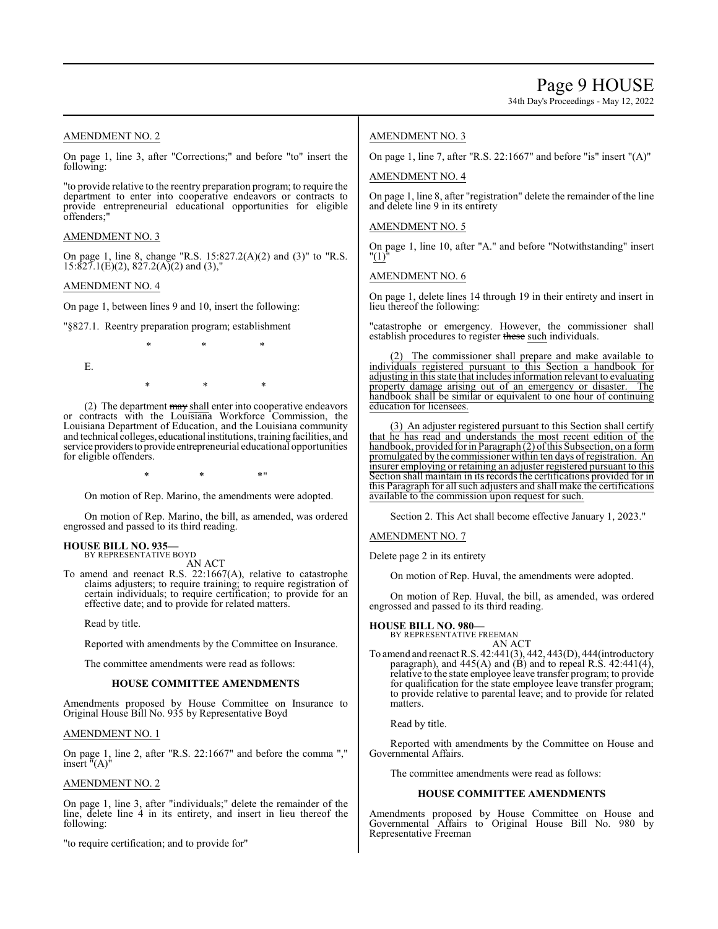34th Day's Proceedings - May 12, 2022

# AMENDMENT NO. 2

On page 1, line 3, after "Corrections;" and before "to" insert the following:

"to provide relative to the reentry preparation program; to require the department to enter into cooperative endeavors or contracts to provide entrepreneurial educational opportunities for eligible offenders;"

### AMENDMENT NO. 3

On page 1, line 8, change "R.S. 15:827.2(A)(2) and (3)" to "R.S.  $15:827.1(E)(2), 827.2(A)(2)$  and  $(3),$ "

### AMENDMENT NO. 4

On page 1, between lines 9 and 10, insert the following:

"§827.1. Reentry preparation program; establishment

E.

(2) The department may shall enter into cooperative endeavors or contracts with the Louisiana Workforce Commission, the Louisiana Department of Education, and the Louisiana community and technical colleges, educationalinstitutions, training facilities, and service providersto provide entrepreneurial educational opportunities for eligible offenders.

\* \* \*

\* \* \*

 $*$  \*  $*$  \*  $*$  "

On motion of Rep. Marino, the amendments were adopted.

On motion of Rep. Marino, the bill, as amended, was ordered engrossed and passed to its third reading.

# **HOUSE BILL NO. 935—** BY REPRESENTATIVE BOYD

AN ACT

To amend and reenact R.S. 22:1667(A), relative to catastrophe claims adjusters; to require training; to require registration of certain individuals; to require certification; to provide for an effective date; and to provide for related matters.

Read by title.

Reported with amendments by the Committee on Insurance.

The committee amendments were read as follows:

### **HOUSE COMMITTEE AMENDMENTS**

Amendments proposed by House Committee on Insurance to Original House Bill No. 935 by Representative Boyd

### AMENDMENT NO. 1

On page 1, line 2, after "R.S. 22:1667" and before the comma "," insert "(A)"

#### AMENDMENT NO. 2

On page 1, line 3, after "individuals;" delete the remainder of the line, delete line 4 in its entirety, and insert in lieu thereof the following:

"to require certification; and to provide for"

### AMENDMENT NO. 3

On page 1, line 7, after "R.S. 22:1667" and before "is" insert "(A)"

AMENDMENT NO. 4

On page 1, line 8, after "registration" delete the remainder of the line and delete line 9 in its entirety

## AMENDMENT NO. 5

On page 1, line 10, after "A." and before "Notwithstanding" insert "(1)"

AMENDMENT NO. 6

On page 1, delete lines 14 through 19 in their entirety and insert in lieu thereof the following:

"catastrophe or emergency. However, the commissioner shall establish procedures to register these such individuals.

The commissioner shall prepare and make available to individuals registered pursuant to this Section a handbook for adjusting in this state that includes information relevant to evaluating<br>property damage arising out of an emergency or disaster. The property damage arising out of an emergency or disaster. handbook shall be similar or equivalent to one hour of continuing education for licensees.

(3) An adjuster registered pursuant to this Section shall certify that he has read and understands the most recent edition of the handbook, provided for in Paragraph (2) of this Subsection, on a form promulgated by the commissioner within ten days ofregistration. An insurer employing or retaining an adjuster registered pursuant to this Section shall maintain in its records the certifications provided for in this Paragraph for all such adjusters and shall make the certifications available to the commission upon request for such.

Section 2. This Act shall become effective January 1, 2023."

#### AMENDMENT NO. 7

Delete page 2 in its entirety

On motion of Rep. Huval, the amendments were adopted.

On motion of Rep. Huval, the bill, as amended, was ordered engrossed and passed to its third reading.

**HOUSE BILL NO. 980—** BY REPRESENTATIVE FREEMAN

AN ACT

To amend and reenact R.S. 42:441(3), 442, 443(D), 444(introductory paragraph), and  $445(A)$  and  $(B)$  and to repeal R.S.  $42:441(4)$ , relative to the state employee leave transfer program; to provide for qualification for the state employee leave transfer program; to provide relative to parental leave; and to provide for related matters.

Read by title.

Reported with amendments by the Committee on House and Governmental Affairs.

The committee amendments were read as follows:

#### **HOUSE COMMITTEE AMENDMENTS**

Amendments proposed by House Committee on House and Governmental Affairs to Original House Bill No. 980 by Representative Freeman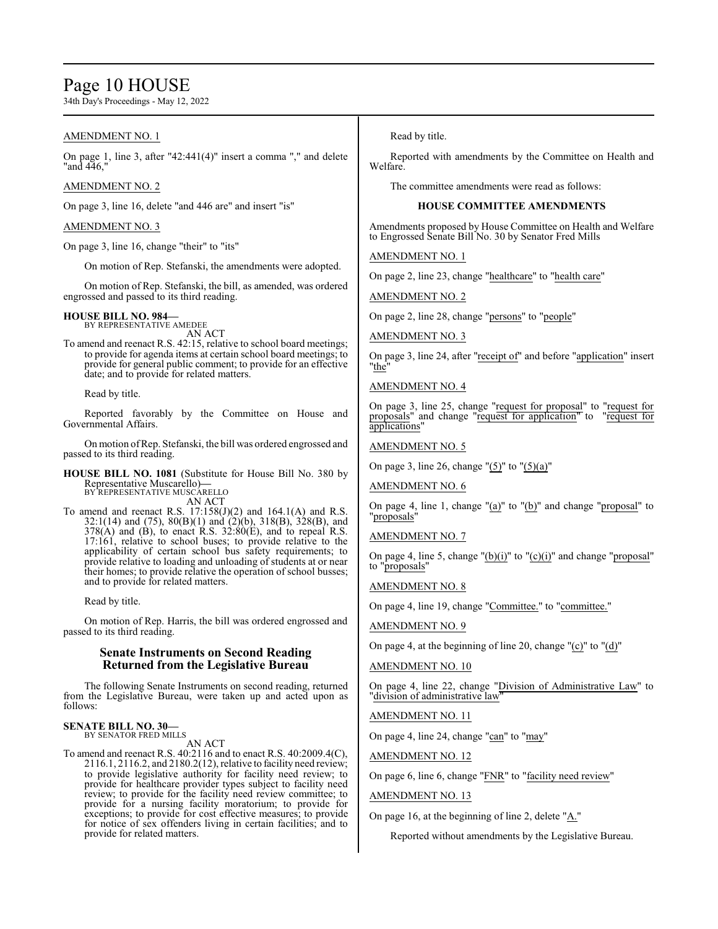# Page 10 HOUSE

34th Day's Proceedings - May 12, 2022

# AMENDMENT NO. 1

On page 1, line 3, after "42:441(4)" insert a comma "," and delete "and 446,"

### AMENDMENT NO. 2

On page 3, line 16, delete "and 446 are" and insert "is"

# AMENDMENT NO. 3

On page 3, line 16, change "their" to "its"

On motion of Rep. Stefanski, the amendments were adopted.

On motion of Rep. Stefanski, the bill, as amended, was ordered engrossed and passed to its third reading.

# **HOUSE BILL NO. 984—** BY REPRESENTATIVE AMEDEE

AN ACT

To amend and reenact R.S. 42:15, relative to school board meetings; to provide for agenda items at certain school board meetings; to provide for general public comment; to provide for an effective date; and to provide for related matters.

Read by title.

Reported favorably by the Committee on House and Governmental Affairs.

On motion ofRep. Stefanski, the bill was ordered engrossed and passed to its third reading.

**HOUSE BILL NO. 1081** (Substitute for House Bill No. 380 by Representative Muscarello)**—** BY REPRESENTATIVE MUSCARELLO

AN ACT

To amend and reenact R.S.  $17:158(J)(2)$  and  $164.1(A)$  and R.S. 32:1(14) and (75), 80(B)(1) and (2)(b), 318(B), 328(B), and  $378(A)$  and (B), to enact R.S.  $32:80(E)$ , and to repeal R.S. 17:161, relative to school buses; to provide relative to the applicability of certain school bus safety requirements; to provide relative to loading and unloading of students at or near their homes; to provide relative the operation of school busses; and to provide for related matters.

Read by title.

On motion of Rep. Harris, the bill was ordered engrossed and passed to its third reading.

# **Senate Instruments on Second Reading Returned from the Legislative Bureau**

The following Senate Instruments on second reading, returned from the Legislative Bureau, were taken up and acted upon as follows:

#### **SENATE BILL NO. 30—** BY SENATOR FRED MILLS

AN ACT

To amend and reenact R.S. 40:2116 and to enact R.S. 40:2009.4(C), 2116.1, 2116.2, and 2180.2(12), relative to facility need review; to provide legislative authority for facility need review; to provide for healthcare provider types subject to facility need review; to provide for the facility need review committee; to provide for a nursing facility moratorium; to provide for exceptions; to provide for cost effective measures; to provide for notice of sex offenders living in certain facilities; and to provide for related matters.

Read by title.

Reported with amendments by the Committee on Health and Welfare.

The committee amendments were read as follows:

### **HOUSE COMMITTEE AMENDMENTS**

Amendments proposed by House Committee on Health and Welfare to Engrossed Senate Bill No. 30 by Senator Fred Mills

AMENDMENT NO. 1

On page 2, line 23, change "healthcare" to "health care"

AMENDMENT NO. 2

On page 2, line 28, change "persons" to "people"

### AMENDMENT NO. 3

On page 3, line 24, after "receipt of" and before "application" insert "the"

#### AMENDMENT NO. 4

On page 3, line 25, change "request for proposal" to "request for proposals" and change "request for application" to "request for applications"

### AMENDMENT NO. 5

On page 3, line 26, change " $(5)$ " to " $(5)(a)$ "

AMENDMENT NO. 6

On page 4, line 1, change "(a)" to "(b)" and change "proposal" to "*proposals*"

# AMENDMENT NO. 7

On page 4, line 5, change " $(b)(i)$ " to " $(c)(i)$ " and change "proposal" to "proposals"

### AMENDMENT NO. 8

On page 4, line 19, change "Committee." to "committee."

AMENDMENT NO. 9

On page 4, at the beginning of line 20, change "(c)" to "(d)"

#### AMENDMENT NO. 10

On page 4, line 22, change "Division of Administrative Law" to "division of administrative law"

# AMENDMENT NO. 11

On page 4, line 24, change "can" to "may"

AMENDMENT NO. 12

On page 6, line 6, change "FNR" to "facility need review"

#### AMENDMENT NO. 13

On page 16, at the beginning of line 2, delete " $\underline{A}$ ."

Reported without amendments by the Legislative Bureau.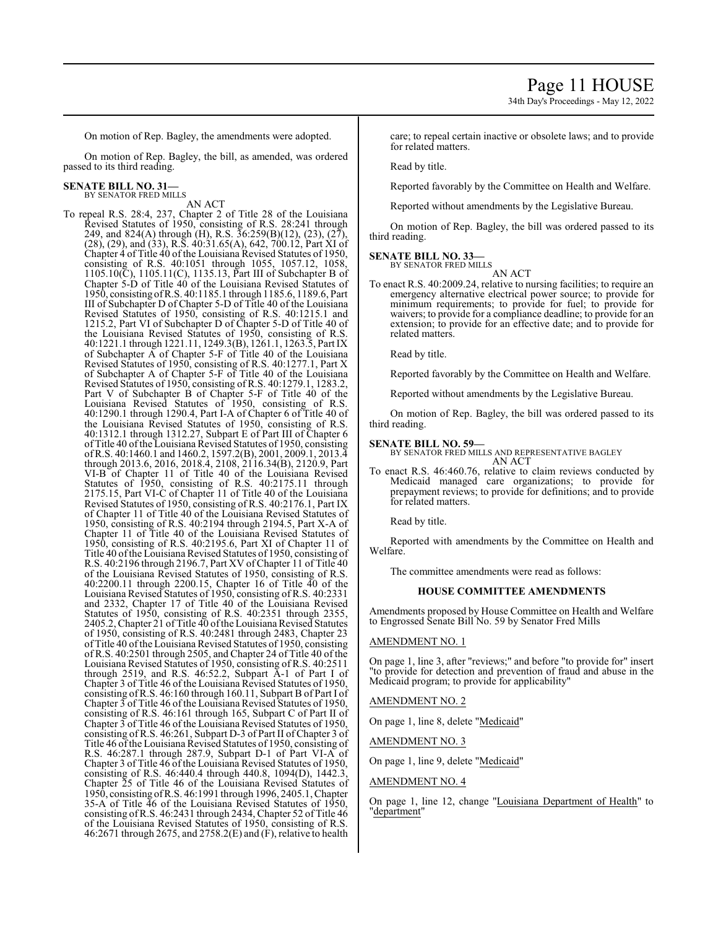34th Day's Proceedings - May 12, 2022

On motion of Rep. Bagley, the amendments were adopted.

On motion of Rep. Bagley, the bill, as amended, was ordered passed to its third reading.

# **SENATE BILL NO. 31—**

BY SENATOR FRED MILLS AN ACT

To repeal R.S. 28:4, 237, Chapter 2 of Title 28 of the Louisiana Revised Statutes of 1950, consisting of R.S. 28:241 through 249, and 824(A) through (H), R.S. 36:259(B)(12), (23), (27), (28), (29), and (33), R.S. 40:31.65(A), 642, 700.12, Part XI of Chapter 4 of Title 40 of the Louisiana Revised Statutes of 1950, consisting of R.S. 40:1051 through 1055, 1057.12, 1058, 1105.10(C), 1105.11(C), 1135.13, Part III of Subchapter B of Chapter 5-D of Title 40 of the Louisiana Revised Statutes of 1950, consisting ofR.S. 40:1185.1 through 1185.6, 1189.6, Part III of Subchapter D of Chapter 5-D of Title 40 of the Louisiana Revised Statutes of 1950, consisting of R.S. 40:1215.1 and 1215.2, Part VI of Subchapter D of Chapter 5-D of Title 40 of the Louisiana Revised Statutes of 1950, consisting of R.S. 40:1221.1 through 1221.11, 1249.3(B), 1261.1, 1263.5, Part IX of Subchapter A of Chapter 5-F of Title 40 of the Louisiana Revised Statutes of 1950, consisting of R.S. 40:1277.1, Part X of Subchapter A of Chapter 5-F of Title 40 of the Louisiana Revised Statutes of 1950, consisting of R.S. 40:1279.1, 1283.2, Part V of Subchapter B of Chapter 5-F of Title 40 of the Louisiana Revised Statutes of 1950, consisting of R.S. 40:1290.1 through 1290.4, Part I-A of Chapter 6 of Title 40 of the Louisiana Revised Statutes of 1950, consisting of R.S. 40:1312.1 through 1312.27, Subpart E of Part III of Chapter 6 of Title 40 ofthe Louisiana Revised Statutes of 1950, consisting ofR.S. 40:1460.1 and 1460.2, 1597.2(B), 2001, 2009.1, 2013.4 through 2013.6, 2016, 2018.4, 2108, 2116.34(B), 2120.9, Part VI-B of Chapter 11 of Title 40 of the Louisiana Revised Statutes of 1950, consisting of R.S. 40:2175.11 through 2175.15, Part VI-C of Chapter 11 of Title 40 of the Louisiana Revised Statutes of 1950, consisting of R.S. 40:2176.1, Part IX of Chapter 11 of Title 40 of the Louisiana Revised Statutes of 1950, consisting of R.S. 40:2194 through 2194.5, Part X-A of Chapter 11 of Title 40 of the Louisiana Revised Statutes of 1950, consisting of R.S. 40:2195.6, Part XI of Chapter 11 of Title 40 of the Louisiana Revised Statutes of 1950, consisting of R.S. 40:2196 through 2196.7, Part XV ofChapter 11 of Title 40 of the Louisiana Revised Statutes of 1950, consisting of R.S. 40:2200.11 through 2200.15, Chapter 16 of Title 40 of the Louisiana Revised Statutes of 1950, consisting of R.S. 40:2331 and 2332, Chapter 17 of Title 40 of the Louisiana Revised Statutes of 1950, consisting of R.S. 40:2351 through 2355, 2405.2, Chapter 21 of Title 40 of the Louisiana Revised Statutes of 1950, consisting of R.S. 40:2481 through 2483, Chapter 23 of Title 40 ofthe Louisiana Revised Statutes of 1950, consisting of R.S. 40:2501 through 2505, and Chapter 24 of Title 40 of the Louisiana Revised Statutes of 1950, consisting of R.S. 40:2511 through 2519, and R.S. 46:52.2, Subpart A-1 of Part I of Chapter 3 of Title 46 of the Louisiana Revised Statutes of 1950, consisting ofR.S. 46:160 through 160.11, Subpart B of Part I of Chapter 3 of Title 46 of the Louisiana Revised Statutes of 1950, consisting of R.S. 46:161 through 165, Subpart C of Part II of Chapter 3 of Title 46 of the Louisiana Revised Statutes of 1950, consisting of R.S. 46:261, Subpart D-3 of Part II ofChapter 3 of Title 46 ofthe Louisiana Revised Statutes of 1950, consisting of R.S. 46:287.1 through 287.9, Subpart D-1 of Part VI-A of Chapter 3 of Title 46 of the Louisiana Revised Statutes of 1950, consisting of R.S. 46:440.4 through 440.8, 1094(D), 1442.3, Chapter 25 of Title 46 of the Louisiana Revised Statutes of 1950, consisting ofR.S. 46:1991 through 1996, 2405.1, Chapter 35-A of Title 46 of the Louisiana Revised Statutes of 1950, consisting ofR.S. 46:2431 through 2434, Chapter 52 of Title 46 of the Louisiana Revised Statutes of 1950, consisting of R.S. 46:2671 through 2675, and 2758.2(E) and (F), relative to health

care; to repeal certain inactive or obsolete laws; and to provide for related matters.

Read by title.

Reported favorably by the Committee on Health and Welfare.

Reported without amendments by the Legislative Bureau.

On motion of Rep. Bagley, the bill was ordered passed to its third reading.

#### **SENATE BILL NO. 33—**

BY SENATOR FRED MILLS

- AN ACT
- To enact R.S. 40:2009.24, relative to nursing facilities; to require an emergency alternative electrical power source; to provide for minimum requirements; to provide for fuel; to provide for waivers; to provide for a compliance deadline; to provide for an extension; to provide for an effective date; and to provide for related matters.

Read by title.

Reported favorably by the Committee on Health and Welfare.

Reported without amendments by the Legislative Bureau.

On motion of Rep. Bagley, the bill was ordered passed to its third reading.

#### **SENATE BILL NO. 59—**

BY SENATOR FRED MILLS AND REPRESENTATIVE BAGLEY AN ACT

To enact R.S. 46:460.76, relative to claim reviews conducted by Medicaid managed care organizations; to provide for prepayment reviews; to provide for definitions; and to provide for related matters.

Read by title.

Reported with amendments by the Committee on Health and Welfare.

The committee amendments were read as follows:

#### **HOUSE COMMITTEE AMENDMENTS**

Amendments proposed by House Committee on Health and Welfare to Engrossed Senate Bill No. 59 by Senator Fred Mills

#### AMENDMENT NO. 1

On page 1, line 3, after "reviews;" and before "to provide for" insert "to provide for detection and prevention of fraud and abuse in the Medicaid program; to provide for applicability"

AMENDMENT NO. 2

On page 1, line 8, delete "Medicaid"

AMENDMENT NO. 3

On page 1, line 9, delete "Medicaid"

# AMENDMENT NO. 4

On page 1, line 12, change "Louisiana Department of Health" to "department"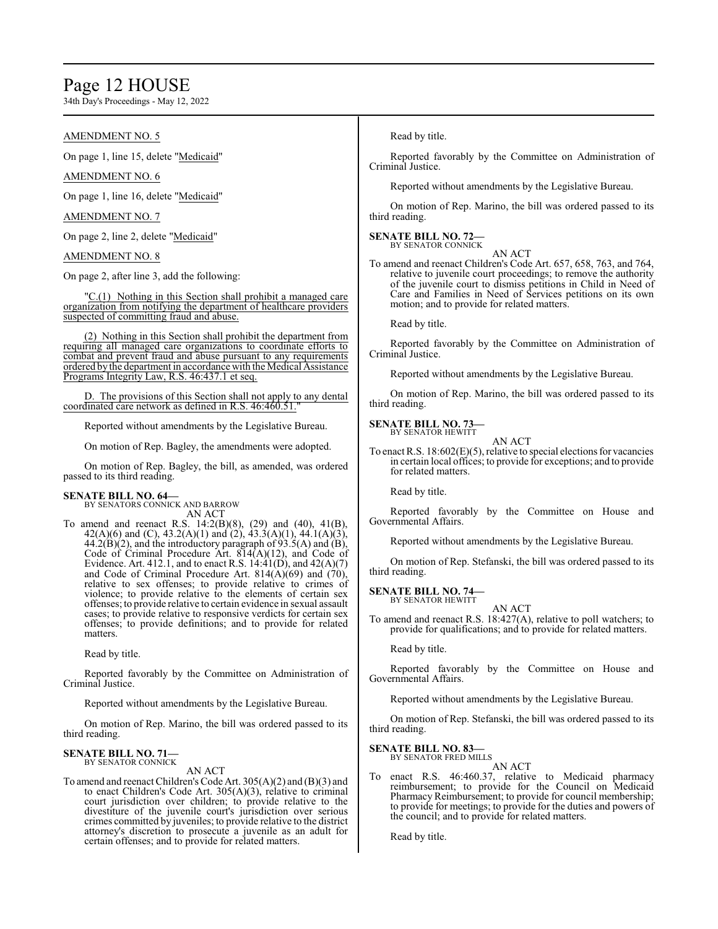# Page 12 HOUSE

34th Day's Proceedings - May 12, 2022

# AMENDMENT NO. 5

On page 1, line 15, delete "Medicaid"

# AMENDMENT NO. 6

On page 1, line 16, delete "Medicaid"

### AMENDMENT NO. 7

On page 2, line 2, delete "Medicaid"

# AMENDMENT NO. 8

On page 2, after line 3, add the following:

"C.(1) Nothing in this Section shall prohibit a managed care organization from notifying the department of healthcare providers suspected of committing fraud and abuse.

(2) Nothing in this Section shall prohibit the department from requiring all managed care organizations to coordinate efforts to combat and prevent fraud and abuse pursuant to any requirements ordered by the department in accordance with the Medical Assistance Programs Integrity Law, R.S. 46:437.1 et seq.

D. The provisions of this Section shall not apply to any dental coordinated care network as defined in R.S. 46:460.51

Reported without amendments by the Legislative Bureau.

On motion of Rep. Bagley, the amendments were adopted.

On motion of Rep. Bagley, the bill, as amended, was ordered passed to its third reading.

# **SENATE BILL NO. 64—**

BY SENATORS CONNICK AND BARROW AN ACT

To amend and reenact R.S. 14:2(B)(8), (29) and (40), 41(B), 42(A)(6) and (C), 43.2(A)(1) and (2), 43.3(A)(1), 44.1(A)(3),  $44.2(B)(2)$ , and the introductory paragraph of 93.5(A) and (B), Code of Criminal Procedure Art. 814(A)(12), and Code of Evidence. Art. 412.1, and to enact R.S.  $14:41(D)$ , and  $42(A)(7)$ and Code of Criminal Procedure Art.  $814(\text{\AA})(69)$  and  $(70)$ , relative to sex offenses; to provide relative to crimes of violence; to provide relative to the elements of certain sex offenses; to provide relative to certain evidence in sexual assault cases; to provide relative to responsive verdicts for certain sex offenses; to provide definitions; and to provide for related matters.

Read by title.

Reported favorably by the Committee on Administration of Criminal Justice.

Reported without amendments by the Legislative Bureau.

On motion of Rep. Marino, the bill was ordered passed to its third reading.

#### **SENATE BILL NO. 71—** BY SENATOR CONNICK

AN ACT

To amend and reenact Children's Code Art. 305(A)(2) and (B)(3) and to enact Children's Code Art. 305(A)(3), relative to criminal court jurisdiction over children; to provide relative to the divestiture of the juvenile court's jurisdiction over serious crimes committed by juveniles; to provide relative to the district attorney's discretion to prosecute a juvenile as an adult for certain offenses; and to provide for related matters.

Read by title.

Reported favorably by the Committee on Administration of Criminal Justice.

Reported without amendments by the Legislative Bureau.

On motion of Rep. Marino, the bill was ordered passed to its third reading.

#### **SENATE BILL NO. 72—** BY SENATOR CONNICK

AN ACT

To amend and reenact Children's Code Art. 657, 658, 763, and 764, relative to juvenile court proceedings; to remove the authority of the juvenile court to dismiss petitions in Child in Need of Care and Families in Need of Services petitions on its own motion; and to provide for related matters.

Read by title.

Reported favorably by the Committee on Administration of Criminal Justice.

Reported without amendments by the Legislative Bureau.

On motion of Rep. Marino, the bill was ordered passed to its third reading.

#### **SENATE BILL NO. 73—** BY SENATOR HEWITT

AN ACT

To enact R.S. 18:602(E)(5), relative to special elections for vacancies in certain local offices; to provide for exceptions; and to provide for related matters.

Read by title.

Reported favorably by the Committee on House and Governmental Affairs.

Reported without amendments by the Legislative Bureau.

On motion of Rep. Stefanski, the bill was ordered passed to its third reading.

#### **SENATE BILL NO. 74—** BY SENATOR HEWITT

AN ACT

To amend and reenact R.S. 18:427(A), relative to poll watchers; to provide for qualifications; and to provide for related matters.

Read by title.

Reported favorably by the Committee on House and Governmental Affairs.

Reported without amendments by the Legislative Bureau.

On motion of Rep. Stefanski, the bill was ordered passed to its third reading.

# **SENATE BILL NO. 83—**

BY SENATOR FRED MILLS AN ACT

enact R.S. 46:460.37, relative to Medicaid pharmacy reimbursement; to provide for the Council on Medicaid Pharmacy Reimbursement; to provide for council membership; to provide for meetings; to provide for the duties and powers of the council; and to provide for related matters.

Read by title.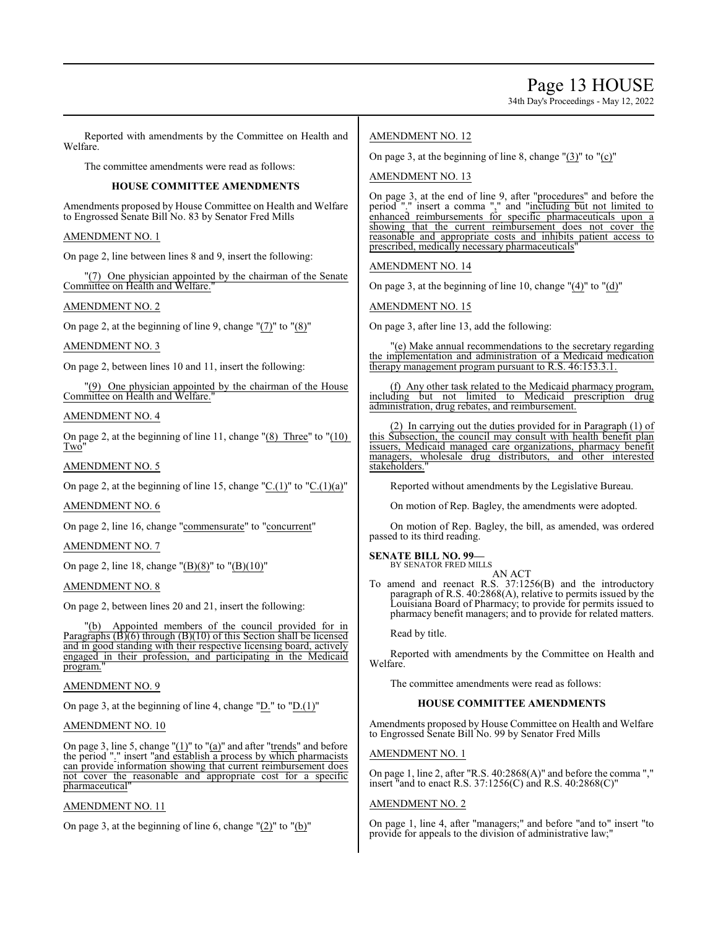Page 13 HOUSE

34th Day's Proceedings - May 12, 2022

Reported with amendments by the Committee on Health and Welfare.

The committee amendments were read as follows:

# **HOUSE COMMITTEE AMENDMENTS**

Amendments proposed by House Committee on Health and Welfare to Engrossed Senate Bill No. 83 by Senator Fred Mills

# AMENDMENT NO. 1

On page 2, line between lines 8 and 9, insert the following:

"(7) One physician appointed by the chairman of the Senate Committee on Health and Welfare."

# AMENDMENT NO. 2

On page 2, at the beginning of line 9, change "(7)" to "(8)"

# AMENDMENT NO. 3

On page 2, between lines 10 and 11, insert the following:

#### "(9) One physician appointed by the chairman of the House Committee on Health and Welfare."

# AMENDMENT NO. 4

On page 2, at the beginning of line 11, change "(8) Three" to "(10) Two"

AMENDMENT NO. 5

On page 2, at the beginning of line 15, change " $C.(1)$ " to " $C.(1)(a)$ "

# AMENDMENT NO. 6

On page 2, line 16, change "commensurate" to "concurrent"

# AMENDMENT NO. 7

On page 2, line 18, change " $(B)(8)$ " to " $(B)(10)$ "

# AMENDMENT NO. 8

On page 2, between lines 20 and 21, insert the following:

"(b) Appointed members of the council provided for in Paragraphs  $(B)(6)$  through  $(B)(10)$  of this Section shall be licensed and in good standing with their respective licensing board, actively engaged in their profession, and participating in the Medicaid program."

# AMENDMENT NO. 9

On page 3, at the beginning of line 4, change "D." to "D.(1)"

# AMENDMENT NO. 10

On page 3, line 5, change " $(1)$ " to " $(a)$ " and after "trends" and before the period "." insert "and establish a process by which pharmacists can provide information showing that current reimbursement does not cover the reasonable and appropriate cost for a specific pharmaceutical<sup>®</sup>

# AMENDMENT NO. 11

On page 3, at the beginning of line 6, change "(2)" to "(b)"

# AMENDMENT NO. 12

On page 3, at the beginning of line 8, change " $(3)$ " to " $(c)$ "

# AMENDMENT NO. 13

On page 3, at the end of line 9, after "procedures" and before the period "." insert a comma "," and "including but not limited to enhanced reimbursements for specific pharmaceuticals upon a showing that the current reimbursement does not cover the reasonable and appropriate costs and inhibits patient access to prescribed, medically necessary pharmaceuticals"

# AMENDMENT NO. 14

On page 3, at the beginning of line 10, change "(4)" to "(d)"

AMENDMENT NO. 15

On page 3, after line 13, add the following:

"(e) Make annual recommendations to the secretary regarding the implementation and administration of a Medicaid medication therapy management program pursuant to R.S. 46:153.3.1.

(f) Any other task related to the Medicaid pharmacy program, including but not limited to Medicaid prescription drug administration, drug rebates, and reimbursement.

(2) In carrying out the duties provided for in Paragraph (1) of this Subsection, the council may consult with health benefit plan issuers, Medicaid managed care organizations, pharmacy benefit managers, wholesale drug distributors, and other interested stakeholders."

Reported without amendments by the Legislative Bureau.

On motion of Rep. Bagley, the amendments were adopted.

On motion of Rep. Bagley, the bill, as amended, was ordered passed to its third reading.

#### **SENATE BILL NO. 99—** BY SENATOR FRED MILLS AN ACT

To amend and reenact R.S. 37:1256(B) and the introductory paragraph of R.S. 40:2868(A), relative to permits issued by the Louisiana Board of Pharmacy; to provide for permits issued to pharmacy benefit managers; and to provide for related matters.

Read by title.

Reported with amendments by the Committee on Health and Welfare.

The committee amendments were read as follows:

# **HOUSE COMMITTEE AMENDMENTS**

Amendments proposed by House Committee on Health and Welfare to Engrossed Senate Bill No. 99 by Senator Fred Mills

# AMENDMENT NO. 1

On page 1, line 2, after "R.S. 40:2868(A)" and before the comma "," insert "and to enact R.S. 37:1256(C) and R.S. 40:2868(C)"

# AMENDMENT NO. 2

On page 1, line 4, after "managers;" and before "and to" insert "to provide for appeals to the division of administrative law;"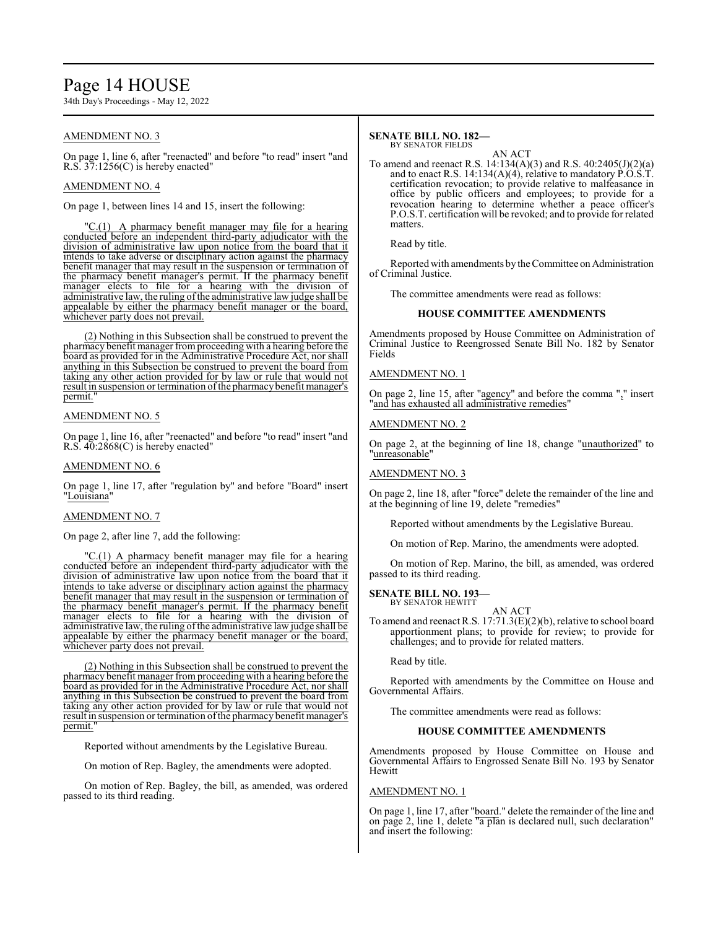# Page 14 HOUSE

34th Day's Proceedings - May 12, 2022

# AMENDMENT NO. 3

On page 1, line 6, after "reenacted" and before "to read" insert "and R.S.  $37:1256(C)$  is hereby enacted"

# AMENDMENT NO. 4

On page 1, between lines 14 and 15, insert the following:

"C.(1) A pharmacy benefit manager may file for a hearing conducted before an independent third-party adjudicator with the division of administrative law upon notice from the board that it intends to take adverse or disciplinary action against the pharmacy benefit manager that may result in the suspension or termination of the pharmacy benefit manager's permit. If the pharmacy benefit manager elects to file for a hearing with the division of administrative law, the ruling of the administrative law judge shall be appealable by either the pharmacy benefit manager or the board, whichever party does not prevail.

(2) Nothing in this Subsection shall be construed to prevent the pharmacy benefit manager fromproceeding with a hearing before the board as provided for in the Administrative Procedure Act, nor shall anything in this Subsection be construed to prevent the board from taking any other action provided for by law or rule that would not result in suspension or termination of the pharmacy benefit manager's permit."

# AMENDMENT NO. 5

On page 1, line 16, after "reenacted" and before "to read" insert "and R.S. 40:2868(C) is hereby enacted"

#### AMENDMENT NO. 6

On page 1, line 17, after "regulation by" and before "Board" insert "Louisiana"

# AMENDMENT NO. 7

On page 2, after line 7, add the following:

"C.(1) A pharmacy benefit manager may file for a hearing conducted before an independent third-party adjudicator with the division of administrative law upon notice from the board that it intends to take adverse or disciplinary action against the pharmacy benefit manager that may result in the suspension or termination of the pharmacy benefit manager's permit. If the pharmacy benefit manager elects to file for a hearing with the division of administrative law, the ruling of the administrative law judge shall be appealable by either the pharmacy benefit manager or the board, whichever party does not prevail.

(2) Nothing in this Subsection shall be construed to prevent the pharmacy benefit manager fromproceeding with a hearing before the board as provided for in the Administrative Procedure Act, nor shall anything in this Subsection be construed to prevent the board from taking any other action provided for by law or rule that would not result in suspension or termination ofthe pharmacy benefit manager's permit.

Reported without amendments by the Legislative Bureau.

On motion of Rep. Bagley, the amendments were adopted.

On motion of Rep. Bagley, the bill, as amended, was ordered passed to its third reading.

#### **SENATE BILL NO. 182—** BY SENATOR FIELDS

AN ACT

To amend and reenact R.S. 14:134(A)(3) and R.S. 40:2405(J)(2)(a) and to enact R.S. 14:134(A)(4), relative to mandatory  $\hat{P}.\hat{O}.\hat{S}.\hat{T}$ . certification revocation; to provide relative to malfeasance in office by public officers and employees; to provide for a revocation hearing to determine whether a peace officer's P.O.S.T. certification will be revoked; and to provide for related matters.

Read by title.

Reported with amendments by the Committee on Administration of Criminal Justice.

The committee amendments were read as follows:

### **HOUSE COMMITTEE AMENDMENTS**

Amendments proposed by House Committee on Administration of Criminal Justice to Reengrossed Senate Bill No. 182 by Senator Fields

### AMENDMENT NO. 1

On page 2, line 15, after "agency" and before the comma "," insert "and has exhausted all administrative remedies"

# AMENDMENT NO. 2

On page 2, at the beginning of line 18, change "unauthorized" to "unreasonable"

# AMENDMENT NO. 3

On page 2, line 18, after "force" delete the remainder of the line and at the beginning of line 19, delete "remedies"

Reported without amendments by the Legislative Bureau.

On motion of Rep. Marino, the amendments were adopted.

On motion of Rep. Marino, the bill, as amended, was ordered passed to its third reading.

#### **SENATE BILL NO. 193—** BY SENATOR HEWITT

AN ACT To amend and reenact R.S. 17:71.3(E)(2)(b), relative to school board apportionment plans; to provide for review; to provide for challenges; and to provide for related matters.

Read by title.

Reported with amendments by the Committee on House and Governmental Affairs.

The committee amendments were read as follows:

#### **HOUSE COMMITTEE AMENDMENTS**

Amendments proposed by House Committee on House and Governmental Affairs to Engrossed Senate Bill No. 193 by Senator **Hewitt** 

### AMENDMENT NO. 1

On page 1, line 17, after "board." delete the remainder of the line and on page 2, line 1, delete "a plan is declared null, such declaration" and insert the following: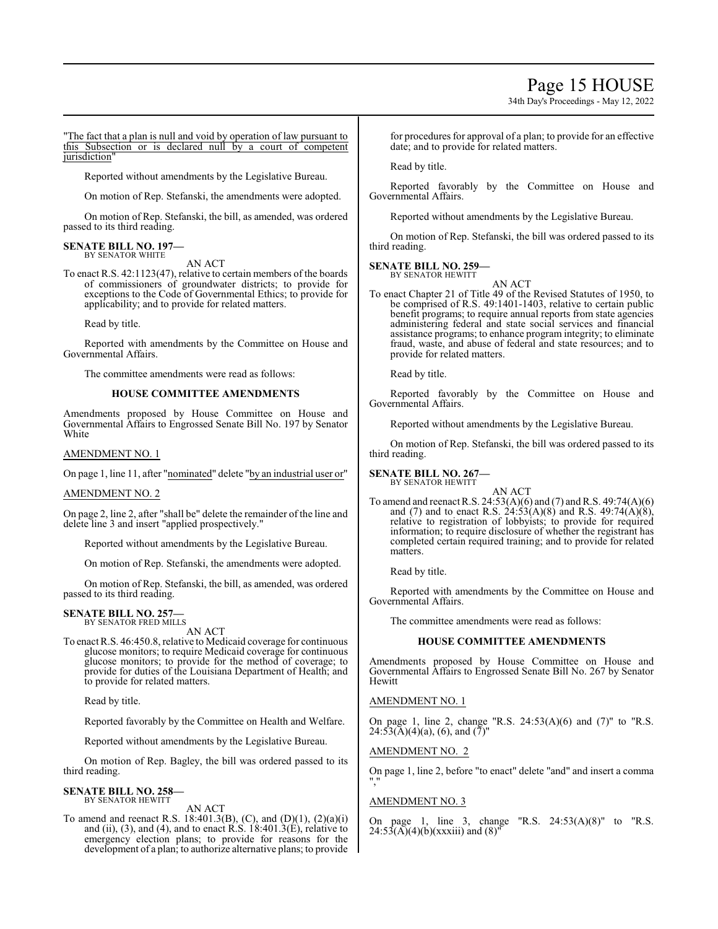# Page 15 HOUSE

34th Day's Proceedings - May 12, 2022

"The fact that a plan is null and void by operation of law pursuant to this Subsection or is declared null by a court of competent jurisdiction"

Reported without amendments by the Legislative Bureau.

On motion of Rep. Stefanski, the amendments were adopted.

On motion of Rep. Stefanski, the bill, as amended, was ordered passed to its third reading.

#### **SENATE BILL NO. 197—** BY SENATOR WHITE

AN ACT

To enact R.S. 42:1123(47), relative to certain members of the boards of commissioners of groundwater districts; to provide for exceptions to the Code of Governmental Ethics; to provide for applicability; and to provide for related matters.

Read by title.

Reported with amendments by the Committee on House and Governmental Affairs.

The committee amendments were read as follows:

### **HOUSE COMMITTEE AMENDMENTS**

Amendments proposed by House Committee on House and Governmental Affairs to Engrossed Senate Bill No. 197 by Senator White

#### AMENDMENT NO. 1

On page 1, line 11, after "nominated" delete "by an industrial user or"

#### AMENDMENT NO. 2

On page 2, line 2, after "shall be" delete the remainder of the line and delete line 3 and insert "applied prospectively."

Reported without amendments by the Legislative Bureau.

On motion of Rep. Stefanski, the amendments were adopted.

On motion of Rep. Stefanski, the bill, as amended, was ordered passed to its third reading.

# **SENATE BILL NO. 257—** BY SENATOR FRED MILLS

AN ACT

To enact R.S. 46:450.8, relative to Medicaid coverage for continuous glucose monitors; to require Medicaid coverage for continuous glucose monitors; to provide for the method of coverage; to provide for duties of the Louisiana Department of Health; and to provide for related matters.

Read by title.

Reported favorably by the Committee on Health and Welfare.

Reported without amendments by the Legislative Bureau.

On motion of Rep. Bagley, the bill was ordered passed to its third reading.

**SENATE BILL NO. 258—** BY SENATOR HEWITT

AN ACT

To amend and reenact R.S. 18:401.3(B), (C), and (D)(1), (2)(a)(i) and (ii), (3), and (4), and to enact R.S.  $18:401.3(E)$ , relative to emergency election plans; to provide for reasons for the development of a plan; to authorize alternative plans; to provide

for procedures for approval of a plan; to provide for an effective date; and to provide for related matters.

Read by title.

Reported favorably by the Committee on House and Governmental Affairs.

Reported without amendments by the Legislative Bureau.

On motion of Rep. Stefanski, the bill was ordered passed to its third reading.

### **SENATE BILL NO. 259—**

BY SENATOR HEWITT

AN ACT To enact Chapter 21 of Title 49 of the Revised Statutes of 1950, to be comprised of R.S. 49:1401-1403, relative to certain public benefit programs; to require annual reports from state agencies administering federal and state social services and financial assistance programs; to enhance program integrity; to eliminate fraud, waste, and abuse of federal and state resources; and to provide for related matters.

Read by title.

Reported favorably by the Committee on House and Governmental Affairs.

Reported without amendments by the Legislative Bureau.

On motion of Rep. Stefanski, the bill was ordered passed to its third reading.

#### **SENATE BILL NO. 267—** BY SENATOR HEWITT

To amend and reenact R.S. 24:53(A)(6) and (7) and R.S. 49:74(A)(6) and (7) and to enact R.S.  $24:53(A)(8)$  and R.S.  $49:74(A)(8)$ , relative to registration of lobbyists; to provide for required information; to require disclosure of whether the registrant has completed certain required training; and to provide for related matters.

AN ACT

Read by title.

Reported with amendments by the Committee on House and Governmental Affairs.

The committee amendments were read as follows:

#### **HOUSE COMMITTEE AMENDMENTS**

Amendments proposed by House Committee on House and Governmental Affairs to Engrossed Senate Bill No. 267 by Senator Hewitt

AMENDMENT NO. 1

On page 1, line 2, change "R.S. 24:53(A)(6) and (7)" to "R.S.  $24:53(A)(4)(a)$ , (6), and (7)'

AMENDMENT NO. 2

On page 1, line 2, before "to enact" delete "and" and insert a comma ","

# AMENDMENT NO. 3

On page 1, line 3, change "R.S.  $24:53(A)(8)$ " to "R.S.  $24:53(A)(4)(b)(xxxiii)$  and  $(8)''$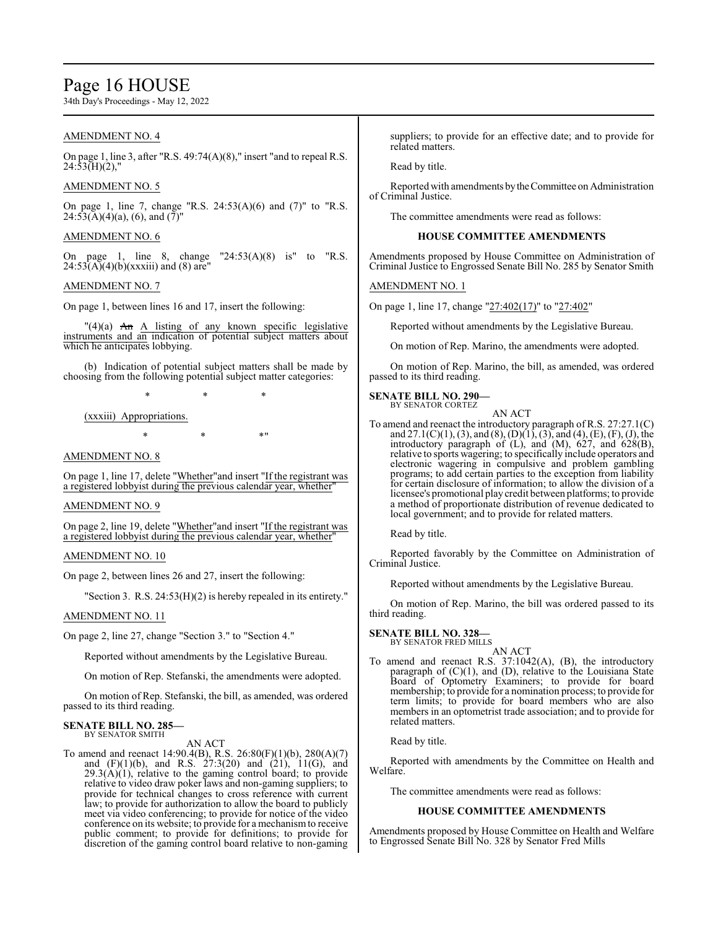# Page 16 HOUSE

34th Day's Proceedings - May 12, 2022

# AMENDMENT NO. 4

On page 1, line 3, after "R.S. 49:74(A)(8)," insert "and to repeal R.S.  $24:53(H)(2)$ ,"

### AMENDMENT NO. 5

On page 1, line 7, change "R.S. 24:53(A)(6) and (7)" to "R.S.  $24:53(A)(4)(a)$ , (6), and  $(7)'$ 

### AMENDMENT NO. 6

On page 1, line 8, change  $"24:53(A)(8)$  is" to  $"R.S.$  $24:53(A)(4)(b)(xxxiii)$  and (8) are

#### AMENDMENT NO. 7

On page 1, between lines 16 and 17, insert the following:

 $T(4)(a)$  An A listing of any known specific legislative instruments and an indication of potential subject matters about which he anticipates lobbying.

(b) Indication of potential subject matters shall be made by choosing from the following potential subject matter categories:

\* \* \*

(xxxiii) Appropriations.

 $*$  \*  $*$  \*

### AMENDMENT NO. 8

On page 1, line 17, delete "Whether"and insert "If the registrant was a registered lobbyist during the previous calendar year, whether"

#### AMENDMENT NO. 9

On page 2, line 19, delete "Whether"and insert "If the registrant was a registered lobbyist during the previous calendar year, whether"

# AMENDMENT NO. 10

On page 2, between lines 26 and 27, insert the following:

"Section 3. R.S. 24:53(H)(2) is hereby repealed in its entirety."

#### AMENDMENT NO. 11

On page 2, line 27, change "Section 3." to "Section 4."

Reported without amendments by the Legislative Bureau.

On motion of Rep. Stefanski, the amendments were adopted.

On motion of Rep. Stefanski, the bill, as amended, was ordered passed to its third reading.

# **SENATE BILL NO. 285—** BY SENATOR SMITH

AN ACT

To amend and reenact 14:90.4(B), R.S. 26:80(F)(1)(b), 280(A)(7) and  $(F)(1)(b)$ , and R.S.  $27:3(20)$  and  $(21)$ ,  $11(G)$ , and  $29.3(A)(1)$ , relative to the gaming control board; to provide relative to video draw poker laws and non-gaming suppliers; to provide for technical changes to cross reference with current law; to provide for authorization to allow the board to publicly meet via video conferencing; to provide for notice of the video conference on its website; to provide for a mechanismto receive public comment; to provide for definitions; to provide for discretion of the gaming control board relative to non-gaming suppliers; to provide for an effective date; and to provide for related matters.

Read by title.

Reported with amendments bytheCommittee on Administration of Criminal Justice.

The committee amendments were read as follows:

#### **HOUSE COMMITTEE AMENDMENTS**

Amendments proposed by House Committee on Administration of Criminal Justice to Engrossed Senate Bill No. 285 by Senator Smith

AMENDMENT NO. 1

On page 1, line 17, change "27:402(17)" to "27:402"

Reported without amendments by the Legislative Bureau.

On motion of Rep. Marino, the amendments were adopted.

On motion of Rep. Marino, the bill, as amended, was ordered passed to its third reading.

### **SENATE BILL NO. 290—**

BY SENATOR CORTEZ

AN ACT To amend and reenact the introductory paragraph of R.S. 27:27.1(C) and 27.1(C)(1), (3), and (8), (D)(1), (3), and (4), (E), (F), (J), the introductory paragraph of (L), and (M), 627, and 628(B), relative to sports wagering; to specifically include operators and electronic wagering in compulsive and problem gambling programs; to add certain parties to the exception from liability for certain disclosure of information; to allow the division of a licensee's promotional playcredit between platforms; to provide a method of proportionate distribution of revenue dedicated to local government; and to provide for related matters.

Read by title.

Reported favorably by the Committee on Administration of Criminal Justice.

Reported without amendments by the Legislative Bureau.

On motion of Rep. Marino, the bill was ordered passed to its third reading.

#### **SENATE BILL NO. 328—** BY SENATOR FRED MILLS

AN ACT

To amend and reenact R.S. 37:1042(A), (B), the introductory paragraph of (C)(1), and (D), relative to the Louisiana State Board of Optometry Examiners; to provide for board membership; to provide for a nomination process; to provide for term limits; to provide for board members who are also members in an optometrist trade association; and to provide for related matters.

Read by title.

Reported with amendments by the Committee on Health and Welfare.

The committee amendments were read as follows:

### **HOUSE COMMITTEE AMENDMENTS**

Amendments proposed by House Committee on Health and Welfare to Engrossed Senate Bill No. 328 by Senator Fred Mills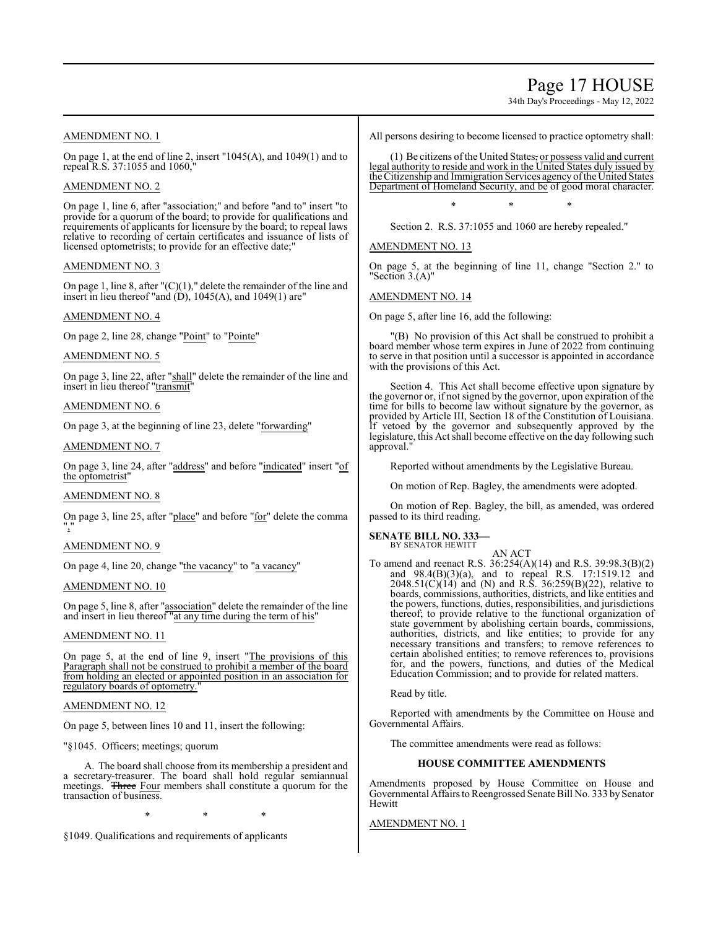Page 17 HOUSE

34th Day's Proceedings - May 12, 2022

# AMENDMENT NO. 1

On page 1, at the end of line 2, insert "1045(A), and 1049(1) and to repeal R.S. 37:1055 and 1060,"

# AMENDMENT NO. 2

On page 1, line 6, after "association;" and before "and to" insert "to provide for a quorum of the board; to provide for qualifications and requirements of applicants for licensure by the board; to repeal laws relative to recording of certain certificates and issuance of lists of licensed optometrists; to provide for an effective date;"

# AMENDMENT NO. 3

On page 1, line 8, after " $(C)(1)$ ," delete the remainder of the line and insert in lieu thereof "and  $(D)$ , 1045 $(A)$ , and 1049 $(1)$  are"

# AMENDMENT NO. 4

On page 2, line 28, change "Point" to "Pointe"

# AMENDMENT NO. 5

On page 3, line 22, after "shall" delete the remainder of the line and insert in lieu thereof "transmit"

# AMENDMENT NO. 6

On page 3, at the beginning of line 23, delete "forwarding"

# AMENDMENT NO. 7

On page 3, line 24, after "address" and before "indicated" insert "of the optometrist"

# AMENDMENT NO. 8

On page 3, line 25, after "place" and before "for" delete the comma ","

# AMENDMENT NO. 9

On page 4, line 20, change "the vacancy" to "a vacancy"

# AMENDMENT NO. 10

On page 5, line 8, after "association" delete the remainder of the line and insert in lieu thereof "at any time during the term of his"

# AMENDMENT NO. 11

On page 5, at the end of line 9, insert "The provisions of this Paragraph shall not be construed to prohibit a member of the board from holding an elected or appointed position in an association for regulatory boards of optometry.

# AMENDMENT NO. 12

On page 5, between lines 10 and 11, insert the following:

"§1045. Officers; meetings; quorum

A. The board shall choose from its membership a president and a secretary-treasurer. The board shall hold regular semiannual meetings. Three Four members shall constitute a quorum for the transaction of business.

\* \* \*

§1049. Qualifications and requirements of applicants

All persons desiring to become licensed to practice optometry shall:

(1) Be citizens of the United States, or possess valid and current legal authority to reside and work in the United States duly issued by the Citizenship and Immigration Services agency ofthe United States Department of Homeland Security, and be of good moral character.

\* \* \*

Section 2. R.S. 37:1055 and 1060 are hereby repealed."

AMENDMENT NO. 13

On page 5, at the beginning of line 11, change "Section 2." to 'Section  $3.(A)$ "

# AMENDMENT NO. 14

On page 5, after line 16, add the following:

"(B) No provision of this Act shall be construed to prohibit a board member whose term expires in June of 2022 from continuing to serve in that position until a successor is appointed in accordance with the provisions of this Act.

Section 4. This Act shall become effective upon signature by the governor or, if not signed by the governor, upon expiration of the time for bills to become law without signature by the governor, as provided by Article III, Section 18 of the Constitution of Louisiana. If vetoed by the governor and subsequently approved by the legislature, this Act shall become effective on the day following such approval.

Reported without amendments by the Legislative Bureau.

On motion of Rep. Bagley, the amendments were adopted.

On motion of Rep. Bagley, the bill, as amended, was ordered passed to its third reading.

# **SENATE BILL NO. 333—**

BY SENATOR HEWITT AN ACT

To amend and reenact R.S. 36:254(A)(14) and R.S. 39:98.3(B)(2) and 98.4(B)(3)(a), and to repeal R.S. 17:1519.12 and  $2048.51(C)(14)$  and (N) and R.S. 36:259(B)(22), relative to boards, commissions, authorities, districts, and like entities and the powers, functions, duties, responsibilities, and jurisdictions thereof; to provide relative to the functional organization of state government by abolishing certain boards, commissions, authorities, districts, and like entities; to provide for any necessary transitions and transfers; to remove references to certain abolished entities; to remove references to, provisions for, and the powers, functions, and duties of the Medical Education Commission; and to provide for related matters.

Read by title.

Reported with amendments by the Committee on House and Governmental Affairs.

The committee amendments were read as follows:

# **HOUSE COMMITTEE AMENDMENTS**

Amendments proposed by House Committee on House and Governmental Affairs to Reengrossed Senate Bill No. 333 by Senator Hewitt

# AMENDMENT NO. 1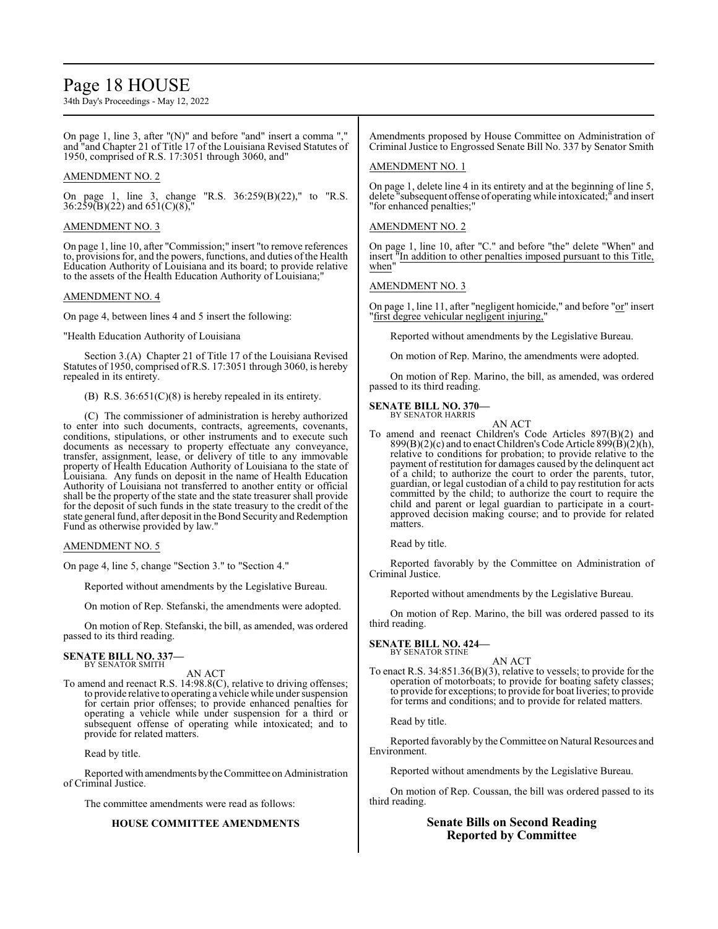# Page 18 HOUSE

34th Day's Proceedings - May 12, 2022

On page 1, line 3, after " $(N)$ " and before "and" insert a comma ", and "and Chapter 21 of Title 17 of the Louisiana Revised Statutes of 1950, comprised of R.S. 17:3051 through 3060, and"

# AMENDMENT NO. 2

On page 1, line 3, change "R.S. 36:259(B)(22)," to "R.S.  $36:259(B)(22)$  and  $651(C)(8)$ ,

### AMENDMENT NO. 3

On page 1, line 10, after "Commission;" insert "to remove references to, provisions for, and the powers, functions, and duties ofthe Health Education Authority of Louisiana and its board; to provide relative to the assets of the Health Education Authority of Louisiana;"

#### AMENDMENT NO. 4

On page 4, between lines 4 and 5 insert the following:

"Health Education Authority of Louisiana

Section 3.(A) Chapter 21 of Title 17 of the Louisiana Revised Statutes of 1950, comprised ofR.S. 17:3051 through 3060, is hereby repealed in its entirety.

(B) R.S. 36:651(C)(8) is hereby repealed in its entirety.

(C) The commissioner of administration is hereby authorized to enter into such documents, contracts, agreements, covenants, conditions, stipulations, or other instruments and to execute such documents as necessary to property effectuate any conveyance, transfer, assignment, lease, or delivery of title to any immovable property of Health Education Authority of Louisiana to the state of Louisiana. Any funds on deposit in the name of Health Education Authority of Louisiana not transferred to another entity or official shall be the property of the state and the state treasurer shall provide for the deposit of such funds in the state treasury to the credit of the state general fund, after deposit in the Bond Security and Redemption Fund as otherwise provided by law."

#### AMENDMENT NO. 5

On page 4, line 5, change "Section 3." to "Section 4."

Reported without amendments by the Legislative Bureau.

On motion of Rep. Stefanski, the amendments were adopted.

On motion of Rep. Stefanski, the bill, as amended, was ordered passed to its third reading.

#### **SENATE BILL NO. 337—** BY SENATOR SMITH

AN ACT

To amend and reenact R.S. 14:98.8(C), relative to driving offenses; to provide relative to operating a vehicle while under suspension for certain prior offenses; to provide enhanced penalties for operating a vehicle while under suspension for a third or subsequent offense of operating while intoxicated; and to provide for related matters.

Read by title.

Reported with amendments bythe Committee on Administration of Criminal Justice.

The committee amendments were read as follows:

### **HOUSE COMMITTEE AMENDMENTS**

Amendments proposed by House Committee on Administration of Criminal Justice to Engrossed Senate Bill No. 337 by Senator Smith

#### AMENDMENT NO. 1

On page 1, delete line 4 in its entirety and at the beginning of line 5, delete "subsequent offense of operating while intoxicated;" and insert "for enhanced penalties;"

### AMENDMENT NO. 2

On page 1, line 10, after "C." and before "the" delete "When" and insert "In addition to other penalties imposed pursuant to this Title, when"

AMENDMENT NO. 3

On page 1, line 11, after "negligent homicide," and before "or" insert "first degree vehicular negligent injuring,"

Reported without amendments by the Legislative Bureau.

On motion of Rep. Marino, the amendments were adopted.

On motion of Rep. Marino, the bill, as amended, was ordered passed to its third reading.

#### **SENATE BILL NO. 370—** BY SENATOR HARRIS

AN ACT

To amend and reenact Children's Code Articles 897(B)(2) and  $899(B)(2)(c)$  and to enact Children's Code Article  $899(B)(2)(h)$ , relative to conditions for probation; to provide relative to the payment of restitution for damages caused by the delinquent act of a child; to authorize the court to order the parents, tutor, guardian, or legal custodian of a child to pay restitution for acts committed by the child; to authorize the court to require the child and parent or legal guardian to participate in a courtapproved decision making course; and to provide for related matters.

Read by title.

Reported favorably by the Committee on Administration of Criminal Justice.

Reported without amendments by the Legislative Bureau.

On motion of Rep. Marino, the bill was ordered passed to its third reading.

**SENATE BILL NO. 424—** BY SENATOR STINE

AN ACT

To enact R.S. 34:851.36(B)(3), relative to vessels; to provide for the operation of motorboats; to provide for boating safety classes; to provide for exceptions; to provide for boat liveries; to provide for terms and conditions; and to provide for related matters.

Read by title.

Reported favorably by the Committee on Natural Resources and Environment.

Reported without amendments by the Legislative Bureau.

On motion of Rep. Coussan, the bill was ordered passed to its third reading.

# **Senate Bills on Second Reading Reported by Committee**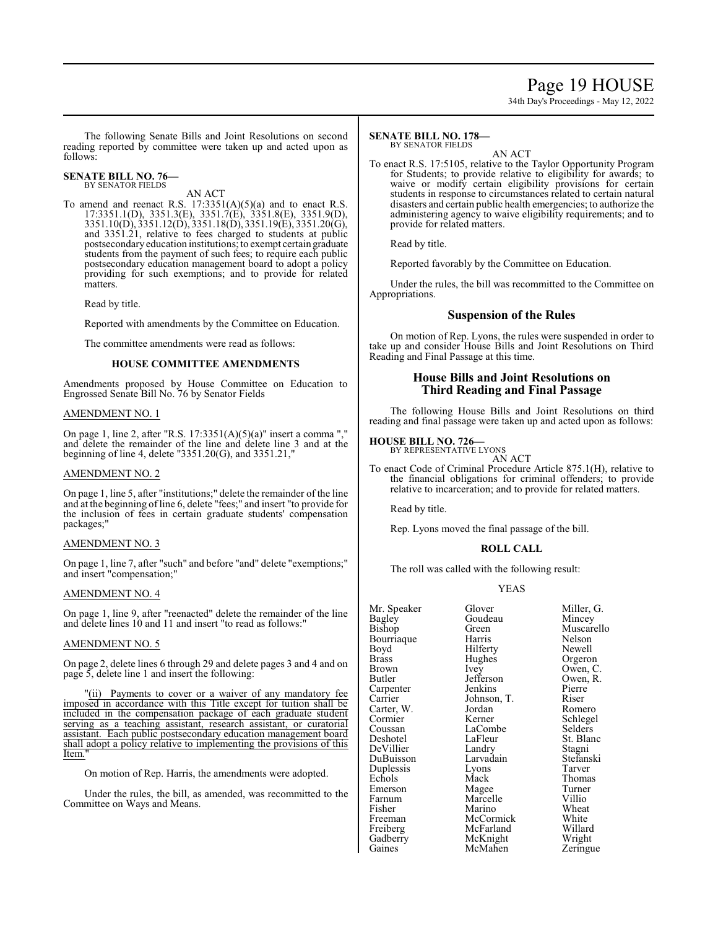# Page 19 HOUSE

34th Day's Proceedings - May 12, 2022

The following Senate Bills and Joint Resolutions on second reading reported by committee were taken up and acted upon as follows:

#### **SENATE BILL NO. 76—** BY SENATOR FIELDS

AN ACT

To amend and reenact R.S.  $17:3351(A)(5)(a)$  and to enact R.S. 17:3351.1(D), 3351.3(E), 3351.7(E), 3351.8(E), 3351.9(D), 3351.10(D), 3351.12(D), 3351.18(D), 3351.19(E), 3351.20(G), and 3351.21, relative to fees charged to students at public postsecondaryeducation institutions; to exempt certain graduate students from the payment of such fees; to require each public postsecondary education management board to adopt a policy providing for such exemptions; and to provide for related matters.

Read by title.

Reported with amendments by the Committee on Education.

The committee amendments were read as follows:

#### **HOUSE COMMITTEE AMENDMENTS**

Amendments proposed by House Committee on Education to Engrossed Senate Bill No. 76 by Senator Fields

### AMENDMENT NO. 1

On page 1, line 2, after "R.S. 17:3351(A)(5)(a)" insert a comma "," and delete the remainder of the line and delete line 3 and at the beginning of line 4, delete "3351.20(G), and 3351.21,"

#### AMENDMENT NO. 2

On page 1, line 5, after "institutions;" delete the remainder of the line and at the beginning of line 6, delete "fees;" and insert "to provide for the inclusion of fees in certain graduate students' compensation packages;"

#### AMENDMENT NO. 3

On page 1, line 7, after "such" and before "and" delete "exemptions;" and insert "compensation;"

#### AMENDMENT NO. 4

On page 1, line 9, after "reenacted" delete the remainder of the line and delete lines 10 and 11 and insert "to read as follows:"

#### AMENDMENT NO. 5

On page 2, delete lines 6 through 29 and delete pages 3 and 4 and on page 5, delete line 1 and insert the following:

"(ii) Payments to cover or a waiver of any mandatory fee imposed in accordance with this Title except for tuition shall be included in the compensation package of each graduate student serving as a teaching assistant, research assistant, or curatorial assistant. Each public postsecondary education management board shall adopt a policy relative to implementing the provisions of this Item.

On motion of Rep. Harris, the amendments were adopted.

Under the rules, the bill, as amended, was recommitted to the Committee on Ways and Means.

#### **SENATE BILL NO. 178—** BY SENATOR FIELDS

AN ACT

To enact R.S. 17:5105, relative to the Taylor Opportunity Program for Students; to provide relative to eligibility for awards; to waive or modify certain eligibility provisions for certain students in response to circumstances related to certain natural disasters and certain public health emergencies; to authorize the administering agency to waive eligibility requirements; and to provide for related matters.

Read by title.

Reported favorably by the Committee on Education.

Under the rules, the bill was recommitted to the Committee on Appropriations.

# **Suspension of the Rules**

On motion of Rep. Lyons, the rules were suspended in order to take up and consider House Bills and Joint Resolutions on Third Reading and Final Passage at this time.

# **House Bills and Joint Resolutions on Third Reading and Final Passage**

The following House Bills and Joint Resolutions on third reading and final passage were taken up and acted upon as follows:

# **HOUSE BILL NO. 726—** BY REPRESENTATIVE LYONS

AN ACT

To enact Code of Criminal Procedure Article 875.1(H), relative to the financial obligations for criminal offenders; to provide relative to incarceration; and to provide for related matters.

Read by title.

Rep. Lyons moved the final passage of the bill.

# **ROLL CALL**

The roll was called with the following result:

#### YEAS

| Mr. Speaker  | Glover      | Miller, G. |
|--------------|-------------|------------|
| Bagley       | Goudeau     | Mincey     |
| Bishop       | Green       | Muscarello |
| Bourriaque   | Harris      | Nelson     |
| Boyd         | Hilferty    | Newell     |
| <b>Brass</b> | Hughes      | Orgeron    |
| Brown        | Ivey        | Owen, C.   |
| Butler       | Jefferson   | Owen, R.   |
| Carpenter    | Jenkins     | Pierre     |
| Carrier      | Johnson, T. | Riser      |
| Carter, W.   | Jordan      | Romero     |
| Cormier      | Kerner      | Schlegel   |
| Coussan      | LaCombe     | Selders    |
| Deshotel     | LaFleur     | St. Blanc  |
| DeVillier    | Landry      | Stagni     |
| DuBuisson    | Larvadain   | Stefanski  |
| Duplessis    | Lyons       | Tarver     |
| Echols       | Mack        | Thomas     |
| Emerson      | Magee       | Turner     |
| Farnum       | Marcelle    | Villio     |
| Fisher       | Marino      | Wheat      |
| Freeman      | McCormick   | White      |
| Freiberg     | McFarland   | Willard    |
| Gadberry     | McKnight    | Wright     |
| Gaines       | McMahen     | Zeringue   |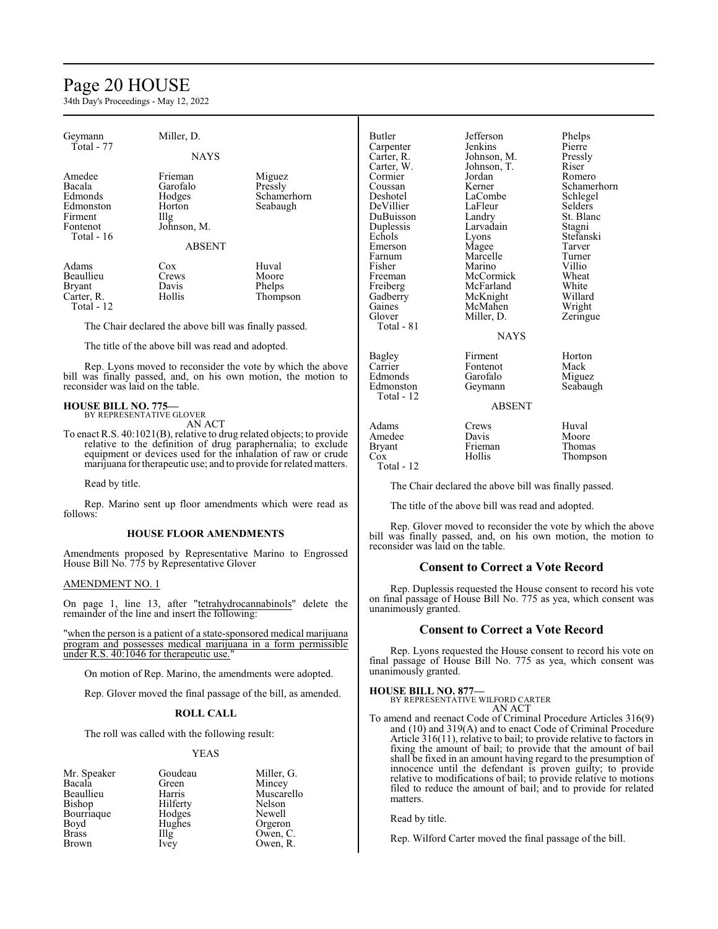# Page 20 HOUSE

34th Day's Proceedings - May 12, 2022

| Geymann<br>Total - 77                                          | Miller, D.<br><b>NAYS</b>                             |                                                            | <b>Butler</b><br>Carpenter<br>Carter, R. | Jefferson<br>Jenkins<br>Johnson, M. | Phelps<br>Pierre<br>Pressly |
|----------------------------------------------------------------|-------------------------------------------------------|------------------------------------------------------------|------------------------------------------|-------------------------------------|-----------------------------|
|                                                                |                                                       |                                                            | Carter, W.                               | Johnson, T.                         | Riser                       |
| Amedee                                                         | Frieman                                               | Miguez                                                     | Cormier                                  | Jordan                              | Romero                      |
| Bacala                                                         | Garofalo                                              | Pressly                                                    | Coussan                                  | Kerner                              | Schamerhorn                 |
| Edmonds                                                        | Hodges                                                | Schamerhorn                                                | Deshotel                                 | LaCombe                             | Schlegel                    |
| Edmonston                                                      | Horton                                                | Seabaugh                                                   | DeVillier                                | LaFleur                             | Selders                     |
| Firment                                                        | $\prod_{i=1}^{n}$                                     |                                                            | DuBuisson                                | Landry                              | St. Blanc                   |
| Fontenot                                                       | Johnson, M.                                           |                                                            | Duplessis                                | Larvadain                           | Stagni                      |
| Total - $16$                                                   |                                                       |                                                            | Echols                                   | Lyons                               | Stefanski                   |
|                                                                | <b>ABSENT</b>                                         |                                                            | Emerson                                  | Magee                               | Tarver                      |
|                                                                |                                                       |                                                            | Farnum                                   | Marcelle                            | Turner                      |
| Adams                                                          | Cox                                                   | Huval                                                      | Fisher                                   | Marino                              | Villio                      |
| Beaullieu                                                      | Crews                                                 | Moore                                                      | Freeman                                  | McCormick                           | Wheat                       |
| Bryant                                                         | Davis                                                 | Phelps                                                     | Freiberg                                 | McFarland                           | White                       |
| Carter, R.                                                     | Hollis                                                | Thompson                                                   | Gadberry                                 | McKnight                            | Willard                     |
| Total - 12                                                     |                                                       |                                                            | Gaines                                   | McMahen                             | Wright                      |
|                                                                |                                                       |                                                            | Glover                                   | Miller, D.                          | Zeringue                    |
|                                                                | The Chair declared the above bill was finally passed. |                                                            | Total - 81                               |                                     |                             |
|                                                                |                                                       |                                                            |                                          | <b>NAYS</b>                         |                             |
|                                                                | The title of the above bill was read and adopted.     |                                                            |                                          |                                     |                             |
|                                                                |                                                       |                                                            | Bagley                                   | Firment                             | Horton                      |
|                                                                |                                                       | Rep. Lyons moved to reconsider the vote by which the above | Carrier                                  | Fontenot                            | Mack                        |
| bill was finally passed, and, on his own motion, the motion to |                                                       | Edmonds                                                    | Garofalo                                 | Miguez                              |                             |
| reconsider was laid on the table.                              |                                                       |                                                            | Edmonston                                | Geymann                             | Seabaugh                    |
|                                                                |                                                       |                                                            | Total - 12                               |                                     |                             |
| <b>HOUSE BILL NO. 775—</b>                                     |                                                       |                                                            | <b>ABSENT</b>                            |                                     |                             |
|                                                                | BY REPRESENTATIVE GLOVER                              |                                                            |                                          |                                     |                             |

AN ACT

To enact R.S. 40:1021(B), relative to drug related objects; to provide relative to the definition of drug paraphernalia; to exclude equipment or devices used for the inhalation of raw or crude marijuana for therapeutic use; and to provide for related matters.

Read by title.

Rep. Marino sent up floor amendments which were read as follows:

#### **HOUSE FLOOR AMENDMENTS**

Amendments proposed by Representative Marino to Engrossed House Bill No. 775 by Representative Glover

#### AMENDMENT NO. 1

On page 1, line 13, after "tetrahydrocannabinols" delete the remainder of the line and insert the following:

"when the person is a patient of a state-sponsored medical marijuana program and possesses medical marijuana in a form permissible under R.S. 40:1046 for therapeutic use."

On motion of Rep. Marino, the amendments were adopted.

Rep. Glover moved the final passage of the bill, as amended.

#### **ROLL CALL**

The roll was called with the following result:

#### YEAS

|          | Miller, G.            |
|----------|-----------------------|
| Green    | Mincey                |
| Harris   | Muscarel <sup>®</sup> |
| Hilferty | Nelson                |
| Hodges   | Newell                |
| Hughes   | Orgeron               |
| IIIg     | Owen, C.              |
| Ivey     | Owen, R.              |
|          | Goudeau               |

Pudeau Miller, G.<br>
een Mincey Mincey arris Muscarello<br>
Iferty Nelson lferty Nelson<br>Dans Newell odges Newell<br>
ughes Orgeror Orgeron Illg Owen, C.<br>Ivey Owen, R.

Adams Crews Huval<br>
Amedee Davis Moore Amedee Davis Moore<br>Bryant Frieman Thomas Bryant Frieman<br>Cox Hollis

Thompson

The Chair declared the above bill was finally passed.

The title of the above bill was read and adopted.

Rep. Glover moved to reconsider the vote by which the above bill was finally passed, and, on his own motion, the motion to reconsider was laid on the table.

### **Consent to Correct a Vote Record**

Rep. Duplessis requested the House consent to record his vote on final passage of House Bill No. 775 as yea, which consent was unanimously granted.

#### **Consent to Correct a Vote Record**

Rep. Lyons requested the House consent to record his vote on final passage of House Bill No. 775 as yea, which consent was unanimously granted.

#### **HOUSE BILL NO. 877—**

Total - 12

BY REPRESENTATIVE WILFORD CARTER AN ACT

To amend and reenact Code of Criminal Procedure Articles 316(9) and (10) and 319(A) and to enact Code of Criminal Procedure Article 316(11), relative to bail; to provide relative to factors in fixing the amount of bail; to provide that the amount of bail shall be fixed in an amount having regard to the presumption of innocence until the defendant is proven guilty; to provide relative to modifications of bail; to provide relative to motions filed to reduce the amount of bail; and to provide for related matters.

Read by title.

Rep. Wilford Carter moved the final passage of the bill.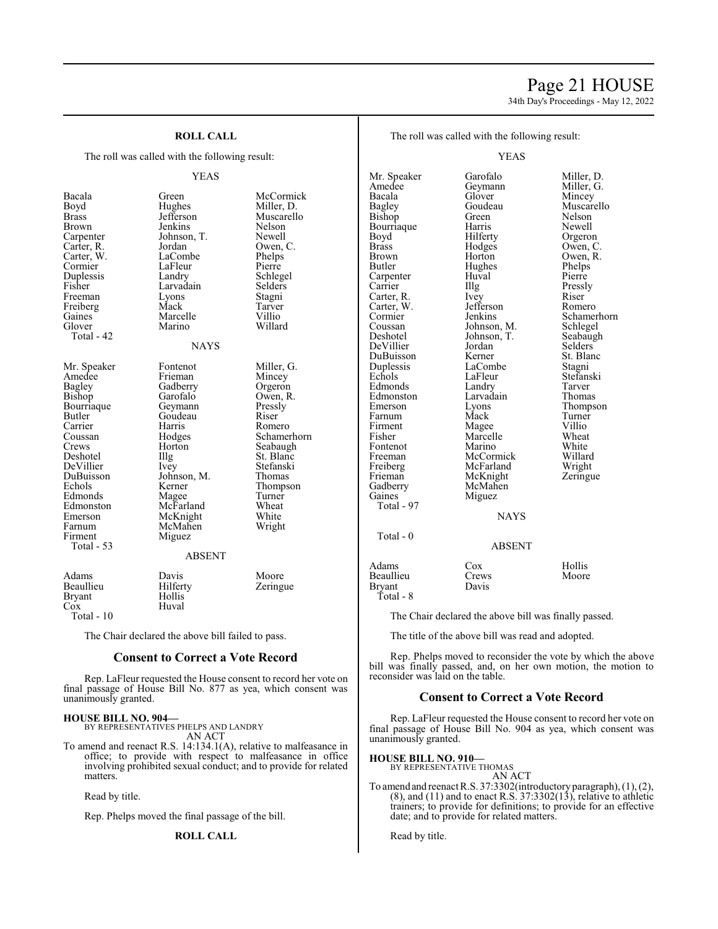# Page 21 HOUSE

34th Day's Proceedings - May 12, 2022

| <b>ROLL CALL</b><br>The roll was called with the following result:<br><b>YEAS</b>                                                                                                                               |                                                                                                                                                                                                 |                                                                                                                                                                                            | The roll was called with the following result:<br><b>YEAS</b>                                                                                                                        |                                                                                                                                                                     |                                                                                                                        |
|-----------------------------------------------------------------------------------------------------------------------------------------------------------------------------------------------------------------|-------------------------------------------------------------------------------------------------------------------------------------------------------------------------------------------------|--------------------------------------------------------------------------------------------------------------------------------------------------------------------------------------------|--------------------------------------------------------------------------------------------------------------------------------------------------------------------------------------|---------------------------------------------------------------------------------------------------------------------------------------------------------------------|------------------------------------------------------------------------------------------------------------------------|
|                                                                                                                                                                                                                 |                                                                                                                                                                                                 |                                                                                                                                                                                            |                                                                                                                                                                                      |                                                                                                                                                                     |                                                                                                                        |
|                                                                                                                                                                                                                 |                                                                                                                                                                                                 | Mr. Speaker                                                                                                                                                                                | Garofalo                                                                                                                                                                             | Miller, 1                                                                                                                                                           |                                                                                                                        |
| Bacala<br>Boyd<br><b>Brass</b><br><b>Brown</b><br>Carpenter<br>Carter, R.<br>Carter, W.<br>Cormier<br>Duplessis<br>Fisher                                                                                       | Green<br>Hughes<br>Jefferson<br>Jenkins<br>Johnson, T.<br>Jordan<br>LaCombe<br>LaFleur<br>Landry<br>Larvadain                                                                                   | McCormick<br>Miller, D.<br>Muscarello<br>Nelson<br>Newell<br>Owen, C.<br>Phelps<br>Pierre<br>Schlegel<br>Selders                                                                           | Amedee<br>Bacala<br>Bagley<br>Bishop<br>Bourriaque<br>Boyd<br><b>Brass</b><br>Brown<br>Butler<br>Carpenter<br>Carrier                                                                | Geymann<br>Glover<br>Goudeau<br>Green<br>Harris<br>Hilferty<br>Hodges<br>Horton<br>Hughes<br>Huval<br>Illg                                                          | Miller,<br>Mincey<br>Muscar<br>Nelson<br>Newell<br>Orgeror<br>Owen, 0<br>Owen, I<br>Phelps<br>Pierre<br>Pressly        |
| Freeman<br>Freiberg<br>Gaines<br>Glover<br>Total - 42                                                                                                                                                           | Lyons<br>Mack<br>Marcelle<br>Marino                                                                                                                                                             | Stagni<br>Tarver<br>Villio<br>Willard                                                                                                                                                      | Carter, R.<br>Carter, W.<br>Cormier<br>Coussan<br>Deshotel                                                                                                                           | Ivey<br>Jefferson<br>Jenkins<br>Johnson, M.<br>Johnson, T.                                                                                                          | Riser<br>Romero<br>Schame<br>Schlege<br>Seabaug                                                                        |
| <b>NAYS</b>                                                                                                                                                                                                     |                                                                                                                                                                                                 | DeVillier<br>DuBuisson                                                                                                                                                                     | Jordan<br>Kerner                                                                                                                                                                     | <b>Selders</b><br>St. Blan                                                                                                                                          |                                                                                                                        |
| Mr. Speaker<br>Amedee<br><b>Bagley</b><br>Bishop<br>Bourriaque<br>Butler<br>Carrier<br>Coussan<br>Crews<br>Deshotel<br>DeVillier<br>DuBuisson<br>Echols<br>Edmonds<br>Edmonston<br>Emerson<br>Farnum<br>Firment | Fontenot<br>Frieman<br>Gadberry<br>Garofalo<br>Geymann<br>Goudeau<br>Harris<br>Hodges<br>Horton<br>Illg<br>Ivey<br>Johnson, M.<br>Kerner<br>Magee<br>McFarland<br>McKnight<br>McMahen<br>Miguez | Miller, G.<br>Mincey<br>Orgeron<br>Owen, R.<br>Pressly<br>Riser<br>Romero<br>Schamerhorn<br>Seabaugh<br>St. Blanc<br>Stefanski<br>Thomas<br>Thompson<br>Turner<br>Wheat<br>White<br>Wright | Duplessis<br>Echols<br>Edmonds<br>Edmonston<br>Emerson<br>Farnum<br>Firment<br>Fisher<br>Fontenot<br>Freeman<br>Freiberg<br>Frieman<br>Gadberry<br>Gaines<br>Total - 97<br>Total - 0 | LaCombe<br>LaFleur<br>Landry<br>Larvadain<br>Lyons<br>Mack<br>Magee<br>Marcelle<br>Marino<br>McCormick<br>McFarland<br>McKnight<br>McMahen<br>Miguez<br><b>NAYS</b> | Stagni<br>Stefansl<br>Tarver<br>Thomas<br>Thomps<br>Turner<br>Villio<br>Wheat<br>White<br>Willard<br>Wright<br>Zeringu |
| Total - 53                                                                                                                                                                                                      | <b>ABSENT</b>                                                                                                                                                                                   |                                                                                                                                                                                            |                                                                                                                                                                                      | <b>ABSENT</b>                                                                                                                                                       |                                                                                                                        |
| Adams<br>Beaullieu<br><b>Bryant</b><br>Cox                                                                                                                                                                      | Davis<br>Hilferty<br>Hollis<br>Huval                                                                                                                                                            | Moore<br>Zeringue                                                                                                                                                                          | Adams<br>Beaullieu<br><b>Bryant</b><br>Total - 8                                                                                                                                     | Cox<br>Crews<br>Davis                                                                                                                                               | Hollis<br>Moore                                                                                                        |
| Total - 10                                                                                                                                                                                                      |                                                                                                                                                                                                 |                                                                                                                                                                                            |                                                                                                                                                                                      | The Chair declared the above bill was finally pas                                                                                                                   |                                                                                                                        |

The Chair declared the above bill failed to pass.

# **Consent to Correct a Vote Record**

Rep. LaFleur requested the House consent to record her vote on final passage of House Bill No. 877 as yea, which consent was unanimously granted.

#### **HOUSE BILL NO. 904—**

BY REPRESENTATIVES PHELPS AND LANDRY

AN ACT

To amend and reenact R.S. 14:134.1(A), relative to malfeasance in office; to provide with respect to malfeasance in office involving prohibited sexual conduct; and to provide for related matters.

Read by title.

Rep. Phelps moved the final passage of the bill.

#### **ROLL CALL**

filler, D. Iiller, G. Iuscarello<br>Ielson rgeron wen, C wen, R.<br>helps omero chamerhorn chlegel eabaugh<br>elders t. Blanc<br>tagni tefanski<br>arver hompson<br>'urner Villard<br>Vright eringue

Illy passed.

The title of the above bill was read and adopted.

Rep. Phelps moved to reconsider the vote by which the above bill was finally passed, and, on her own motion, the motion to reconsider was laid on the table.

### **Consent to Correct a Vote Record**

Rep. LaFleur requested the House consent to record her vote on final passage of House Bill No. 904 as yea, which consent was unanimously granted.

# **HOUSE BILL NO. 910—**

BY REPRESENTATIVE THOMAS

AN ACT To amend and reenact R.S. 37:3302(introductory paragraph), (1), (2),  $(8)$ , and  $(11)$  and to enact R.S. 37:3302 $(13)$ , relative to athletic trainers; to provide for definitions; to provide for an effective date; and to provide for related matters.

Read by title.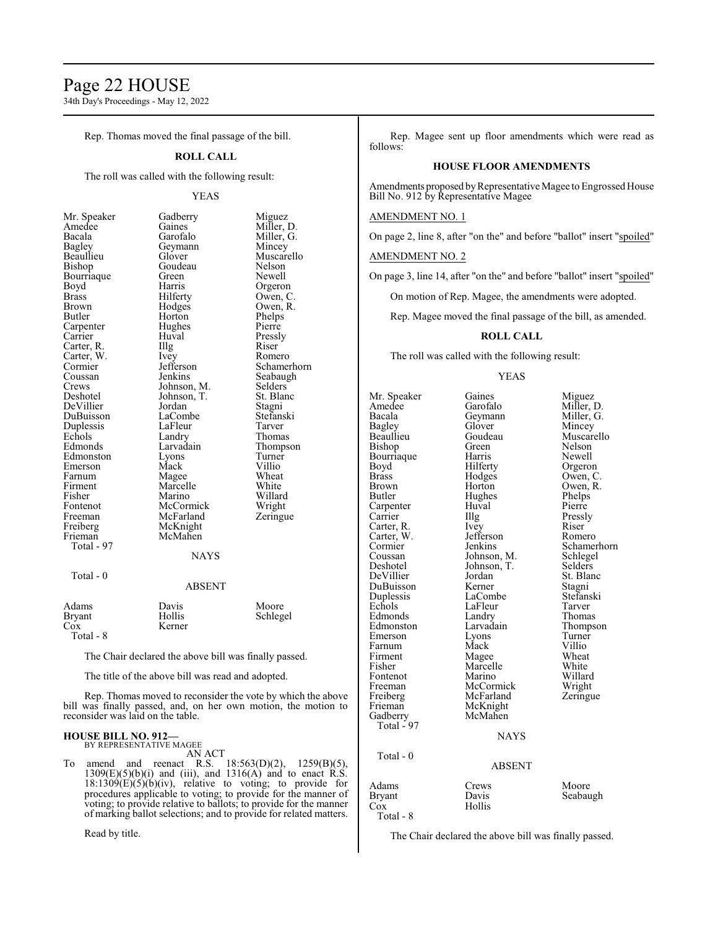# Page 22 HOUSE

34th Day's Proceedings - May 12, 2022

Rep. Thomas moved the final passage of the bill.

### **ROLL CALL**

The roll was called with the following result:

YEAS

| Mr. Speaker | Gadberry    | Miguez      |
|-------------|-------------|-------------|
| Amedee      | Gaines      | Miller, D.  |
| Bacala      | Garofalo    | Miller, G.  |
| Bagley      | Geymann     | Mincey      |
| Beaullieu   | Glover      | Muscarello  |
| Bishop      | Goudeau     | Nelson      |
| Bourriaque  | Green       | Newell      |
| Boyd        | Harris      | Orgeron     |
| Brass       | Hilferty    | Owen, C.    |
| Brown       | Hodges      | Owen, R.    |
| Butler      | Horton      | Phelps      |
| Carpenter   | Hughes      | Pierre      |
| Carrier     | Huval       | Pressly     |
| Carter, R.  | Illg        | Riser       |
| Carter, W.  | Ivey        | Romero      |
| Cormier     | Jefferson   | Schamerhorn |
| Coussan     | Jenkins     | Seabaugh    |
| Crews       | Johnson, M. | Selders     |
| Deshotel    | Johnson, T. | St. Blanc   |
| DeVillier   | Jordan      | Stagni      |
| DuBuisson   | LaCombe     | Stefanski   |
| Duplessis   | LaFleur     | Tarver      |
| Echols      | Landry      | Thomas      |
| Edmonds     | Larvadain   | Thompson    |
| Edmonston   | Lyons       | Turner      |
| Emerson     | Mack        | Villio      |
| Farnum      | Magee       | Wheat       |
| Firment     | Marcelle    | White       |
| Fisher      | Marino      | Willard     |
| Fontenot    | McCormick   | Wright      |
| Freeman     | McFarland   | Zeringue    |
| Freiberg    | McKnight    |             |
| Frieman     | McMahen     |             |
| Total - 97  |             |             |
|             | <b>NAYS</b> |             |
| Total - 0   |             |             |
|             | ABSENT      |             |
| Adams       | Davis       | Moore       |
| Bryant      | Hollis      | Schlegel    |
| $\cos$      | Kerner      |             |

Total - 8

The Chair declared the above bill was finally passed.

The title of the above bill was read and adopted.

Rep. Thomas moved to reconsider the vote by which the above bill was finally passed, and, on her own motion, the motion to reconsider was laid on the table.

#### **HOUSE BILL NO. 912—** BY REPRESENTATIVE MAGEE

AN ACT

To amend and reenact R.S. 18:563(D)(2), 1259(B)(5),  $1309(E)(5)(b)(i)$  and (iii), and  $1316(A)$  and to enact  $\hat{R}.\hat{S}$ .  $18:1309(E)(5)(b)(iv)$ , relative to voting; to provide for procedures applicable to voting; to provide for the manner of voting; to provide relative to ballots; to provide for the manner of marking ballot selections; and to provide for related matters.

Read by title.

Rep. Magee sent up floor amendments which were read as follows:

#### **HOUSE FLOOR AMENDMENTS**

Amendments proposed byRepresentative Magee to Engrossed House Bill No. 912 by Representative Magee

#### AMENDMENT NO. 1

On page 2, line 8, after "on the" and before "ballot" insert "spoiled"

AMENDMENT NO. 2

On page 3, line 14, after "on the" and before "ballot" insert "spoiled"

On motion of Rep. Magee, the amendments were adopted.

Rep. Magee moved the final passage of the bill, as amended.

# **ROLL CALL**

The roll was called with the following result:

#### YEAS

Mr. Speaker Gaines Miguez<br>Amedee Garofalo Miller, 1 Amedee Garofalo Miller, D.<br>Bacala Geymann Miller, G. Bacala Geymann<br>Bagley Glover Bagley Glover Mincey<br>Beaullieu Goudeau Muscar Goudeau Muscarello<br>Green Nelson Bishop Green Nelson<br>Bourriaque Harris Newell Bourriaque Harris<br>Boyd Hilferty Boyd Hilferty Orgeron<br>Brass Hodges Owen, C Brass Hodges Owen, C. Brown Horton Owen, R.<br>Butler Hughes Phelps Hughes Carpenter Huval Pierre<br>Carrier Hugh Pressl The Pressly<br>
Ivey Riser Carter, R. Ivey Riser Riser<br>Carter, W. Jefferson Romero Carter, W. Jefferson<br>Cormier Jenkins Cormier Jenkins Schamerhorn<br>Coussan Johnson, M. Schlegel Coussan Johnson, M. Schlege<br>Deshotel Johnson, T. Selders Johnson, T. Selders<br>Jordan St. Blanc DeVillier Jordan St. Blanc<br>DuBuisson Kerner Stagni DuBuisson Kerner Stagni<br>
Duplessis LaCombe Stefanski Duplessis LaCombe Stefans<br>
Echols LaFleur Tarver Example 12 LaFleur Tarver<br>
Example 2 Landry Thomas Edmonds Landry Thomas<br>
Edmonston Larvadain Thompson Edmonston Larvadain Thomp<br>Emerson Lyons Turner Farnum Mack Villio<br>Firment Magee Wheat Firment Magee Wheat<br>
Fisher Marcelle White Fontenot Marino Willard<br>Freeman McCormick Wright Freeman McCormick Wright<br>
Freiberg McFarland Zeringue Freiberg McFarland<br>Frieman McKnight McKnight<br>McMahen Gadberry Total - 97 Total - 0

Lyons Turner<br>Mack Villio Marcelle White<br>
Marino Willard NAYS

# ABSENT

|                                     | . . <i>.</i>             |                   |
|-------------------------------------|--------------------------|-------------------|
| Adams<br>Bryant<br>Cox<br>Total - 8 | Crews<br>Davis<br>Hollis | Moore<br>Seabaugh |
|                                     |                          |                   |

The Chair declared the above bill was finally passed.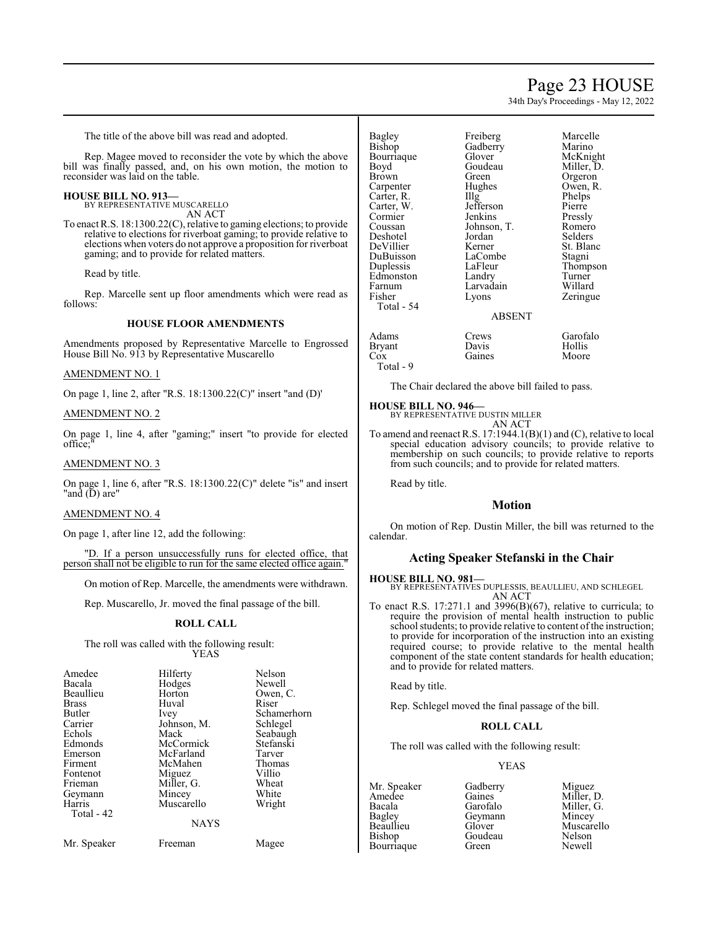# Page 23 HOUSE

34th Day's Proceedings - May 12, 2022

The title of the above bill was read and adopted.

Rep. Magee moved to reconsider the vote by which the above bill was finally passed, and, on his own motion, the motion to reconsider was laid on the table.

#### **HOUSE BILL NO. 913—**

BY REPRESENTATIVE MUSCARELLO AN ACT

To enact R.S. 18:1300.22(C), relative to gaming elections; to provide relative to elections for riverboat gaming; to provide relative to elections when voters do not approve a proposition for riverboat gaming; and to provide for related matters.

Read by title.

Rep. Marcelle sent up floor amendments which were read as follows:

#### **HOUSE FLOOR AMENDMENTS**

Amendments proposed by Representative Marcelle to Engrossed House Bill No. 913 by Representative Muscarello

#### AMENDMENT NO. 1

On page 1, line 2, after "R.S. 18:1300.22(C)" insert "and (D)'

#### AMENDMENT NO. 2

On page 1, line 4, after "gaming;" insert "to provide for elected office;"

#### AMENDMENT NO. 3

On page 1, line 6, after "R.S. 18:1300.22(C)" delete "is" and insert "and (D) are"

#### AMENDMENT NO. 4

On page 1, after line 12, add the following:

"D. If a person unsuccessfully runs for elected office, that person shall not be eligible to run for the same elected office again."

On motion of Rep. Marcelle, the amendments were withdrawn.

Rep. Muscarello, Jr. moved the final passage of the bill.

#### **ROLL CALL**

The roll was called with the following result: YEAS

| Amedee<br>Bacala<br>Beaullieu<br><b>Brass</b><br><b>Butler</b><br>Carrier<br>Echols<br>Edmonds<br>Emerson<br>Firment<br>Fontenot<br>Frieman<br>Geymann<br>Harris<br>Total - 42 | Hilferty<br>Hodges<br>Horton<br>Huval<br>Ivey<br>Johnson, M.<br>Mack<br>McCormick<br>McFarland<br>McMahen<br>Miguez<br>Miller, G.<br>Mincey<br>Muscarello<br><b>NAYS</b> | Nelson<br>Newell<br>Owen, C.<br>Riser<br>Schamerhorn<br>Schlegel<br>Seabaugh<br>Stefanski<br>Tarver<br><b>Thomas</b><br>Villio<br>Wheat<br>White<br>Wright |
|--------------------------------------------------------------------------------------------------------------------------------------------------------------------------------|--------------------------------------------------------------------------------------------------------------------------------------------------------------------------|------------------------------------------------------------------------------------------------------------------------------------------------------------|
| Mr. Speaker                                                                                                                                                                    | Freeman                                                                                                                                                                  | Magee                                                                                                                                                      |

| Bagley     | Freiberg      | Marcelle   |
|------------|---------------|------------|
| Bishop     | Gadberry      | Marino     |
| Bourriaque | Glover        | McKnight   |
| Boyd       | Goudeau       | Miller, D. |
| Brown      | Green         | Orgeron    |
| Carpenter  | Hughes        | Owen, R.   |
| Carter, R. | IIIg          | Phelps     |
| Carter, W. | Jefferson     | Pierre     |
| Cormier    | Jenkins       | Pressly    |
| Coussan    | Johnson, T.   | Romero     |
| Deshotel   | Jordan        | Selders    |
| DeVillier  | Kerner        | St. Blanc  |
| DuBuisson  | LaCombe       | Stagni     |
| Duplessis  | LaFleur       | Thompson   |
| Edmonston  | Landry        | Turner     |
| Farnum     | Larvadain     | Willard    |
| Fisher     | Lyons         | Zeringue   |
| Total - 54 |               |            |
|            | <b>ABSENT</b> |            |
| Adams      | Crews         | Garofalo   |
| Bryant     | Davis         | Hollis     |
| Cox        | Gaines        | Moore      |
|            |               |            |

The Chair declared the above bill failed to pass.

#### **HOUSE BILL NO. 946—**

Total - 9

BY REPRESENTATIVE DUSTIN MILLER AN ACT

To amend and reenact R.S. 17:1944.1(B)(1) and (C), relative to local special education advisory councils; to provide relative to membership on such councils; to provide relative to reports from such councils; and to provide for related matters.

Read by title.

# **Motion**

On motion of Rep. Dustin Miller, the bill was returned to the calendar.

### **Acting Speaker Stefanski in the Chair**

**HOUSE BILL NO. 981—** BY REPRESENTATIVES DUPLESSIS, BEAULLIEU, AND SCHLEGEL AN ACT

To enact R.S. 17:271.1 and 3996(B)(67), relative to curricula; to require the provision of mental health instruction to public school students; to provide relative to content of the instruction; to provide for incorporation of the instruction into an existing required course; to provide relative to the mental health component of the state content standards for health education; and to provide for related matters.

Read by title.

Rep. Schlegel moved the final passage of the bill.

#### **ROLL CALL**

The roll was called with the following result:

#### YEAS

- Mr. Speaker Gadberry Miguez<br>Amedee Gaines Miller. I Bagley Geymann<br>Beaullieu Glover Bourriaque
- Amedee Gaines Miller, D.<br>Bacala Garofalo Miller. G. Bacala Garofalo Miller, G.<br>Bagley Geymann Mincey Goudeau Nelson<br>Green Newell

Beaulieu Glover Muscarello<br>Bishop Goudeau Nelson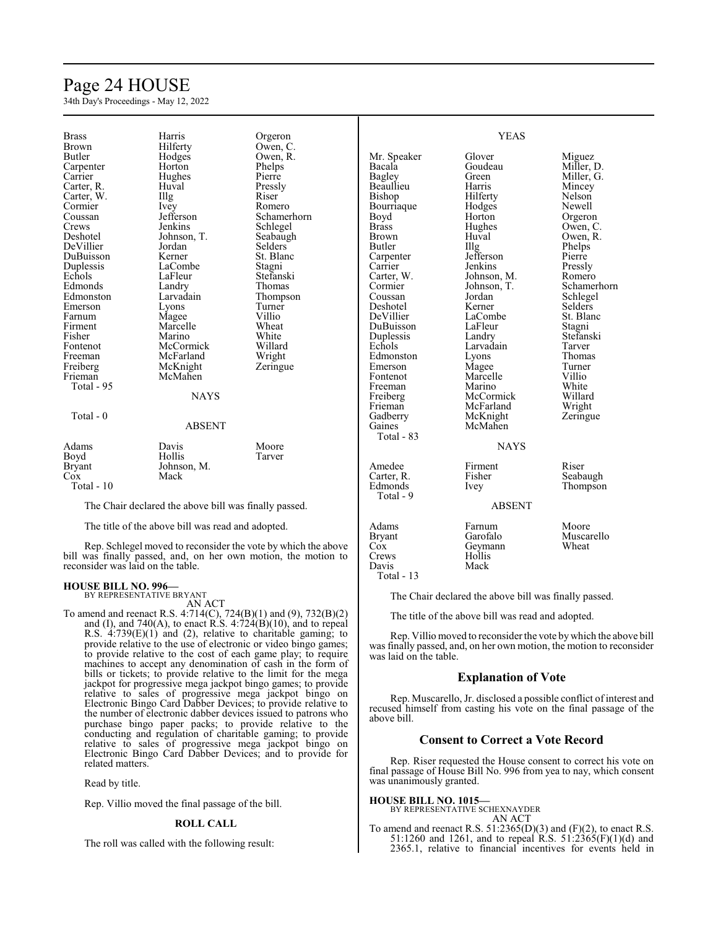# Page 24 HOUSE

34th Day's Proceedings - May 12, 2022

| <b>Brass</b>                      | Harris                                                | Orgeron                                                        |               | <b>YEAS</b>   |                |
|-----------------------------------|-------------------------------------------------------|----------------------------------------------------------------|---------------|---------------|----------------|
| Brown                             | Hilferty                                              | Owen, C.                                                       |               |               |                |
| <b>Butler</b>                     | Hodges                                                | Owen, R.                                                       | Mr. Speaker   | Glover        | Miguez         |
| Carpenter                         | Horton                                                | Phelps                                                         | Bacala        | Goudeau       | Miller, D.     |
| Carrier                           | Hughes                                                | Pierre                                                         | Bagley        | Green         | Miller, G.     |
| Carter, R.                        | Huval                                                 | Pressly                                                        | Beaullieu     | Harris        | Mincey         |
| Carter, W.                        | Illg                                                  | Riser                                                          | Bishop        | Hilferty      | Nelson         |
| Cormier                           | Ivey                                                  | Romero                                                         | Bourriaque    | Hodges        | Newell         |
| Coussan                           | Jefferson                                             | Schamerhorn                                                    | Boyd          | Horton        | Orgeron        |
| Crews                             | Jenkins                                               | Schlegel                                                       | <b>Brass</b>  | Hughes        | Owen, C.       |
| Deshotel                          | Johnson, T.                                           | Seabaugh                                                       | <b>Brown</b>  | Huval         | Owen, R.       |
| DeVillier                         | Jordan                                                | <b>Selders</b>                                                 | Butler        | IIIg          | Phelps         |
| DuBuisson                         | Kerner                                                | St. Blanc                                                      | Carpenter     | Jefferson     | Pierre         |
| Duplessis                         | LaCombe                                               | Stagni                                                         | Carrier       | Jenkins       | Pressly        |
| Echols                            | LaFleur                                               | Stefanski                                                      | Carter, W.    | Johnson, M.   | Romero         |
| Edmonds                           | Landry                                                | Thomas                                                         | Cormier       | Johnson, T.   | Schamerhorn    |
| Edmonston                         | Larvadain                                             | Thompson                                                       | Coussan       | Jordan        | Schlegel       |
| Emerson                           | Lyons                                                 | Turner                                                         | Deshotel      | Kerner        | <b>Selders</b> |
| Farnum                            | Magee                                                 | Villio                                                         | DeVillier     | LaCombe       | St. Blanc      |
| Firment                           | Marcelle                                              | Wheat                                                          | DuBuisson     | LaFleur       | Stagni         |
| Fisher                            | Marino                                                | White                                                          | Duplessis     | Landry        | Stefanski      |
| Fontenot                          | McCormick                                             | Willard                                                        | Echols        | Larvadain     | Tarver         |
| Freeman                           | McFarland                                             | Wright                                                         | Edmonston     | Lyons         | Thomas         |
| Freiberg                          | McKnight                                              | Zeringue                                                       | Emerson       | Magee         | Turner         |
| Frieman                           | McMahen                                               |                                                                | Fontenot      | Marcelle      | Villio         |
| Total - 95                        |                                                       |                                                                | Freeman       | Marino        | White          |
|                                   | <b>NAYS</b>                                           |                                                                | Freiberg      | McCormick     | Willard        |
|                                   |                                                       |                                                                | Frieman       | McFarland     | Wright         |
| Total - 0                         |                                                       |                                                                | Gadberry      | McKnight      | Zeringue       |
|                                   | <b>ABSENT</b>                                         |                                                                | Gaines        | McMahen       |                |
|                                   |                                                       |                                                                | Total - 83    |               |                |
| Adams                             | Davis                                                 | Moore                                                          |               | <b>NAYS</b>   |                |
| Boyd                              | Hollis                                                | Tarver                                                         |               |               |                |
| Bryant                            | Johnson, M.                                           |                                                                | Amedee        | Firment       | Riser          |
| Cox                               | Mack                                                  |                                                                | Carter, R.    | Fisher        | Seabaugh       |
| Total - 10                        |                                                       |                                                                | Edmonds       | Ivey          | Thompson       |
|                                   |                                                       |                                                                | Total - 9     |               |                |
|                                   | The Chair declared the above bill was finally passed. |                                                                |               | <b>ABSENT</b> |                |
|                                   | The title of the above bill was read and adopted.     |                                                                | Adams         | Farnum        | Moore          |
|                                   |                                                       |                                                                | <b>Bryant</b> | Garofalo      | Muscarello     |
|                                   |                                                       | Rep. Schlegel moved to reconsider the vote by which the above  | Cox           | Geymann       | Wheat          |
|                                   |                                                       | bill was finally passed, and, on her own motion, the motion to | Crews         | Hollis        |                |
| reconsider was laid on the table. |                                                       | Davis                                                          | Mack          |               |                |

Davis Total - 13

reconsider was laid on the table.

**HOUSE BILL NO. 996—** BY REPRESENTATIVE BRYANT

AN ACT

To amend and reenact R.S. 4:714(C), 724(B)(1) and (9), 732(B)(2) and (I), and 740(A), to enact R.S.  $4:724(B)(10)$ , and to repeal R.S. 4:739(E)(1) and (2), relative to charitable gaming; to provide relative to the use of electronic or video bingo games; to provide relative to the cost of each game play; to require machines to accept any denomination of cash in the form of bills or tickets; to provide relative to the limit for the mega jackpot for progressive mega jackpot bingo games; to provide relative to sales of progressive mega jackpot bingo on Electronic Bingo Card Dabber Devices; to provide relative to the number of electronic dabber devices issued to patrons who purchase bingo paper packs; to provide relative to the conducting and regulation of charitable gaming; to provide relative to sales of progressive mega jackpot bingo on Electronic Bingo Card Dabber Devices; and to provide for related matters.

Read by title.

Rep. Villio moved the final passage of the bill.

#### **ROLL CALL**

The roll was called with the following result:

The Chair declared the above bill was finally passed.

The title of the above bill was read and adopted.

Rep. Villio moved to reconsider the vote by which the above bill was finally passed, and, on her own motion, the motion to reconsider was laid on the table.

# **Explanation of Vote**

Rep. Muscarello, Jr. disclosed a possible conflict of interest and recused himself from casting his vote on the final passage of the above bill.

### **Consent to Correct a Vote Record**

Rep. Riser requested the House consent to correct his vote on final passage of House Bill No. 996 from yea to nay, which consent was unanimously granted.

**HOUSE BILL NO. 1015—**

BY REPRESENTATIVE SCHEXNAYDER AN ACT

To amend and reenact R.S. 51:2365(D)(3) and (F)(2), to enact R.S. 51:1260 and 1261, and to repeal R.S. 51:2365(F)(1)(d) and 2365.1, relative to financial incentives for events held in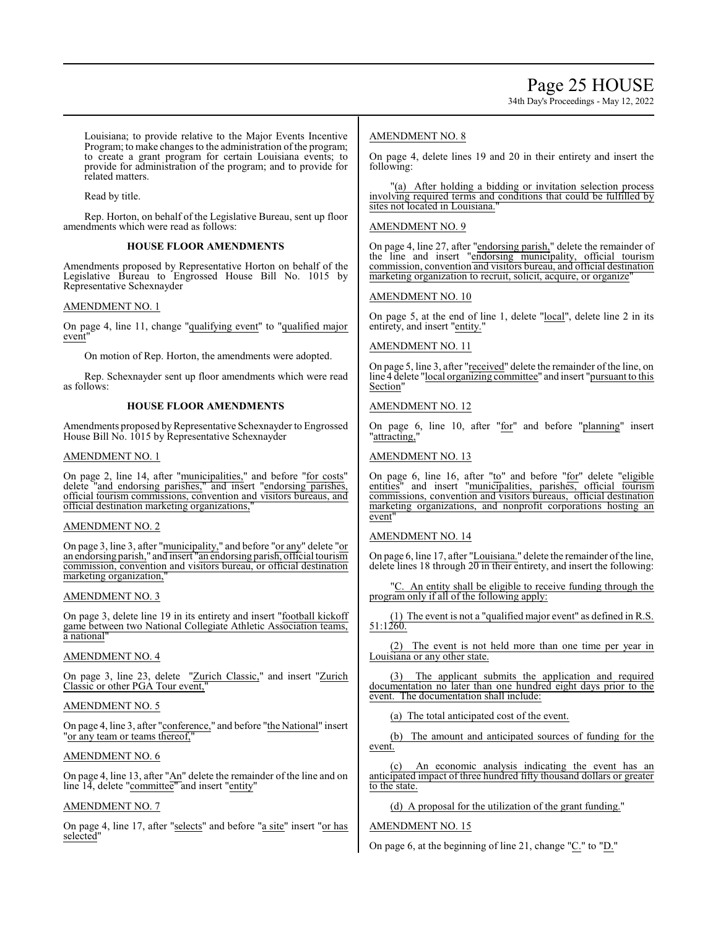34th Day's Proceedings - May 12, 2022

Louisiana; to provide relative to the Major Events Incentive Program; to make changes to the administration of the program; to create a grant program for certain Louisiana events; to provide for administration of the program; and to provide for related matters.

Read by title.

Rep. Horton, on behalf of the Legislative Bureau, sent up floor amendments which were read as follows:

# **HOUSE FLOOR AMENDMENTS**

Amendments proposed by Representative Horton on behalf of the Legislative Bureau to Engrossed House Bill No. 1015 by Representative Schexnayder

# AMENDMENT NO. 1

On page 4, line 11, change "qualifying event" to "qualified major event

On motion of Rep. Horton, the amendments were adopted.

Rep. Schexnayder sent up floor amendments which were read as follows:

# **HOUSE FLOOR AMENDMENTS**

Amendments proposed by Representative Schexnayder to Engrossed House Bill No. 1015 by Representative Schexnayder

# AMENDMENT NO. 1

On page 2, line 14, after "municipalities," and before "for costs" delete "and endorsing parishes," and insert "endorsing parishes, official tourism commissions, convention and visitors bureaus, and official destination marketing organizations,"

# AMENDMENT NO. 2

On page 3, line 3, after "municipality," and before "or any" delete "or an endorsing parish," and insert "an endorsing parish, official tourism commission, convention and visitors bureau, or official destination marketing organization,

# AMENDMENT NO. 3

On page 3, delete line 19 in its entirety and insert "football kickoff game between two National Collegiate Athletic Association teams, a national"

# AMENDMENT NO. 4

On page 3, line 23, delete "Zurich Classic," and insert "Zurich Classic or other PGA Tour event,"

# AMENDMENT NO. 5

On page 4, line 3, after "conference," and before "the National" insert "or any team or teams thereof,

# AMENDMENT NO. 6

On page 4, line 13, after "An" delete the remainder of the line and on line 14, delete "committee" and insert "entity"

# AMENDMENT NO. 7

On page 4, line 17, after "selects" and before "a site" insert "or has selected"

# AMENDMENT NO. 8

On page 4, delete lines 19 and 20 in their entirety and insert the following:

"(a) After holding a bidding or invitation selection process involving required terms and conditions that could be fulfilled by sites not located in Louisiana.

# AMENDMENT NO. 9

On page 4, line 27, after "endorsing parish," delete the remainder of the line and insert "endorsing municipality, official tourism commission, convention and visitors bureau, and official destination marketing organization to recruit, solicit, acquire, or organize

# AMENDMENT NO. 10

On page 5, at the end of line 1, delete "local", delete line 2 in its entirety, and insert "entity."

# AMENDMENT NO. 11

On page 5, line 3, after "received" delete the remainder of the line, on line 4 delete "local organizing committee" and insert "pursuant to this Section"

# AMENDMENT NO. 12

On page 6, line 10, after "for" and before "planning" insert "attracting,

# AMENDMENT NO. 13

On page 6, line 16, after "to" and before "for" delete "eligible entities" and insert "municipalities, parishes, official tourism commissions, convention and visitors bureaus, official destination marketing organizations, and nonprofit corporations hosting an event

# AMENDMENT NO. 14

On page 6, line 17, after "Louisiana." delete the remainder ofthe line, delete lines 18 through 20 in their entirety, and insert the following:

"C. An entity shall be eligible to receive funding through the program only if all of the following apply:

(1) The event is not a "qualified major event" as defined in R.S. 51:1260.

(2) The event is not held more than one time per year in Louisiana or any other state.

(3) The applicant submits the application and required documentation no later than one hundred eight days prior to the event. The documentation shall include:

(a) The total anticipated cost of the event.

(b) The amount and anticipated sources of funding for the event.

(c) An economic analysis indicating the event has an anticipated impact of three hundred fifty thousand dollars or greater to the state.

# (d) A proposal for the utilization of the grant funding."

# AMENDMENT NO. 15

On page 6, at the beginning of line 21, change "C." to "D."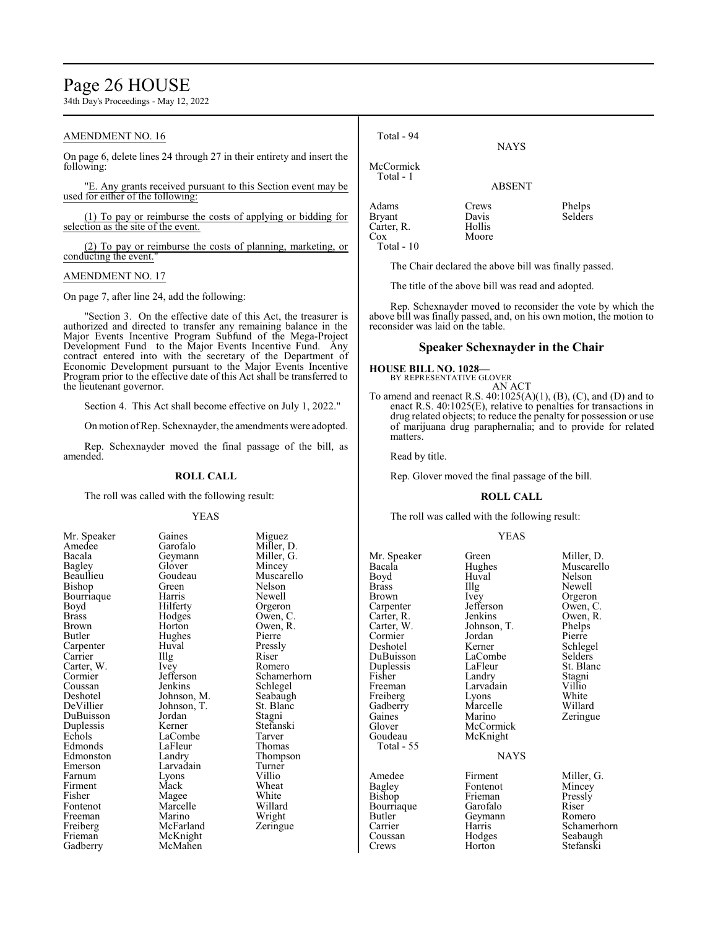# Page 26 HOUSE

34th Day's Proceedings - May 12, 2022

# AMENDMENT NO. 16

On page 6, delete lines 24 through 27 in their entirety and insert the following:

"E. Any grants received pursuant to this Section event may be used for either of the following:

(1) To pay or reimburse the costs of applying or bidding for selection as the site of the event.

(2) To pay or reimburse the costs of planning, marketing, or conducting the event."

### AMENDMENT NO. 17

On page 7, after line 24, add the following:

"Section 3. On the effective date of this Act, the treasurer is authorized and directed to transfer any remaining balance in the Major Events Incentive Program Subfund of the Mega-Project Development Fund to the Major Events Incentive Fund. Any contract entered into with the secretary of the Department of Economic Development pursuant to the Major Events Incentive Program prior to the effective date of this Act shall be transferred to the lieutenant governor.

Section 4. This Act shall become effective on July 1, 2022."

Onmotion ofRep. Schexnayder, the amendments were adopted.

Rep. Schexnayder moved the final passage of the bill, as amended.

#### **ROLL CALL**

The roll was called with the following result:

Bacala Geymann<br>Bagley Glover Bourriaque Harris<br>Boyd Hilferty Carter, W. Ivey<br>Cormier Jefferson DuBuisson Jordan<br>
Dunlessis Kerner Freiberg McFarland<br>Frieman McKnight Frieman McKnight<br>Gadberry McMahen

YEAS Mr. Speaker Gaines Miguez<br>Amedee Garofalo Miller I Amedee Garofalo Miller, D.<br>Bacala Geymann Miller, G. Bagley Glover Mincey Goudeau Muscarello<br>Green Nelson Bishop Green Nelson<br>Bourriaque Harris Newell Boyd Hilferty Orgeron<br>Brass Hodges Owen, C Brass Hodges Owen, C. Brown Horton Owen, R.<br>Butler Hughes Pierre Hughes Pierre<br>Huval Pressly Carpenter Huval Pressl<br>Carrier Hugh Riser Carrier Illg Riser<br>Carter, W. Ivey Romero Cormier Jefferson Schamerhorn<br>Coussan Jenkins Schlegel Coussan Jenkins Schlegel<br>Deshotel Johnson, M. Seabaugh Deshotel Johnson, M. Seabaugh<br>DeVillier Johnson, T. St. Blanc Johnson, T. St. Blanch<br>Jordan Stagni Duplessis Kerner Stefanski LaCombe Tarver<br>
LaFleur Thomas Edmonds LaFleur Thomas<br>Edmonston Landry Thompson Edmonston Landry Thomp<br>Emerson Larvadain Turner Larvadain Turner<br>Lyons Villio Farnum Lyons Villio Firment Mack Wheat<br>
Fisher Magee White Fisher Magee White<br>Fontenot Marcelle Willard Marcelle Willard<br>
Marino Wright Freeman Marino Wright<br>
Freiberg McFarland Zeringue McMahen

| Total - 94                                                | <b>NAYS</b>                       |                   |
|-----------------------------------------------------------|-----------------------------------|-------------------|
| McCormick<br>Total - 1                                    | <b>ABSENT</b>                     |                   |
| Adams<br><b>Bryant</b><br>Carter, R.<br>Cox<br>Total - 10 | Crews<br>Davis<br>Hollis<br>Moore | Phelps<br>Selders |

The Chair declared the above bill was finally passed.

The title of the above bill was read and adopted.

Rep. Schexnayder moved to reconsider the vote by which the above bill was finally passed, and, on his own motion, the motion to reconsider was laid on the table.

### **Speaker Schexnayder in the Chair**

#### **HOUSE BILL NO. 1028—**

BY REPRESENTATIVE GLOVER AN ACT

To amend and reenact R.S. 40:1025(A)(1), (B), (C), and (D) and to enact R.S. 40:1025(E), relative to penalties for transactions in drug related objects; to reduce the penalty for possession or use of marijuana drug paraphernalia; and to provide for related matters.

Read by title.

Rep. Glover moved the final passage of the bill.

# **ROLL CALL**

The roll was called with the following result:

#### YEAS

| Mr. Speaker<br>Bacala<br>Boyd<br><b>Brass</b><br>Brown<br>Carpenter<br>Carter, R.<br>Carter, W.<br>Cormier<br>Deshotel<br>DuBuisson<br>Duplessis<br>Fisher<br>Freeman<br>Freiberg<br>Gadberry<br>Gaines<br>Glover<br>Goudeau<br>Total - 55 | Green<br>Hughes<br>Huval<br>Illg<br>Ivey<br>Jefferson<br>Jenkins<br>Johnson, T.<br>Jordan<br>Kerner<br>LaCombe<br>LaFleur<br>Landry<br>Larvadain<br>Lyons<br>Marcelle<br>Marino<br>McCormick<br>McKnight<br><b>NAYS</b> | Miller, D.<br>Muscarello<br>Nelson<br>Newell<br>Orgeron<br>Owen, C.<br>Owen, R.<br>Phelps<br>Pierre<br>Schlegel<br>Selders<br>St. Blanc<br>Stagni<br>Villio<br>White<br>Willard<br>Zeringue |
|--------------------------------------------------------------------------------------------------------------------------------------------------------------------------------------------------------------------------------------------|-------------------------------------------------------------------------------------------------------------------------------------------------------------------------------------------------------------------------|---------------------------------------------------------------------------------------------------------------------------------------------------------------------------------------------|
|                                                                                                                                                                                                                                            |                                                                                                                                                                                                                         |                                                                                                                                                                                             |
| Amedee<br>Bagley                                                                                                                                                                                                                           | Firment<br>Fontenot                                                                                                                                                                                                     | Miller, G.<br>Mincey                                                                                                                                                                        |
| Bishop                                                                                                                                                                                                                                     | Frieman                                                                                                                                                                                                                 | Pressly                                                                                                                                                                                     |
| Bourriaque                                                                                                                                                                                                                                 | Garofalo                                                                                                                                                                                                                | Riser                                                                                                                                                                                       |
| Butler                                                                                                                                                                                                                                     | Geymann                                                                                                                                                                                                                 | Romero                                                                                                                                                                                      |
| Carrier                                                                                                                                                                                                                                    | Harris                                                                                                                                                                                                                  | Schamerhorn                                                                                                                                                                                 |
| Coussan                                                                                                                                                                                                                                    | Hodges                                                                                                                                                                                                                  | Seabaugh                                                                                                                                                                                    |
| Crews                                                                                                                                                                                                                                      | Horton                                                                                                                                                                                                                  | Stefanski                                                                                                                                                                                   |
|                                                                                                                                                                                                                                            |                                                                                                                                                                                                                         |                                                                                                                                                                                             |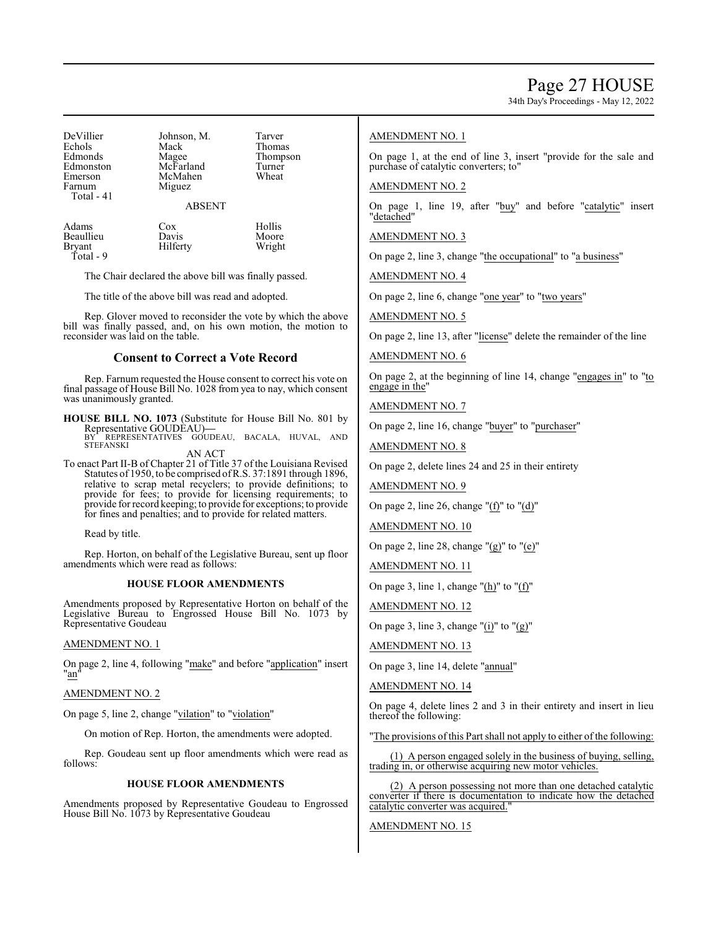34th Day's Proceedings - May 12, 2022

| Johnson, M.   | Tarver             |
|---------------|--------------------|
| Mack          | Thomas             |
|               | Thompson           |
|               | Turner             |
| McMahen       | Wheat              |
| Miguez        |                    |
|               |                    |
| <b>ABSENT</b> |                    |
|               | Magee<br>McFarland |

| Adams         | Cox      | Hollis |
|---------------|----------|--------|
| Beaullieu     | Davis    | Moore  |
| <b>Bryant</b> | Hilferty | Wright |
| Total - 9     |          |        |

The Chair declared the above bill was finally passed.

The title of the above bill was read and adopted.

Rep. Glover moved to reconsider the vote by which the above bill was finally passed, and, on his own motion, the motion to reconsider was laid on the table.

# **Consent to Correct a Vote Record**

Rep. Farnum requested the House consent to correct his vote on final passage of House Bill No. 1028 from yea to nay, which consent was unanimously granted.

**HOUSE BILL NO. 1073** (Substitute for House Bill No. 801 by Representative GOUDEAU)**—** BY REPRESENTATIVES GOUDEAU, BACALA, HUVAL, AND **STEFANSKI** 

AN ACT

To enact Part II-B of Chapter 21 of Title 37 of the Louisiana Revised Statutes of 1950, to be comprised ofR.S. 37:1891 through 1896, relative to scrap metal recyclers; to provide definitions; to provide for fees; to provide for licensing requirements; to provide forrecord keeping; to provide for exceptions; to provide for fines and penalties; and to provide for related matters.

Read by title.

Rep. Horton, on behalf of the Legislative Bureau, sent up floor amendments which were read as follows:

#### **HOUSE FLOOR AMENDMENTS**

Amendments proposed by Representative Horton on behalf of the Legislative Bureau to Engrossed House Bill No. 1073 by Representative Goudeau

### AMENDMENT NO. 1

On page 2, line 4, following "make" and before "application" insert "an"

# AMENDMENT NO. 2

On page 5, line 2, change "vilation" to "violation"

On motion of Rep. Horton, the amendments were adopted.

Rep. Goudeau sent up floor amendments which were read as follows:

#### **HOUSE FLOOR AMENDMENTS**

Amendments proposed by Representative Goudeau to Engrossed House Bill No. 1073 by Representative Goudeau

# AMENDMENT NO. 1

On page 1, at the end of line 3, insert "provide for the sale and purchase of catalytic converters; to"

### AMENDMENT NO. 2

On page 1, line 19, after "buy" and before "catalytic" insert "detached"

AMENDMENT NO. 3

On page 2, line 3, change "the occupational" to "a business"

AMENDMENT NO. 4

On page 2, line 6, change "one year" to "two years"

AMENDMENT NO. 5

On page 2, line 13, after "license" delete the remainder of the line

# AMENDMENT NO. 6

On page 2, at the beginning of line 14, change "engages in" to "to engage in the"

AMENDMENT NO. 7

On page 2, line 16, change "buyer" to "purchaser"

AMENDMENT NO. 8

On page 2, delete lines 24 and 25 in their entirety

AMENDMENT NO. 9

On page 2, line 26, change "(f)" to "(d)"

AMENDMENT NO. 10

On page 2, line 28, change " $(g)$ " to " $(e)$ "

AMENDMENT NO. 11

On page 3, line 1, change "(h)" to "(f)"

AMENDMENT NO. 12

On page 3, line 3, change " $(i)$ " to " $(g)$ "

AMENDMENT NO. 13

On page 3, line 14, delete "annual"

AMENDMENT NO. 14

On page 4, delete lines 2 and 3 in their entirety and insert in lieu thereof the following:

"The provisions of this Part shall not apply to either of the following:

(1) A person engaged solely in the business of buying, selling, trading in, or otherwise acquiring new motor vehicles.

(2) A person possessing not more than one detached catalytic converter if there is documentation to indicate how the detached catalytic converter was acquired."

### AMENDMENT NO. 15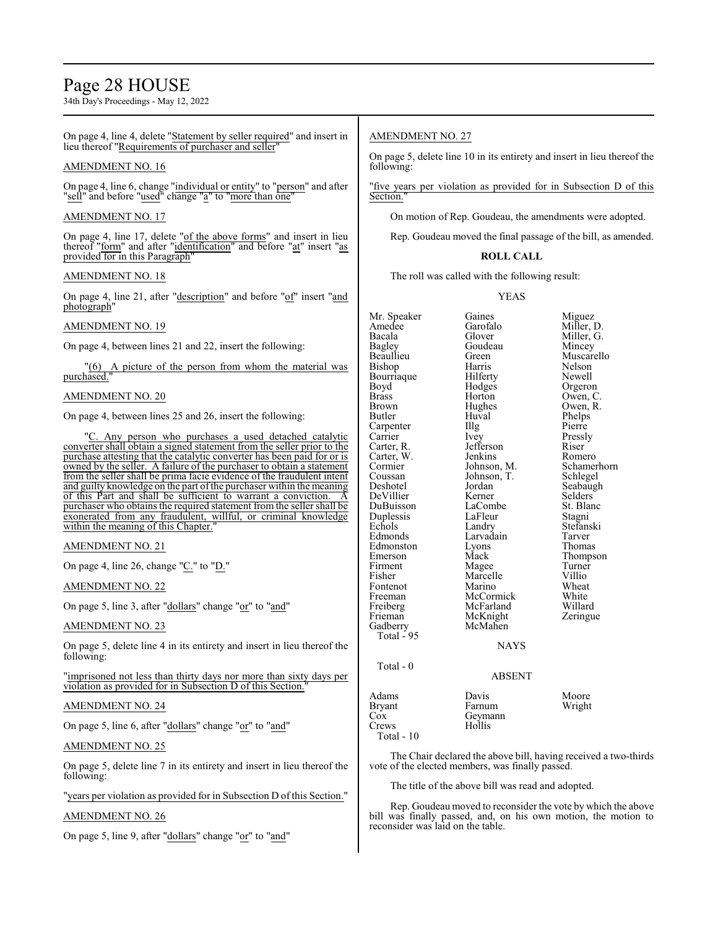# Page 28 HOUSE

34th Day's Proceedings - May 12, 2022

On page 4, line 4, delete "Statement by seller required" and insert in lieu thereof "Requirements of purchaser and seller

### AMENDMENT NO. 16

On page 4, line 6, change "individual or entity" to "person" and after "sell" and before "<u>used</u>" change "a" to "more than one"

### AMENDMENT NO. 17

On page 4, line 17, delete "of the above forms" and insert in lieu thereof "form" and after "identification" and before "at" insert "as provided for in this Paragraph'

### AMENDMENT NO. 18

On page 4, line 21, after "description" and before "of" insert "and photograph"

# AMENDMENT NO. 19

On page 4, between lines 21 and 22, insert the following:

"(6) A picture of the person from whom the material was purchased."

# AMENDMENT NO. 20

On page 4, between lines 25 and 26, insert the following:

Any person who purchases a used detached catalytic converter shall obtain a signed statement from the seller prior to the purchase attesting that the catalytic converter has been paid for or is owned by the seller. A failure of the purchaser to obtain a statement from the seller shall be prima facie evidence of the fraudulent intent and guilty knowledge on the part of the purchaser within the meaning of this Part and shall be sufficient to warrant a conviction. A purchaser who obtains the required statement from the seller shall be exonerated from any fraudulent, willful, or criminal knowledge within the meaning of this Chapter.

# AMENDMENT NO. 21

On page 4, line 26, change "C." to "D."

AMENDMENT NO. 22

On page 5, line 3, after "dollars" change "or" to "and"

### AMENDMENT NO. 23

On page 5, delete line 4 in its entirety and insert in lieu thereof the following:

"imprisoned not less than thirty days nor more than sixty days per violation as provided for in Subsection D of this Section."

#### AMENDMENT NO. 24

On page 5, line 6, after "dollars" change "or" to "and"

# AMENDMENT NO. 25

On page 5, delete line 7 in its entirety and insert in lieu thereof the following:

"years per violation as provided for in Subsection D of this Section."

# AMENDMENT NO. 26

On page 5, line 9, after "dollars" change "or" to "and"

# AMENDMENT NO. 27

On page 5, delete line 10 in its entirety and insert in lieu thereof the following:

"five years per violation as provided for in Subsection D of this Section."

On motion of Rep. Goudeau, the amendments were adopted.

Rep. Goudeau moved the final passage of the bill, as amended.

# **ROLL CALL**

The roll was called with the following result:

#### YEAS

Mr. Speaker Gaines Miguez<br>Amedee Garofalo Miller Amedee Garofalo Miller, D.<br>Bacala Glover Miller. G. Bacala Glover Miller, G. Bagley Goudeau<br>Beaullieu Green Beaullieu Green Muscarello Bishop Harris Nelson Bourriaque Hilferty Newell Boyd Hodges Orgeron<br>Brass Horton Owen, C Brass Horton Owen, C.<br>Brown Hughes Owen, R. Brown Hughes Owen, R. Butler Huval Phelps Huval Phelps<br>Illg Pierre Carpenter Illg<br>Carrier Ivey Carrier Ivey Pressly<br>Carter, R. Jefferson Riser Jefferson Riser<br>Jenkins Romero Carter, W. Jenkins<br>Cormier Johnson, M. Cormier Johnson, M. Schamerhorn<br>Coussan Johnson, T. Schlegel Coussan Johnson, T.<br>Deshotel Jordan Jordan Seabaugh<br>Kerner Selders DeVillier DuBuisson LaCombe St. Blanc<br>
Duplessis LaFleur Stagni Duplessis LaFleu<br>Echols Landry Echols Landry Stefanski<br>Edmonds Larvadain Tarver Larvadain Tarver<br>Lyons Thomas Edmonston Lyons<br>Emerson Mack Mack Thompson<br>
Magee Turner Firment Magee Turner<br>
Fisher Marcelle Villio Marcelle Villio<br>
Marino Wheat Fontenot Marino Wheat<br>
Freeman McCormick White Freeman McCormick White<br>
Freiberg McFarland Willard Freiberg McFarland Willard<br>
Frieman McKnight Zeringue McKnight<br>McMahen Gadberry McMahen Total - 95 **NAYS**  Total - 0 ABSENT Adams Davis Moore<br>Bryant Farnum Wright Farnum Cox Geymann<br>Crews Hollis

Crews Total - 10

| Moor  |
|-------|
| Wrigl |

The Chair declared the above bill, having received a two-thirds vote of the elected members, was finally passed.

The title of the above bill was read and adopted.

Rep. Goudeau moved to reconsider the vote by which the above bill was finally passed, and, on his own motion, the motion to reconsider was laid on the table.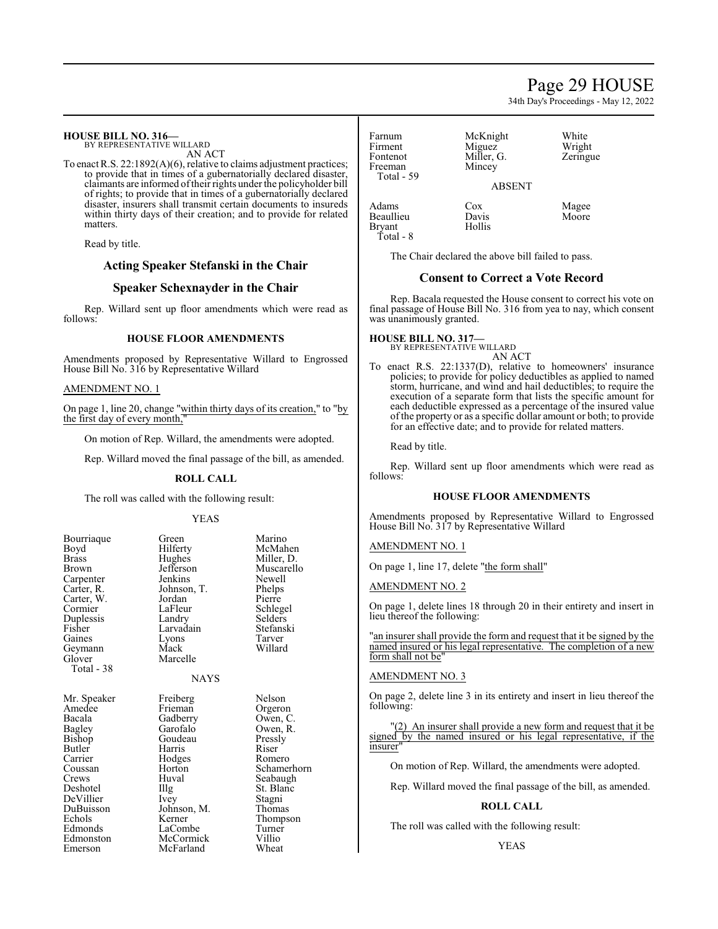# Page 29 HOUSE

34th Day's Proceedings - May 12, 2022

| <b>HOUSE BILL NO. 316—</b> |
|----------------------------|
| BY REPRESENTATIVE WILLARD  |

AN ACT

To enact R.S. 22:1892(A)(6), relative to claims adjustment practices; to provide that in times of a gubernatorially declared disaster, claimants are informed oftheir rights under the policyholder bill of rights; to provide that in times of a gubernatorially declared disaster, insurers shall transmit certain documents to insureds within thirty days of their creation; and to provide for related matters.

Read by title.

# **Acting Speaker Stefanski in the Chair**

# **Speaker Schexnayder in the Chair**

Rep. Willard sent up floor amendments which were read as follows:

#### **HOUSE FLOOR AMENDMENTS**

Amendments proposed by Representative Willard to Engrossed House Bill No. 316 by Representative Willard

#### AMENDMENT NO. 1

On page 1, line 20, change "within thirty days of its creation," to "by the first day of every month,

On motion of Rep. Willard, the amendments were adopted.

Rep. Willard moved the final passage of the bill, as amended.

#### **ROLL CALL**

The roll was called with the following result:

#### YEAS

| Bourriaque<br>Boyd<br><b>Brass</b><br>Brown<br>Carpenter<br>Carter, R.<br>Carter, W.<br>Cormier<br>Duplessis<br>Fisher<br>Gaines<br>Geymann<br>Glover<br>Total - 38 | Green<br>Hilferty<br>Hughes<br>Jefferson<br>Jenkins<br>Johnson, T.<br>Jordan<br>LaFleur<br>Landry<br>Larvadain<br>Lyons<br>Mack<br>Marcelle<br><b>NAYS</b> | Marino<br>McMahen<br>Miller, D.<br>Muscarello<br>Newell<br>Phelps<br>Pierre<br>Schlegel<br>Selders<br>Stefanski<br>Tarver<br>Willard |
|---------------------------------------------------------------------------------------------------------------------------------------------------------------------|------------------------------------------------------------------------------------------------------------------------------------------------------------|--------------------------------------------------------------------------------------------------------------------------------------|
| Mr. Speaker                                                                                                                                                         | Freiberg                                                                                                                                                   | Nelson                                                                                                                               |
| Amedee                                                                                                                                                              | Frieman                                                                                                                                                    | Orgeron                                                                                                                              |
| Bacala                                                                                                                                                              | Gadberry                                                                                                                                                   | Owen, C.                                                                                                                             |
| Bagley                                                                                                                                                              | Garofalo                                                                                                                                                   | Owen, R.                                                                                                                             |
| Bishop                                                                                                                                                              | Goudeau                                                                                                                                                    | Pressly                                                                                                                              |
| Butler                                                                                                                                                              | Harris                                                                                                                                                     | Riser                                                                                                                                |
| Carrier                                                                                                                                                             | Hodges                                                                                                                                                     | Romero                                                                                                                               |
| Coussan                                                                                                                                                             | Horton                                                                                                                                                     | Schamerhorn                                                                                                                          |
| Crews                                                                                                                                                               | Huval                                                                                                                                                      | Seabaugh                                                                                                                             |
| Deshotel                                                                                                                                                            | Illg                                                                                                                                                       | St. Blanc                                                                                                                            |
| DeVillier                                                                                                                                                           | Ivey                                                                                                                                                       | Stagni                                                                                                                               |
| DuBuisson                                                                                                                                                           | Johnson, M.                                                                                                                                                | Thomas                                                                                                                               |
| Echols                                                                                                                                                              | Kerner                                                                                                                                                     | Thompson                                                                                                                             |
| Edmonds                                                                                                                                                             | LaCombe                                                                                                                                                    | Turner                                                                                                                               |
| Edmonston                                                                                                                                                           | McCormick                                                                                                                                                  | Villio                                                                                                                               |
| Emerson                                                                                                                                                             | McFarland                                                                                                                                                  | Wheat                                                                                                                                |

Farnum McKnight White<br>Firment Miguez Wrigh Firment Miguez Wright<br>Fontenot Miller, G. Zeringue Freeman Total - 59

ABSENT

Adams Cox Magee Beaullieu Davis<br>Bryant Hollis Bryant Total - 8

The Chair declared the above bill failed to pass.

Miller, G.<br>Mincey

# **Consent to Correct a Vote Record**

Rep. Bacala requested the House consent to correct his vote on final passage of House Bill No. 316 from yea to nay, which consent was unanimously granted.

# **HOUSE BILL NO. 317—**

- BY REPRESENTATIVE WILLARD AN ACT
- To enact R.S. 22:1337(D), relative to homeowners' insurance policies; to provide for policy deductibles as applied to named storm, hurricane, and wind and hail deductibles; to require the execution of a separate form that lists the specific amount for each deductible expressed as a percentage of the insured value of the property or as a specific dollar amount or both; to provide for an effective date; and to provide for related matters.

Read by title.

Rep. Willard sent up floor amendments which were read as follows:

# **HOUSE FLOOR AMENDMENTS**

Amendments proposed by Representative Willard to Engrossed House Bill No. 317 by Representative Willard

AMENDMENT NO. 1

On page 1, line 17, delete "the form shall"

AMENDMENT NO. 2

On page 1, delete lines 18 through 20 in their entirety and insert in lieu thereof the following:

"an insurer shall provide the form and request that it be signed by the named insured or his legal representative. The completion of a new form shall not be"

#### AMENDMENT NO. 3

On page 2, delete line 3 in its entirety and insert in lieu thereof the following:

"(2) An insurer shall provide a new form and request that it be signed by the named insured or his legal representative, if the insurer"

On motion of Rep. Willard, the amendments were adopted.

Rep. Willard moved the final passage of the bill, as amended.

#### **ROLL CALL**

The roll was called with the following result: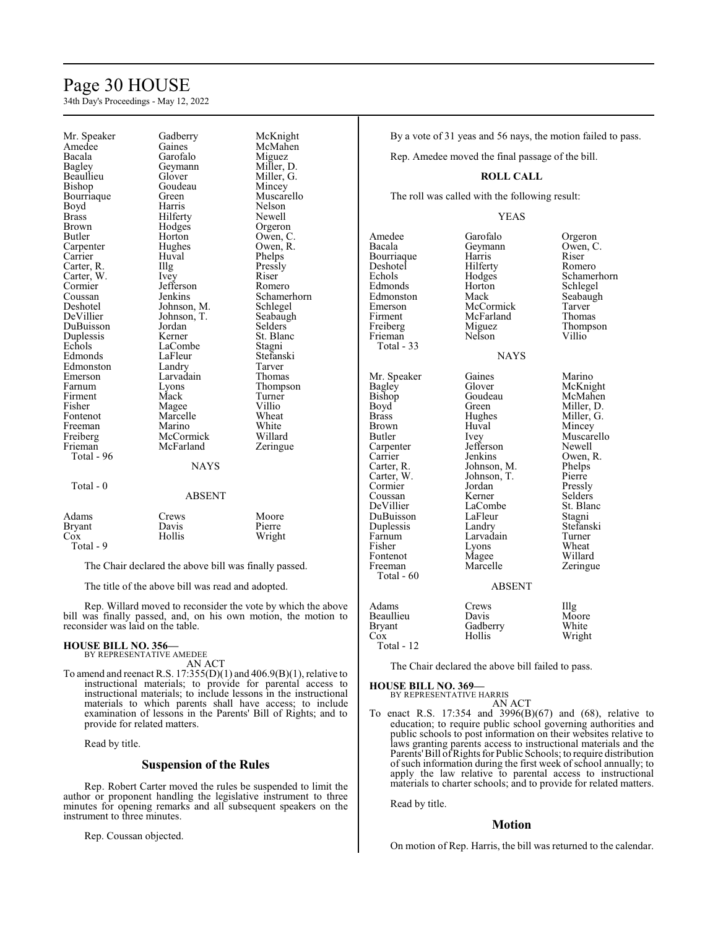# Page 30 HOUSE

34th Day's Proceedings - May 12, 2022

| Mr. Speaker  | Gadberry      | McKnight    |
|--------------|---------------|-------------|
| Amedee       | Gaines        | McMahen     |
| Bacala       | Garofalo      | Miguez      |
| Bagley       | Geymann       | Miller, D.  |
| Beaullieu    | Glover        | Miller, G.  |
| Bishop       | Goudeau       | Mincey      |
| Bourriaque   | Green         | Muscarello  |
| Boyd         | Harris        | Nelson      |
| <b>Brass</b> | Hilferty      | Newell      |
| <b>Brown</b> | Hodges        | Orgeron     |
| Butler       | Horton        | Owen, C.    |
| Carpenter    | Hughes        | Owen, R.    |
| Carrier      | Huval         | Phelps      |
| Carter, R.   | Illg          | Pressly     |
| Carter, W.   | Ivey          | Riser       |
| Cormier      | Jefferson     | Romero      |
| Coussan      | Jenkins       | Schamerhorn |
| Deshotel     | Johnson, M.   | Schlegel    |
| DeVillier    | Johnson, T.   | Seabaugh    |
| DuBuisson    | Jordan        | Selders     |
| Duplessis    | Kerner        | St. Blanc   |
| Echols       | LaCombe       | Stagni      |
| Edmonds      | LaFleur       | Stefanski   |
| Edmonston    | Landry        | Tarver      |
| Emerson      | Larvadain     | Thomas      |
| Farnum       | Lyons         | Thompson    |
| Firment      | Mack          | Turner      |
| Fisher       | Magee         | Villio      |
| Fontenot     | Marcelle      | Wheat       |
| Freeman      | Marino        | White       |
| Freiberg     | McCormick     | Willard     |
| Frieman      | McFarland     | Zeringue    |
| Total - 96   |               |             |
|              | <b>NAYS</b>   |             |
| Total - 0    |               |             |
|              | <b>ABSENT</b> |             |
| Adams        | Crews         | Moore       |
| Bryant       | Davis         | Pierre      |
| $\cos$       | Hollis        | Wright      |

# ABSENT

| Adams     | Crews  | Moore  |
|-----------|--------|--------|
| Bryant    | Davis  | Pierre |
| Cox       | Hollis | Wright |
| Total - 9 |        |        |

The Chair declared the above bill was finally passed.

The title of the above bill was read and adopted.

Rep. Willard moved to reconsider the vote by which the above bill was finally passed, and, on his own motion, the motion to reconsider was laid on the table.

#### **HOUSE BILL NO. 356—**

BY REPRESENTATIVE AMEDEE AN ACT

To amend and reenact R.S.  $17:355(D)(1)$  and  $406.9(B)(1)$ , relative to instructional materials; to provide for parental access to instructional materials; to include lessons in the instructional materials to which parents shall have access; to include examination of lessons in the Parents' Bill of Rights; and to provide for related matters.

Read by title.

### **Suspension of the Rules**

Rep. Robert Carter moved the rules be suspended to limit the author or proponent handling the legislative instrument to three minutes for opening remarks and all subsequent speakers on the instrument to three minutes.

Rep. Coussan objected.

### By a vote of 31 yeas and 56 nays, the motion failed to pass.

Rep. Amedee moved the final passage of the bill.

# **ROLL CALL**

The roll was called with the following result:

#### YEAS

NAYS

Amedee Garofalo Orgeron<br>Bacala Geymann Owen, C Bourriaque Harris<br>
Deshotel Hilferty Deshotel Hilferty Romero<br>Echols Hodges Schamer Edmonds Horton Schlegel<br>Edmonston Mack Seabaugh Edmonston Mack Seabau<br>Emerson McCormick Tarver Emerson McCormick Tarver Firment McFarland<br>Freiberg Miguez Frieman Total - 33 Mr. Speaker Gaines Marino<br>Bagley Glover McKnig Bagley Glover McKnight<br>Bishop Goudeau McMahen Bishop Goudeau McMahen<br>Boyd Green Miller, D. Boyd Green Miller, D.<br>Brass Hughes Miller, G. Brass Hughes Miller, G.<br>Brown Huval Mincey Brown Huval Mincey<br>Butler Ivey Muscare Carpenter Jefferson<br>Carrier Jenkins Carrier Jenkins Owen, R.<br>Carter, R. Johnson, M. Phelps Carter, R. Johnson, M. Phelps<br>Carter, W. Johnson, T. Pierre Cormier Jordan<br>Coussan Kerner DeVillier LaCombe St. Blanc<br>
DuBuisson LaFleur Stagni DuBuisson LaFleur Stagni<br>
Duplessis Landry Stefanski Duplessis Landry Stefans<br>Farnum Larvadain Turner Farnum Larvadain Turner<br>
Fisher Lyons Wheat Fisher Lyons<br>Fontenot Magee Fontenot Magee Willard<br>
Freeman Marcelle Zeringu Total - 60

Geymann Owen, C.<br>Harris Riser Schamerhorn Miguez Thompson<br>Nelson Villio

Ivey Muscarello<br>Jefferson Newell Johnson, T. Pierre<br>Jordan Pressly Selders Zeringue

ABSENT

Adams Crews Illg Beaullieu Davis Moore<br>Bryant Gadberry White Bryant Gadberry<br>Cox Hollis Wright Total - 12

The Chair declared the above bill failed to pass.

#### **HOUSE BILL NO. 369—** BY REPRESENTATIVE HARRIS

AN ACT

To enact R.S. 17:354 and 3996(B)(67) and (68), relative to education; to require public school governing authorities and public schools to post information on their websites relative to laws granting parents access to instructional materials and the Parents' Bill of Rights for Public Schools; to require distribution of such information during the first week of school annually; to apply the law relative to parental access to instructional materials to charter schools; and to provide for related matters.

Read by title.

### **Motion**

On motion of Rep. Harris, the bill was returned to the calendar.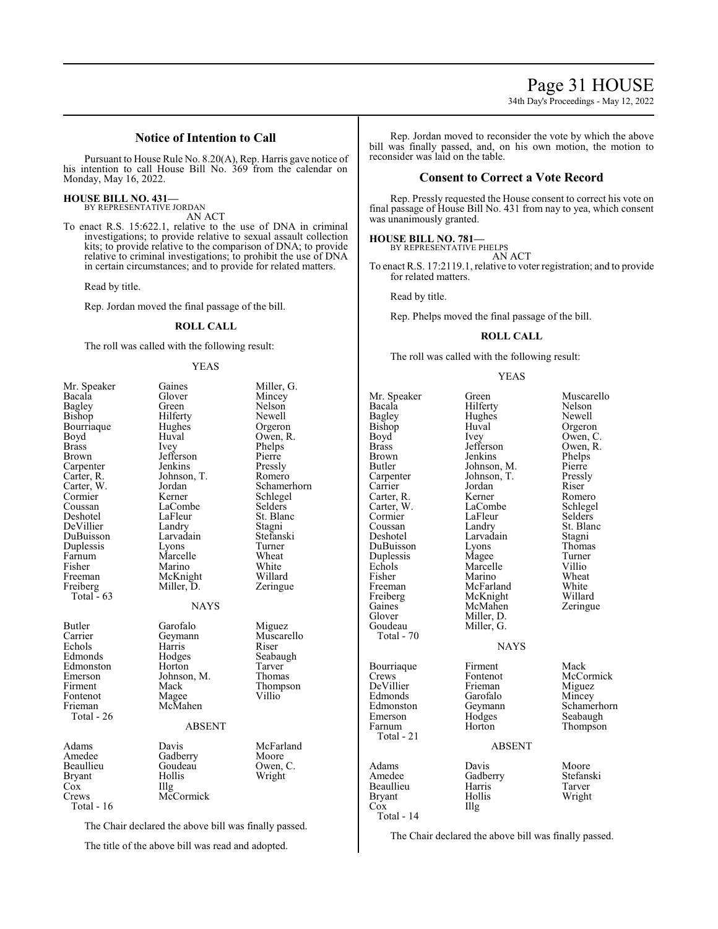# **Notice of Intention to Call**

Pursuant to House Rule No. 8.20(A), Rep. Harris gave notice of his intention to call House Bill No. 369 from the calendar on Monday, May 16, 2022.

#### **HOUSE BILL NO. 431—** BY REPRESENTATIVE JORDAN

AN ACT

To enact R.S. 15:622.1, relative to the use of DNA in criminal investigations; to provide relative to sexual assault collection kits; to provide relative to the comparison of DNA; to provide relative to criminal investigations; to prohibit the use of DNA in certain circumstances; and to provide for related matters.

Read by title.

Rep. Jordan moved the final passage of the bill.

#### **ROLL CALL**

The roll was called with the following result:

### YEAS

| Mr. Speaker<br>Bacala<br>Bagley<br>Bishop<br>Bourriaque<br>Boyd<br>Brass<br>Brown<br>Carpenter<br>Carter, R.<br>Carter, W.<br>Cormier<br>Coussan<br>Deshotel<br>DeVillier<br>DuBuisson<br>Duplessis<br>Farnum<br>Fisher<br>Freeman<br>Freiberg<br>Total $-63$ | Gaines<br>Glover<br>Green<br>Hilferty<br>Hughes<br>Huval<br><i>lvey</i><br>Jefferson<br>Jenkins<br>Johnson, T.<br>Jordan<br>Kerner<br>LaCombe<br>LaFleur<br>Landry<br>Larvadain<br>Lyons<br>Marcelle<br>Marino<br>McKnight<br>Miller, D.<br><b>NAYS</b> | Miller, G.<br>Mincey<br>Nelson<br>Newell<br>Orgeron<br>Owen, R.<br>Phelps<br>Pierre<br>Pressly<br>Romero<br>Schamerhorn<br>Schlegel<br>Selders<br>St. Blanc<br>Stagni<br>Stefanski<br>Turner<br>Wheat<br>White<br>Willard<br>Zeringue |
|---------------------------------------------------------------------------------------------------------------------------------------------------------------------------------------------------------------------------------------------------------------|---------------------------------------------------------------------------------------------------------------------------------------------------------------------------------------------------------------------------------------------------------|---------------------------------------------------------------------------------------------------------------------------------------------------------------------------------------------------------------------------------------|
| Butler<br>Carrier<br>Echols<br>Edmonds<br>Edmonston<br>Emerson<br>Firment<br>Fontenot<br>Frieman<br>Total - 26                                                                                                                                                | Garofalo<br>Geymann<br>Harris<br>Hodges<br>Horton<br>Johnson, M.<br>Mack<br>Magee<br>McMahen<br><b>ABSENT</b>                                                                                                                                           | Miguez<br>Muscarello<br>Riser<br>Seabaugh<br>Tarver<br>Thomas<br>Thompson<br>Villio                                                                                                                                                   |
| Adams<br>Amedee<br>Beaullieu<br><b>Bryant</b><br>Cox<br>Crews<br>Total - 16                                                                                                                                                                                   | Davis<br>Gadberry<br>Goudeau<br>Hollis<br>Illg<br>McCormick                                                                                                                                                                                             | McFarland<br>Moore<br>Owen, C.<br>Wright                                                                                                                                                                                              |

The Chair declared the above bill was finally passed.

The title of the above bill was read and adopted.

Rep. Jordan moved to reconsider the vote by which the above bill was finally passed, and, on his own motion, the motion to reconsider was laid on the table.

# **Consent to Correct a Vote Record**

Rep. Pressly requested the House consent to correct his vote on final passage of House Bill No. 431 from nay to yea, which consent was unanimously granted.

# **HOUSE BILL NO. 781—**

BY REPRESENTATIVE PHELPS AN ACT

To enact R.S. 17:2119.1, relative to voter registration; and to provide for related matters.

Read by title.

Rep. Phelps moved the final passage of the bill.

#### **ROLL CALL**

The roll was called with the following result:

#### YEAS

Bacala **Hilferty** Nelson<br>Bagley Hughes Newell Bagley Hughes<br>Bishop Huval Bishop Huval Orgeron<br>Boyd Ivey Owen, C Boyd Ivey Owen, C.<br>Brass Jefferson Owen, R. Brass Jefferson Owen, R. Brown Jenkins Phelps Brown Jenkins Phelps<br>Butler Johnson, M. Pierre Butler Johnson, M. Pierre<br>Carpenter Johnson, T. Pressly Carrier Jordan Riser<br>Carter R. Kerner Romero Carter, R. Kerner Romero Carter, W. LaCombe Schlege<br>
Cormier LaFleur Selders Cormier LaFleu<br>Coussan Landry Coussan Landry St. Blanc<br>
Deshotel Larvadain Stagni DuBuisson Lyons Thoma<br>
Duplessis Magee Turner Duplessis Magee Turner<br>Echols Marcelle Villio Echols Marcelle Villio<br>Fisher Marino Wheat Fisher Marino Wheat<br>
Freeman McFarland White Freeman McFarland White<br>
Freiberg McKnight Willard Freiberg McKnight Willard<br>Gaines McMahen Zeringue Gaines McMahen<br>Glover Miller, D. Glover Miller, D.<br>Goudeau Miller, G. Total - 70 Bourriaque Firment Mack<br>Crews Fontenot McCo DeVillier Frieman Miguez<br>Edmonds Garofalo Mincey Edmonds Garofalo<br>Edmonston Geymann Edmonston Geymann Schamerhorn<br>Emerson Hodges Seabaugh Emerson Hodges Seabaugh Total - 21

Mr. Speaker Green Muscarello<br>
Bacala Hilferty Nelson Johnson, T. Pressl<br>Jordan Riser Larvadain Stagni<br>Lyons Thomas Miller, G. NAYS

Fontenot McCormick<br>Frieman Miguez Thompson

### ABSENT

Adams Davis Moore<br>Amedee Gadberry Stefanski Gadberry Stefans<br>Harris Tarver Beaullieu Harris<br>Brvant Hollis Wright Cox Illg Total - 14

The Chair declared the above bill was finally passed.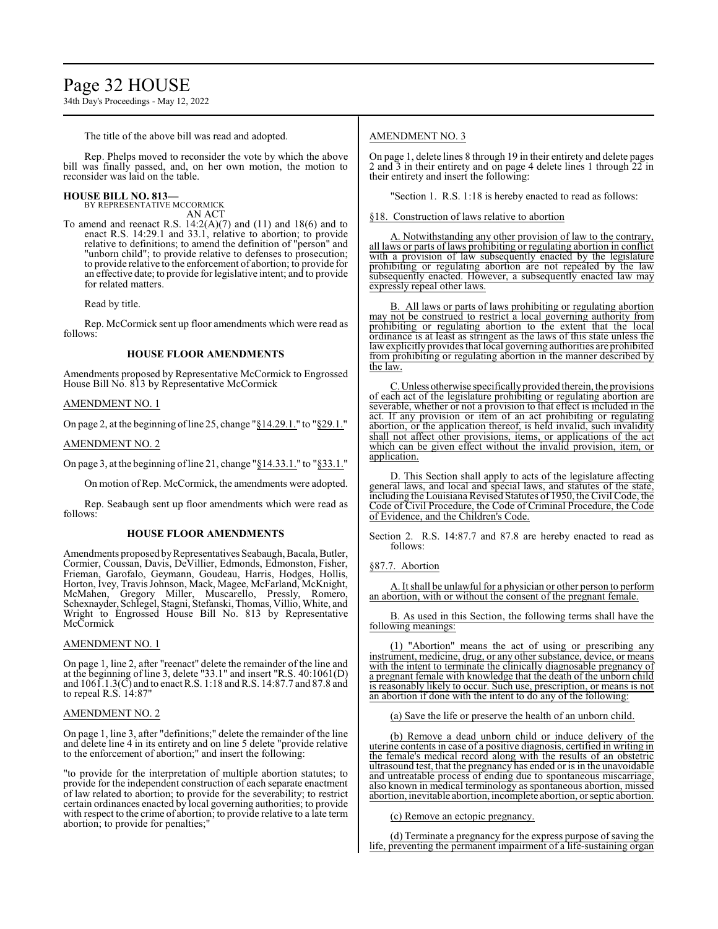# Page 32 HOUSE

34th Day's Proceedings - May 12, 2022

The title of the above bill was read and adopted.

Rep. Phelps moved to reconsider the vote by which the above bill was finally passed, and, on her own motion, the motion to reconsider was laid on the table.

#### **HOUSE BILL NO. 813—**

BY REPRESENTATIVE MCCORMICK

AN ACT To amend and reenact R.S. 14:2(A)(7) and (11) and 18(6) and to enact R.S. 14:29.1 and 33.1, relative to abortion; to provide relative to definitions; to amend the definition of "person" and "unborn child"; to provide relative to defenses to prosecution; to provide relative to the enforcement of abortion; to provide for an effective date; to provide for legislative intent; and to provide for related matters.

Read by title.

Rep. McCormick sent up floor amendments which were read as follows:

### **HOUSE FLOOR AMENDMENTS**

Amendments proposed by Representative McCormick to Engrossed House Bill No. 813 by Representative McCormick

#### AMENDMENT NO. 1

On page 2, at the beginning ofline 25, change "§14.29.1." to "§29.1."

#### AMENDMENT NO. 2

On page 3, at the beginning ofline 21, change "§14.33.1." to "§33.1."

On motion of Rep. McCormick, the amendments were adopted.

Rep. Seabaugh sent up floor amendments which were read as follows:

#### **HOUSE FLOOR AMENDMENTS**

Amendments proposed by Representatives Seabaugh, Bacala, Butler, Cormier, Coussan, Davis, DeVillier, Edmonds, Edmonston, Fisher, Frieman, Garofalo, Geymann, Goudeau, Harris, Hodges, Hollis, Horton, Ivey, Travis Johnson, Mack, Magee, McFarland, McKnight, McMahen, Gregory Miller, Muscarello, Pressly, Romero, Schexnayder, Schlegel, Stagni, Stefanski, Thomas, Villio, White, and Wright to Engrossed House Bill No. 813 by Representative McCormick

#### AMENDMENT NO. 1

On page 1, line 2, after "reenact" delete the remainder of the line and at the beginning of line 3, delete "33.1" and insert "R.S. 40:1061(D) and 1061.1.3(C) and to enact R.S. 1:18 and R.S. 14:87.7 and 87.8 and to repeal R.S.  $14:87"$ 

#### AMENDMENT NO. 2

On page 1, line 3, after "definitions;" delete the remainder of the line and delete line 4 in its entirety and on line 5 delete "provide relative to the enforcement of abortion;" and insert the following:

"to provide for the interpretation of multiple abortion statutes; to provide for the independent construction of each separate enactment of law related to abortion; to provide for the severability; to restrict certain ordinances enacted by local governing authorities; to provide with respect to the crime of abortion; to provide relative to a late term abortion; to provide for penalties;"

#### AMENDMENT NO. 3

On page 1, delete lines 8 through 19 in their entirety and delete pages 2 and  $\overline{3}$  in their entirety and on page 4 delete lines 1 through  $2\overline{2}$  in their entirety and insert the following:

"Section 1. R.S. 1:18 is hereby enacted to read as follows:

§18. Construction of laws relative to abortion

A. Notwithstanding any other provision of law to the contrary, all laws or parts of laws prohibiting or regulating abortion in conflict with a provision of law subsequently enacted by the legislature prohibiting or regulating abortion are not repealed by the law subsequently enacted. However, a subsequently enacted law may expressly repeal other laws.

B. All laws or parts of laws prohibiting or regulating abortion may not be construed to restrict a local governing authority from prohibiting or regulating abortion to the extent that the local ordinance is at least as stringent as the laws of this state unless the lawexplicitly provides that local governing authorities are prohibited from prohibiting or regulating abortion in the manner described by the law.

C.Unless otherwise specificallyprovided therein, the provisions of each act of the legislature prohibiting or regulating abortion are severable, whether or not a provision to that effect is included in the act. If any provision or item of an act prohibiting or regulating abortion, or the application thereof, is held invalid, such invalidity shall not affect other provisions, items, or applications of the act which can be given effect without the invalid provision, item, or application.

D. This Section shall apply to acts of the legislature affecting general laws, and local and special laws, and statutes of the state, including the Louisiana Revised Statutes of 1950, the Civil Code, the Code of Civil Procedure, the Code of Criminal Procedure, the Code of Evidence, and the Children's Code.

Section 2. R.S. 14:87.7 and 87.8 are hereby enacted to read as follows:

#### §87.7. Abortion

A. It shall be unlawful for a physician or other person to perform an abortion, with or without the consent of the pregnant female.

B. As used in this Section, the following terms shall have the following meanings:

(1) "Abortion" means the act of using or prescribing any instrument, medicine, drug, or any other substance, device, or means with the intent to terminate the clinically diagnosable pregnancy of a pregnant female with knowledge that the death of the unborn child is reasonably likely to occur. Such use, prescription, or means is not an abortion if done with the intent to do any of the following:

(a) Save the life or preserve the health of an unborn child.

(b) Remove a dead unborn child or induce delivery of the uterine contents in case of a positive diagnosis, certified in writing in the female's medical record along with the results of an obstetric ultrasound test, that the pregnancy has ended or is in the unavoidable and untreatable process of ending due to spontaneous miscarriage, also known in medical terminology as spontaneous abortion, missed abortion, inevitable abortion, incomplete abortion, or septic abortion.

(c) Remove an ectopic pregnancy.

(d) Terminate a pregnancy for the express purpose of saving the life, preventing the permanent impairment of a life-sustaining organ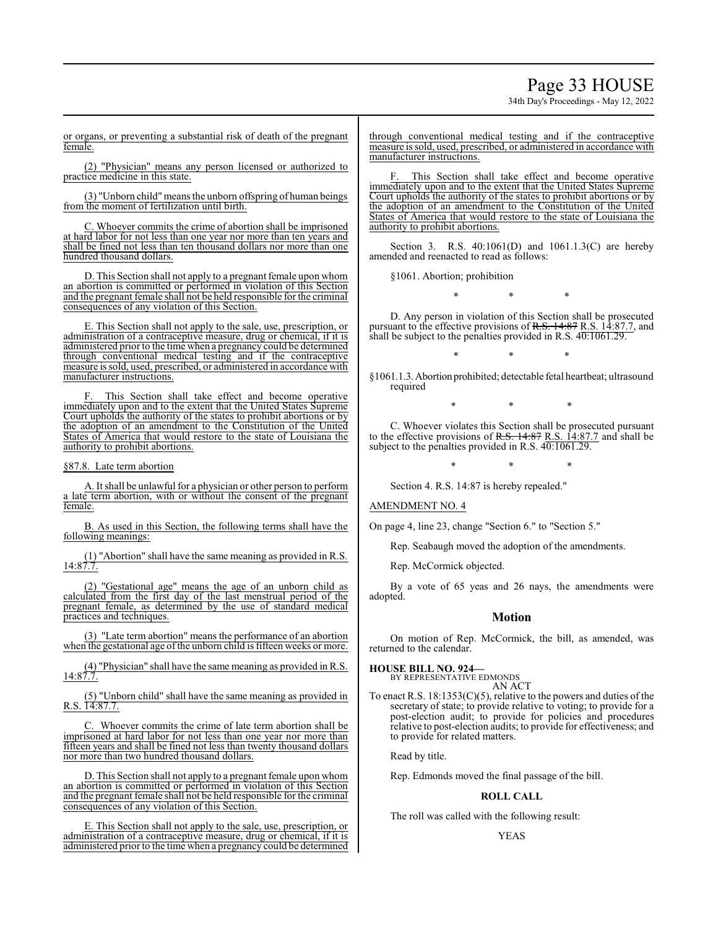# Page 33 HOUSE

34th Day's Proceedings - May 12, 2022

or organs, or preventing a substantial risk of death of the pregnant female.

(2) "Physician" means any person licensed or authorized to practice medicine in this state.

(3) "Unborn child"meansthe unborn offspring of human beings from the moment of fertilization until birth.

C. Whoever commits the crime of abortion shall be imprisoned at hard labor for not less than one year nor more than ten years and shall be fined not less than ten thousand dollars nor more than one hundred thousand dollars.

D. This Section shall not apply to a pregnant female upon whom an abortion is committed or performed in violation of this Section and the pregnant female shall not be held responsible for the criminal consequences of any violation of this Section.

E. This Section shall not apply to the sale, use, prescription, or administration of a contraceptive measure, drug or chemical, if it is administered prior to the time when a pregnancy could be determined through conventional medical testing and if the contraceptive measure is sold, used, prescribed, or administered in accordance with manufacturer instructions.

This Section shall take effect and become operative immediately upon and to the extent that the United States Supreme Court upholds the authority of the states to prohibit abortions or by the adoption of an amendment to the Constitution of the United States of America that would restore to the state of Louisiana the authority to prohibit abortions.

#### §87.8. Late term abortion

A. It shall be unlawful for a physician or other person to perform a late term abortion, with or without the consent of the pregnant female.

B. As used in this Section, the following terms shall have the following meanings:

(1) "Abortion" shall have the same meaning as provided in R.S.  $14:87.7.$ 

(2) "Gestational age" means the age of an unborn child as calculated from the first day of the last menstrual period of the pregnant female, as determined by the use of standard medical practices and techniques.

(3) "Late term abortion" means the performance of an abortion when the gestational age of the unborn child is fifteen weeks or more.

(4) "Physician" shall have the same meaning as provided in R.S.  $14:87.7.$ 

(5) "Unborn child" shall have the same meaning as provided in R.S. 14:87.7.

C. Whoever commits the crime of late term abortion shall be imprisoned at hard labor for not less than one year nor more than fifteen years and shall be fined not less than twenty thousand dollars nor more than two hundred thousand dollars.

D. This Section shall not apply to a pregnant female upon whom an abortion is committed or performed in violation of this Section and the pregnant female shall not be held responsible for the criminal consequences of any violation of this Section.

E. This Section shall not apply to the sale, use, prescription, or administration of a contraceptive measure, drug or chemical, if it is administered prior to the time when a pregnancy could be determined

through conventional medical testing and if the contraceptive measure is sold, used, prescribed, or administered in accordance with manufacturer instructions.

This Section shall take effect and become operative immediately upon and to the extent that the United States Supreme Court upholds the authority of the states to prohibit abortions or by the adoption of an amendment to the Constitution of the United States of America that would restore to the state of Louisiana the authority to prohibit abortions.

Section 3. R.S. 40:1061(D) and 1061.1.3(C) are hereby amended and reenacted to read as follows:

§1061. Abortion; prohibition

\* \* \*

D. Any person in violation of this Section shall be prosecuted pursuant to the effective provisions of R.S. 14:87 R.S. 14:87.7, and shall be subject to the penalties provided in R.S.  $40:1061.29$ .

\* \* \* §1061.1.3.Abortion prohibited; detectable fetal heartbeat; ultrasound

\* \* \*

C. Whoever violates this Section shall be prosecuted pursuant to the effective provisions of R.S.  $14:87$  R.S.  $14:87.7$  and shall be subject to the penalties provided in R.S. 40:1061.29.

\* \* \*

Section 4. R.S. 14:87 is hereby repealed."

#### AMENDMENT NO. 4

required

On page 4, line 23, change "Section 6." to "Section 5."

Rep. Seabaugh moved the adoption of the amendments.

Rep. McCormick objected.

By a vote of 65 yeas and 26 nays, the amendments were adopted.

### **Motion**

On motion of Rep. McCormick, the bill, as amended, was returned to the calendar.

#### **HOUSE BILL NO. 924—**

BY REPRESENTATIVE EDMONDS AN ACT

To enact R.S. 18:1353(C)(5), relative to the powers and duties of the secretary of state; to provide relative to voting; to provide for a post-election audit; to provide for policies and procedures relative to post-election audits; to provide for effectiveness; and to provide for related matters.

Read by title.

Rep. Edmonds moved the final passage of the bill.

#### **ROLL CALL**

The roll was called with the following result:

#### YEAS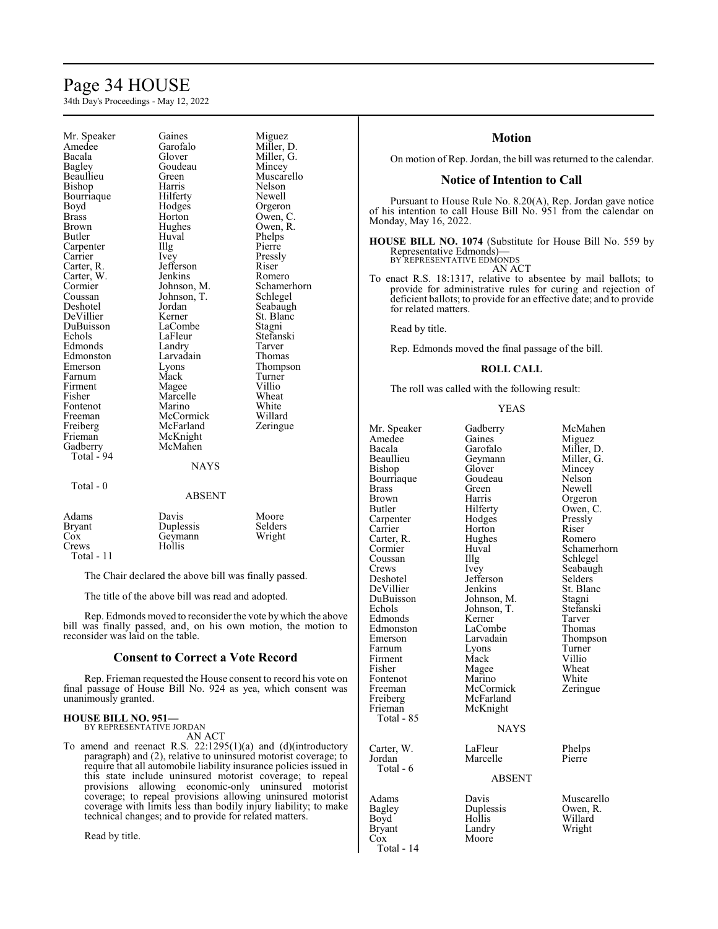# Page 34 HOUSE

34th Day's Proceedings - May 12, 2022

Mr. Speaker Gaines Miguez<br>Amedee Garofalo Miller. 1 Amedee Garofalo Miller, D.<br>Bacala Glover Miller, G. Bacala Glover Miller, G. Bagley Goudeau<br>Beaullieu Green Bishop Bourriaque Hilferty Newell<br>Boyd Hodges Orgero Boyd Hodges Orgeron<br>Brass Horton Owen, C Brass Horton Owen, C.<br>Brown Hughes Owen, R. Brown Hughes Owen, R.<br>Butler Huval Phelps Carpenter Illg<br>Carrier Ivey Carter, R. Jefferson Riser<br>Carter, W. Jenkins Romero Carter, W. Cormier Johnson, M. Schamerhorn<br>Coussan Johnson, T. Schlegel Coussan Johnson, T.<br>Deshotel Jordan DeVillier Kerner St. Blanch<br>DuBuisson LaCombe Stagni DuBuisson LaComb<br>Echols LaFleur Edmonds Landry Tarver<br>
Edmonston Larvadain Thomas Edmonston Larvad<br>Emerson Lyons Farnum Mack Turne<br>
Firment Magee Villio Firment Magee Villio<br>Fisher Marcelle Wheat Fontenot Marino White<br>
Freeman McCormick Willard Freeman McCormick Willard<br>
Freiberg McFarland Zeringue Freiberg McFarland<br>Frieman McKnight Frieman McKnight<br>Gadberry McMahen Total - 94 Total - 0

Huval Phelps<br>Illg Pierre Ivey Pressly<br>Jefferson Riser Jordan Seabaugh<br>
Kerner St. Blanc LaFleur Stefanski<br>Landry Tarver Eyons Thompson<br>
Mack Turner Marcelle Wheat<br>
Marino White McMahen NAYS

Green Muscarello<br>
Harris Nelson

#### ABSENT

| Adams      | Davis     | Moore   |
|------------|-----------|---------|
|            |           |         |
| Bryant     | Duplessis | Selders |
| Cox        | Geymann   | Wright  |
| Crews      | Hollis    |         |
| Total - 11 |           |         |

The Chair declared the above bill was finally passed.

The title of the above bill was read and adopted.

Rep. Edmonds moved to reconsider the vote by which the above bill was finally passed, and, on his own motion, the motion to reconsider was laid on the table.

# **Consent to Correct a Vote Record**

Rep. Frieman requested the House consent to record his vote on final passage of House Bill No. 924 as yea, which consent was unanimously granted.

#### **HOUSE BILL NO. 951—**

BY REPRESENTATIVE JORDAN

AN ACT

To amend and reenact R.S. 22:1295(1)(a) and (d)(introductory paragraph) and (2), relative to uninsured motorist coverage; to require that all automobile liability insurance policies issued in this state include uninsured motorist coverage; to repeal provisions allowing economic-only uninsured motorist coverage; to repeal provisions allowing uninsured motorist coverage with limits less than bodily injury liability; to make technical changes; and to provide for related matters.

Read by title.

# **Motion**

On motion of Rep. Jordan, the bill was returned to the calendar.

### **Notice of Intention to Call**

Pursuant to House Rule No. 8.20(A), Rep. Jordan gave notice of his intention to call House Bill No. 951 from the calendar on Monday, May 16, 2022.

**HOUSE BILL NO. 1074** (Substitute for House Bill No. 559 by Representative Edmonds)— BY REPRESENTATIVE EDMONDS

AN ACT

To enact R.S. 18:1317, relative to absentee by mail ballots; to provide for administrative rules for curing and rejection of deficient ballots; to provide for an effective date; and to provide for related matters.

Read by title.

Rep. Edmonds moved the final passage of the bill.

#### **ROLL CALL**

The roll was called with the following result:

YEAS

| Mr. Speaker<br>Amedee<br>Bacala<br>Beaullieu<br>Bishop<br>Bourriaque<br>Brass<br><b>Brown</b><br><b>Butler</b><br>Carpenter<br>Carrier<br>Carter, R.<br>Cormier<br>Coussan<br>Crews<br>Deshotel<br>DeVillier<br>DuBuisson<br>Echols<br>Edmonds<br>Edmonston<br>Emerson<br>Farnum<br>Firment<br>Fisher<br>Fontenot<br>Freeman<br>Freiberg<br>Frieman<br>Total - 85 | Gadberry<br>Gaines<br>Garofalo<br>Geymann<br>Glover<br>Goudeau<br>Green)<br>Harris<br>Hilferty<br>Hodges<br>Horton<br>Hughes<br>Huval<br>Illg<br>Ivey<br>Jefferson<br>Jenkins<br>Johnson, M.<br>Johnson, T.<br>Kerner<br>LaCombe<br>Larvadain<br>Lyons<br>Mack<br>Magee<br>Marino<br>McCormick<br>McFarland<br>McKnight | McMahen<br>Miguez<br>Miller, D.<br>Miller, G.<br>Mincey<br>Nelson<br>Newell<br>Orgeron<br>Owen, C.<br>Pressly<br>Riser<br>Romero<br>Schamerhorn<br>Schlegel<br>Seabaugh<br>Selders<br>St. Blanc<br>Stagni<br>Stefanski<br>Tarver<br>Thomas<br>Thompson<br>Turner<br>Villio<br>Wheat<br>White<br>Zeringue |
|-------------------------------------------------------------------------------------------------------------------------------------------------------------------------------------------------------------------------------------------------------------------------------------------------------------------------------------------------------------------|-------------------------------------------------------------------------------------------------------------------------------------------------------------------------------------------------------------------------------------------------------------------------------------------------------------------------|----------------------------------------------------------------------------------------------------------------------------------------------------------------------------------------------------------------------------------------------------------------------------------------------------------|
|                                                                                                                                                                                                                                                                                                                                                                   | <b>NAYS</b>                                                                                                                                                                                                                                                                                                             |                                                                                                                                                                                                                                                                                                          |
| Carter, W.<br>Jordan<br>Total - 6                                                                                                                                                                                                                                                                                                                                 | LaFleur<br>Marcelle                                                                                                                                                                                                                                                                                                     | Phelps<br>Pierre                                                                                                                                                                                                                                                                                         |
|                                                                                                                                                                                                                                                                                                                                                                   | <b>ABSENT</b>                                                                                                                                                                                                                                                                                                           |                                                                                                                                                                                                                                                                                                          |
| Adams<br>Bagley<br>Boyd<br>Bryant                                                                                                                                                                                                                                                                                                                                 | Davis<br>Duplessis<br>Hollis<br>Landry                                                                                                                                                                                                                                                                                  | Muscarello<br>Owen, R.<br>Willard<br>Wright                                                                                                                                                                                                                                                              |

Cox Moore

Total - 14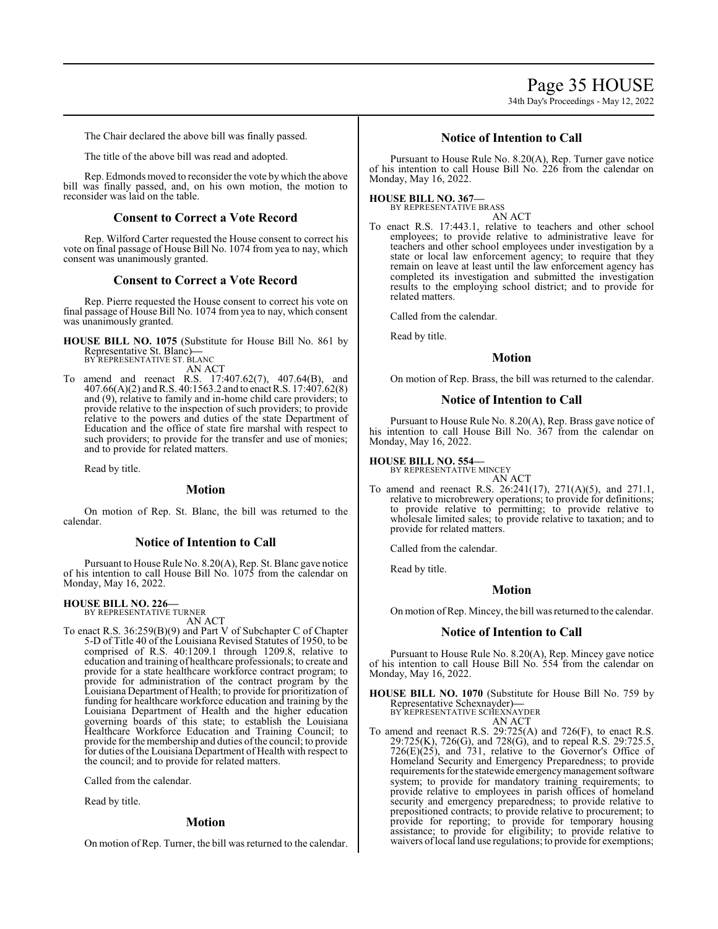# Page 35 HOUSE 34th Day's Proceedings - May 12, 2022

The Chair declared the above bill was finally passed.

The title of the above bill was read and adopted.

Rep. Edmonds moved to reconsider the vote by which the above bill was finally passed, and, on his own motion, the motion to reconsider was laid on the table.

# **Consent to Correct a Vote Record**

Rep. Wilford Carter requested the House consent to correct his vote on final passage of House Bill No. 1074 from yea to nay, which consent was unanimously granted.

### **Consent to Correct a Vote Record**

Rep. Pierre requested the House consent to correct his vote on final passage of House Bill No. 1074 from yea to nay, which consent was unanimously granted.

**HOUSE BILL NO. 1075** (Substitute for House Bill No. 861 by Representative St. Blanc)**—** BY REPRESENTATIVE ST. BLANC

AN ACT

To amend and reenact R.S. 17:407.62(7), 407.64(B), and 407.66(A)(2) andR.S. 40:1563.2 and to enactR.S. 17:407.62(8) and (9), relative to family and in-home child care providers; to provide relative to the inspection of such providers; to provide relative to the powers and duties of the state Department of Education and the office of state fire marshal with respect to such providers; to provide for the transfer and use of monies; and to provide for related matters.

Read by title.

#### **Motion**

On motion of Rep. St. Blanc, the bill was returned to the calendar.

# **Notice of Intention to Call**

Pursuant to House Rule No. 8.20(A), Rep. St. Blanc gave notice of his intention to call House Bill No. 1075 from the calendar on Monday, May 16, 2022.

### **HOUSE BILL NO. 226—**

BY REPRESENTATIVE TURNER AN ACT

- To enact R.S. 36:259(B)(9) and Part V of Subchapter C of Chapter 5-D of Title 40 of the Louisiana Revised Statutes of 1950, to be comprised of R.S. 40:1209.1 through 1209.8, relative to
	- education and training of healthcare professionals; to create and provide for a state healthcare workforce contract program; to provide for administration of the contract program by the Louisiana Department of Health; to provide for prioritization of funding for healthcare workforce education and training by the Louisiana Department of Health and the higher education governing boards of this state; to establish the Louisiana Healthcare Workforce Education and Training Council; to provide forthe membership and duties ofthe council; to provide for duties of the Louisiana Department of Health with respect to the council; and to provide for related matters.

Called from the calendar.

Read by title.

#### **Motion**

On motion of Rep. Turner, the bill was returned to the calendar.

# **Notice of Intention to Call**

Pursuant to House Rule No. 8.20(A), Rep. Turner gave notice of his intention to call House Bill No. 226 from the calendar on Monday, May 16, 2022.

**HOUSE BILL NO. 367—** BY REPRESENTATIVE BRASS

AN ACT

To enact R.S. 17:443.1, relative to teachers and other school employees; to provide relative to administrative leave for teachers and other school employees under investigation by a state or local law enforcement agency; to require that they remain on leave at least until the law enforcement agency has completed its investigation and submitted the investigation results to the employing school district; and to provide for related matters.

Called from the calendar.

Read by title.

# **Motion**

On motion of Rep. Brass, the bill was returned to the calendar.

#### **Notice of Intention to Call**

Pursuant to House Rule No. 8.20(A), Rep. Brass gave notice of his intention to call House Bill No. 367 from the calendar on Monday, May 16, 2022.

#### **HOUSE BILL NO. 554—**

BY REPRESENTATIVE MINCEY AN ACT

To amend and reenact R.S. 26:241(17), 271(A)(5), and 271.1, relative to microbrewery operations; to provide for definitions; to provide relative to permitting; to provide relative to wholesale limited sales; to provide relative to taxation; and to provide for related matters.

Called from the calendar.

Read by title.

#### **Motion**

On motion ofRep. Mincey, the bill was returned to the calendar.

#### **Notice of Intention to Call**

Pursuant to House Rule No. 8.20(A), Rep. Mincey gave notice of his intention to call House Bill No. 554 from the calendar on Monday, May 16, 2022.

**HOUSE BILL NO. 1070** (Substitute for House Bill No. 759 by Representative Schexnayder)**—** BY REPRESENTATIVE SCHEXNAYDER

AN ACT

To amend and reenact R.S. 29:725(A) and 726(F), to enact R.S. 29:725(K), 726(G), and 728(G), and to repeal R.S. 29:725.5,  $726(E)(25)$ , and  $731$ , relative to the Governor's Office of Homeland Security and Emergency Preparedness; to provide requirements for the statewide emergencymanagement software system; to provide for mandatory training requirements; to provide relative to employees in parish offices of homeland security and emergency preparedness; to provide relative to prepositioned contracts; to provide relative to procurement; to provide for reporting; to provide for temporary housing assistance; to provide for eligibility; to provide relative to waivers oflocal land use regulations; to provide for exemptions;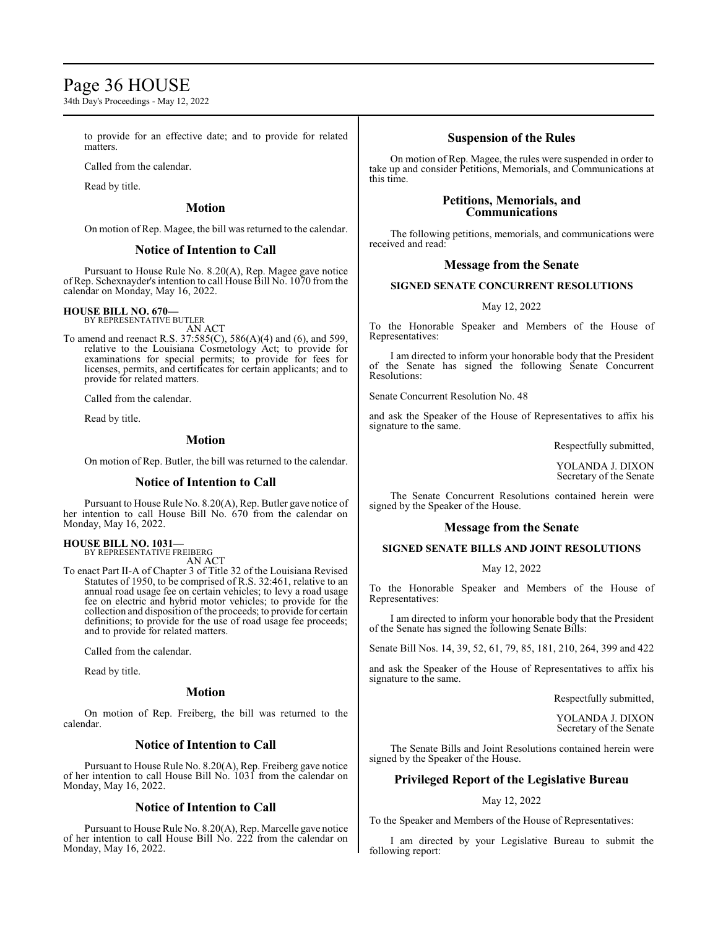# Page 36 HOUSE

34th Day's Proceedings - May 12, 2022

to provide for an effective date; and to provide for related matters.

Called from the calendar.

Read by title.

# **Motion**

On motion of Rep. Magee, the bill was returned to the calendar.

# **Notice of Intention to Call**

Pursuant to House Rule No. 8.20(A), Rep. Magee gave notice of Rep. Schexnayder's intention to call House Bill No. 1070 from the calendar on Monday, May 16, 2022.

# **HOUSE BILL NO. 670—**

BY REPRESENTATIVE BUTLER

AN ACT To amend and reenact R.S. 37:585(C), 586(A)(4) and (6), and 599, relative to the Louisiana Cosmetology Act; to provide for examinations for special permits; to provide for fees for licenses, permits, and certificates for certain applicants; and to provide for related matters.

Called from the calendar.

Read by title.

# **Motion**

On motion of Rep. Butler, the bill was returned to the calendar.

# **Notice of Intention to Call**

Pursuant to House Rule No. 8.20(A), Rep. Butler gave notice of her intention to call House Bill No. 670 from the calendar on Monday, May 16, 2022.

**HOUSE BILL NO. 1031—** BY REPRESENTATIVE FREIBERG

AN ACT

To enact Part II-A of Chapter 3 of Title 32 of the Louisiana Revised Statutes of 1950, to be comprised of R.S. 32:461, relative to an annual road usage fee on certain vehicles; to levy a road usage fee on electric and hybrid motor vehicles; to provide for the collection and disposition ofthe proceeds; to provide for certain definitions; to provide for the use of road usage fee proceeds; and to provide for related matters.

Called from the calendar.

Read by title.

# **Motion**

On motion of Rep. Freiberg, the bill was returned to the calendar.

# **Notice of Intention to Call**

Pursuant to House Rule No. 8.20(A), Rep. Freiberg gave notice of her intention to call House Bill No. 1031 from the calendar on Monday, May 16, 2022.

# **Notice of Intention to Call**

Pursuant to House Rule No. 8.20(A), Rep. Marcelle gave notice of her intention to call House Bill No. 222 from the calendar on Monday, May 16, 2022.

# **Suspension of the Rules**

On motion of Rep. Magee, the rules were suspended in order to take up and consider Petitions, Memorials, and Communications at this time.

# **Petitions, Memorials, and Communications**

The following petitions, memorials, and communications were received and read:

# **Message from the Senate**

# **SIGNED SENATE CONCURRENT RESOLUTIONS**

May 12, 2022

To the Honorable Speaker and Members of the House of Representatives:

I am directed to inform your honorable body that the President of the Senate has signed the following Senate Concurrent Resolutions:

Senate Concurrent Resolution No. 48

and ask the Speaker of the House of Representatives to affix his signature to the same.

Respectfully submitted,

YOLANDA J. DIXON Secretary of the Senate

The Senate Concurrent Resolutions contained herein were signed by the Speaker of the House.

# **Message from the Senate**

# **SIGNED SENATE BILLS AND JOINT RESOLUTIONS**

# May 12, 2022

To the Honorable Speaker and Members of the House of Representatives:

I am directed to inform your honorable body that the President of the Senate has signed the following Senate Bills:

Senate Bill Nos. 14, 39, 52, 61, 79, 85, 181, 210, 264, 399 and 422

and ask the Speaker of the House of Representatives to affix his signature to the same.

Respectfully submitted,

YOLANDA J. DIXON Secretary of the Senate

The Senate Bills and Joint Resolutions contained herein were signed by the Speaker of the House.

# **Privileged Report of the Legislative Bureau**

# May 12, 2022

To the Speaker and Members of the House of Representatives:

I am directed by your Legislative Bureau to submit the following report: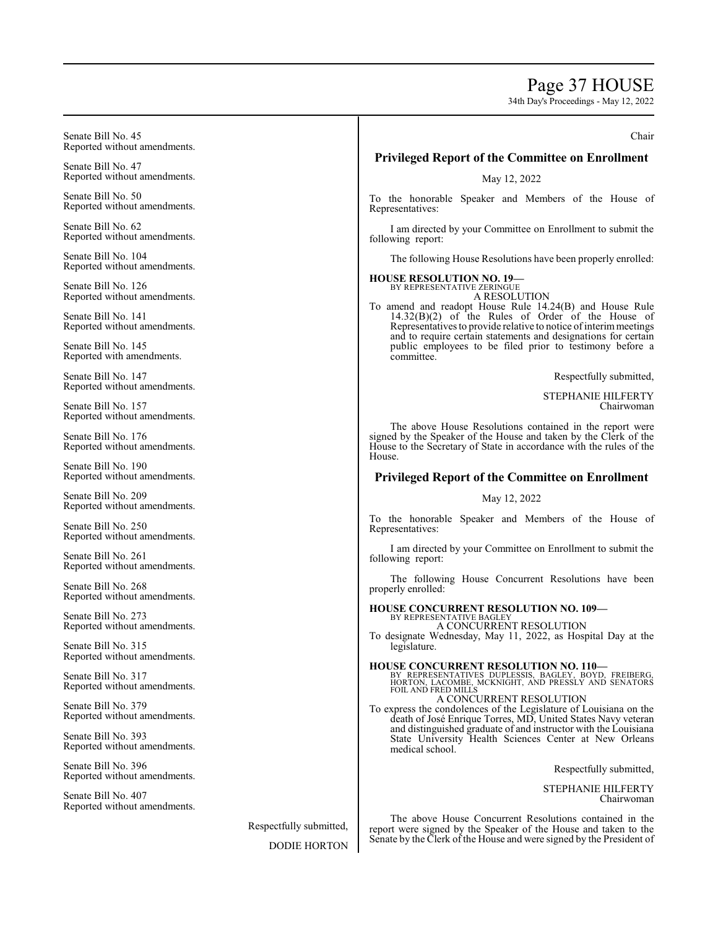# Page 37 HOUSE

34th Day's Proceedings - May 12, 2022

Senate Bill No. 45 Reported without amendments. Senate Bill No. 47 Reported without amendments. Senate Bill No. 50 Reported without amendments. Senate Bill No. 62 Reported without amendments. Senate Bill No. 104 Reported without amendments. Senate Bill No. 126 Reported without amendments. Senate Bill No. 141 Reported without amendments. Senate Bill No. 145 Reported with amendments. Senate Bill No. 147 Reported without amendments. Senate Bill No. 157 Reported without amendments. Senate Bill No. 176 Reported without amendments. Senate Bill No. 190 Reported without amendments. Senate Bill No. 209 Reported without amendments. Senate Bill No. 250 Reported without amendments. Senate Bill No. 261 Reported without amendments. Senate Bill No. 268 Reported without amendments. Senate Bill No. 273 Reported without amendments. Senate Bill No. 315 Reported without amendments. Senate Bill No. 317 Reported without amendments. Senate Bill No. 379 Reported without amendments. Senate Bill No. 393 Reported without amendments. Senate Bill No. 396 Reported without amendments. Senate Bill No. 407 Reported without amendments. Respectfully submitted, DODIE HORTON Chair **Privileged Report of the Committee on Enrollment** May 12, 2022 To the honorable Speaker and Members of the House of Representatives: I am directed by your Committee on Enrollment to submit the following report: The following House Resolutions have been properly enrolled: **HOUSE RESOLUTION NO. 19—** BY REPRESENTATIVE ZERINGUE A RESOLUTION To amend and readopt House Rule 14.24(B) and House Rule  $14.32(B)(2)$  of the Rules of Order of the House of Representatives to provide relative to notice of interim meetings and to require certain statements and designations for certain public employees to be filed prior to testimony before a committee. Respectfully submitted, STEPHANIE HILFERTY Chairwoman The above House Resolutions contained in the report were signed by the Speaker of the House and taken by the Clerk of the House to the Secretary of State in accordance with the rules of the House. **Privileged Report of the Committee on Enrollment** May 12, 2022 To the honorable Speaker and Members of the House of Representatives: I am directed by your Committee on Enrollment to submit the following report: The following House Concurrent Resolutions have been properly enrolled: **HOUSE CONCURRENT RESOLUTION NO. 109—** BY REPRESENTATIVE BAGLEY A CONCURRENT RESOLUTION To designate Wednesday, May 11, 2022, as Hospital Day at the legislature. **HOUSE CONCURRENT RESOLUTION NO. 110—** BY REPRESENTATIVES DUPLESSIS, BAGLEY, BOYD, FREIBERG,<br>HORTON, LACOMBE, MCKNIGHT, AND PRESSLY AND SENATORS<br>FOIL AND FRED MILLS A CONCURRENT RESOLUTION To express the condolences of the Legislature of Louisiana on the death of José Enrique Torres, MD, United States Navy veteran and distinguished graduate of and instructor with the Louisiana State University Health Sciences Center at New Orleans medical school. Respectfully submitted, STEPHANIE HILFERTY Chairwoman The above House Concurrent Resolutions contained in the report were signed by the Speaker of the House and taken to the Senate by the Clerk of the House and were signed by the President of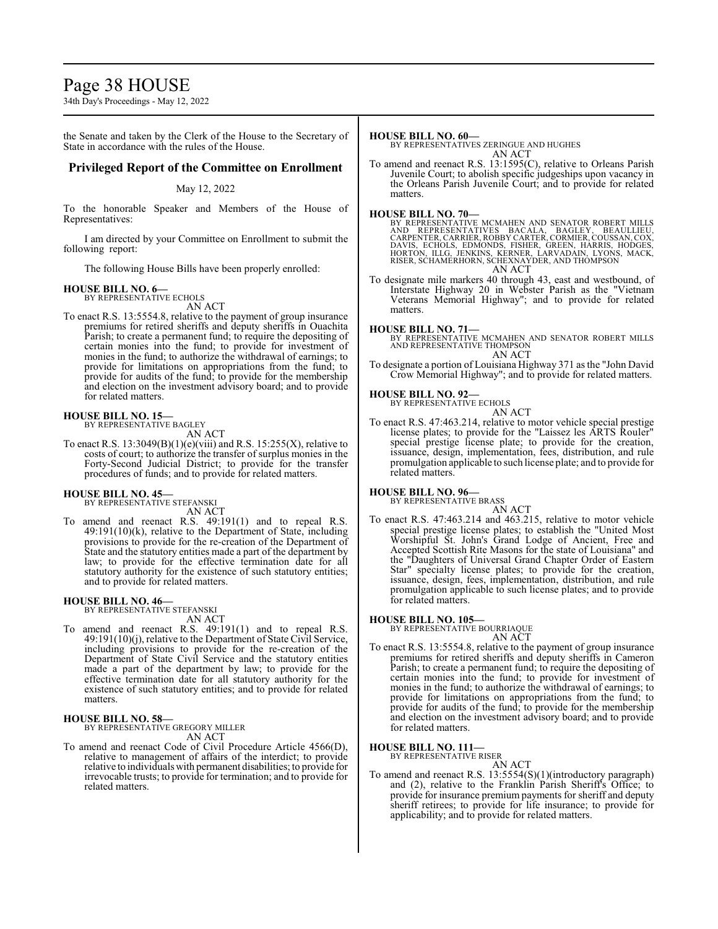# Page 38 HOUSE

34th Day's Proceedings - May 12, 2022

the Senate and taken by the Clerk of the House to the Secretary of State in accordance with the rules of the House.

# **Privileged Report of the Committee on Enrollment**

### May 12, 2022

To the honorable Speaker and Members of the House of Representatives:

I am directed by your Committee on Enrollment to submit the following report:

The following House Bills have been properly enrolled:

# **HOUSE BILL NO. 6—**

BY REPRESENTATIVE ECHOLS

- AN ACT
- To enact R.S. 13:5554.8, relative to the payment of group insurance premiums for retired sheriffs and deputy sheriffs in Ouachita Parish; to create a permanent fund; to require the depositing of certain monies into the fund; to provide for investment of monies in the fund; to authorize the withdrawal of earnings; to provide for limitations on appropriations from the fund; to provide for audits of the fund; to provide for the membership and election on the investment advisory board; and to provide for related matters.

# **HOUSE BILL NO. 15—** BY REPRESENTATIVE BAGLEY

AN ACT

To enact R.S.  $13:3049(B)(1)(e)(viii)$  and R.S.  $15:255(X)$ , relative to costs of court; to authorize the transfer of surplus monies in the Forty-Second Judicial District; to provide for the transfer procedures of funds; and to provide for related matters.

#### **HOUSE BILL NO. 45—**

BY REPRESENTATIVE STEFANSKI AN ACT

To amend and reenact R.S. 49:191(1) and to repeal R.S.  $49:191(10)$ (k), relative to the Department of State, including provisions to provide for the re-creation of the Department of State and the statutory entities made a part of the department by law; to provide for the effective termination date for all statutory authority for the existence of such statutory entities; and to provide for related matters.

# **HOUSE BILL NO. 46—** BY REPRESENTATIVE STEFANSKI

AN ACT

To amend and reenact R.S. 49:191(1) and to repeal R.S. 49:191(10)(j), relative to the Department of State Civil Service, including provisions to provide for the re-creation of the Department of State Civil Service and the statutory entities made a part of the department by law; to provide for the effective termination date for all statutory authority for the existence of such statutory entities; and to provide for related matters.

#### **HOUSE BILL NO. 58—**

BY REPRESENTATIVE GREGORY MILLER AN ACT

To amend and reenact Code of Civil Procedure Article 4566(D), relative to management of affairs of the interdict; to provide relative to individuals with permanent disabilities; to provide for irrevocable trusts; to provide for termination; and to provide for related matters.

#### **HOUSE BILL NO. 60—**

- BY REPRESENTATIVES ZERINGUE AND HUGHES AN ACT
- To amend and reenact R.S. 13:1595(C), relative to Orleans Parish Juvenile Court; to abolish specific judgeships upon vacancy in the Orleans Parish Juvenile Court; and to provide for related matters.

#### **HOUSE BILL NO. 70—**

BY REPRESENTATIVE MCMAHEN AND SENATOR ROBERT MILLS<br>AND REPRESENTATIVES BACALA, BAGEY, BEALEY, BEAULLIEU,<br>CARPENTER,CARRIER,ROBBYCARTER,CORMIER,COUSSAN,COX,<br>DAVIS, ECHOLS, EDMONDS, FISHER, GREEN, HARRIS, HODGES,<br>HORTON, ILL AN ACT

To designate mile markers 40 through 43, east and westbound, of Interstate Highway 20 in Webster Parish as the "Vietnam Veterans Memorial Highway"; and to provide for related matters.

**HOUSE BILL NO. 71—** BY REPRESENTATIVE MCMAHEN AND SENATOR ROBERT MILLS AND REPRESENTATIVE THOMPSON AN ACT

To designate a portion of Louisiana Highway 371 as the "John David Crow Memorial Highway"; and to provide for related matters.

#### **HOUSE BILL NO. 92—**

BY REPRESENTATIVE ECHOLS

AN ACT To enact R.S. 47:463.214, relative to motor vehicle special prestige license plates; to provide for the "Laissez les ARTS Rouler" special prestige license plate; to provide for the creation, issuance, design, implementation, fees, distribution, and rule promulgation applicable to such license plate; and to provide for related matters.

#### **HOUSE BILL NO. 96—**

BY REPRESENTATIVE BRASS

- AN ACT
- To enact R.S. 47:463.214 and 463.215, relative to motor vehicle special prestige license plates; to establish the "United Most Worshipful St. John's Grand Lodge of Ancient, Free and Accepted Scottish Rite Masons for the state of Louisiana" and the "Daughters of Universal Grand Chapter Order of Eastern Star" specialty license plates; to provide for the creation, issuance, design, fees, implementation, distribution, and rule promulgation applicable to such license plates; and to provide for related matters.

#### **HOUSE BILL NO. 105—**

BY REPRESENTATIVE BOURRIAQUE AN ACT

To enact R.S. 13:5554.8, relative to the payment of group insurance premiums for retired sheriffs and deputy sheriffs in Cameron Parish; to create a permanent fund; to require the depositing of certain monies into the fund; to provide for investment of monies in the fund; to authorize the withdrawal of earnings; to provide for limitations on appropriations from the fund; to provide for audits of the fund; to provide for the membership and election on the investment advisory board; and to provide for related matters.

# **HOUSE BILL NO. 111—**

BY REPRESENTATIVE RISER AN ACT

To amend and reenact R.S. 13:5554(S)(1)(introductory paragraph) and (2), relative to the Franklin Parish Sheriff's Office; to provide for insurance premium payments for sheriff and deputy sheriff retirees; to provide for life insurance; to provide for applicability; and to provide for related matters.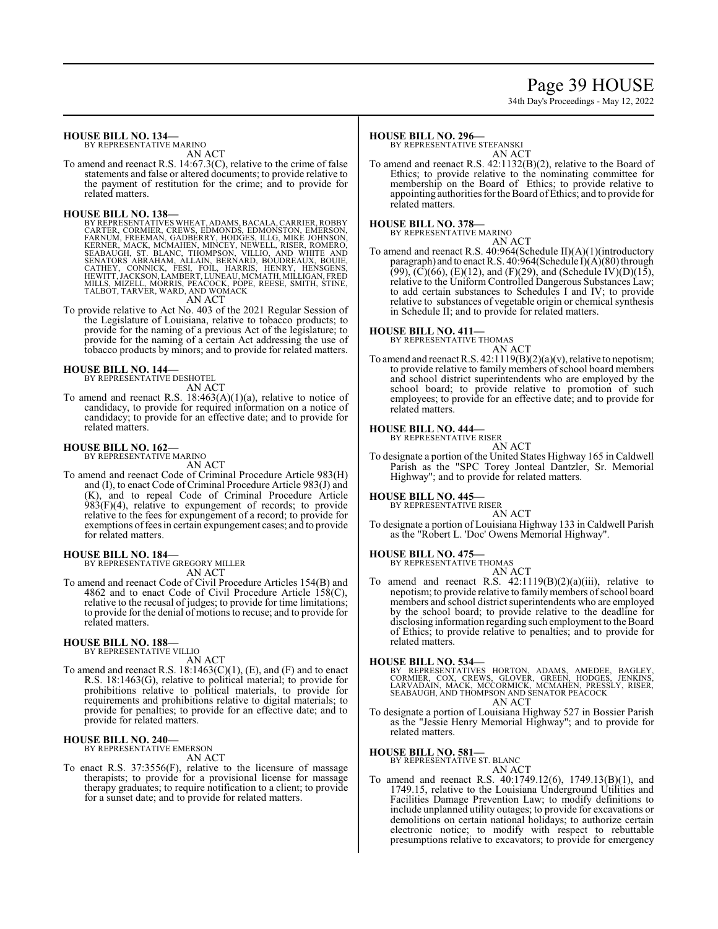# Page 39 HOUSE

34th Day's Proceedings - May 12, 2022

### **HOUSE BILL NO. 134—**

BY REPRESENTATIVE MARINO

# AN ACT

To amend and reenact R.S. 14:67.3(C), relative to the crime of false statements and false or altered documents; to provide relative to the payment of restitution for the crime; and to provide for related matters.

#### **HOUSE BILL NO. 138—**

BY REPRESENTATIVES WHEAT, ADAMS, BACALA, CARRIER, ROBBY<br>CARTER, CORMIER, CREWS, EDMONDS, EDMONSTON, EMERSON,<br>FARNUM, FREEMAN, GADBERRY, HODGES, ILLG, MIKE JOHNSON,<br>KERNER, MACK, MCMAHEN, MINCEY, NEWELL, RISER, ROMERO,<br>SEAB

AN ACT

To provide relative to Act No. 403 of the 2021 Regular Session of the Legislature of Louisiana, relative to tobacco products; to provide for the naming of a previous Act of the legislature; to provide for the naming of a certain Act addressing the use of tobacco products by minors; and to provide for related matters.

#### **HOUSE BILL NO. 144—**

BY REPRESENTATIVE DESHOTEL

AN ACT

To amend and reenact R.S. 18:463(A)(1)(a), relative to notice of candidacy, to provide for required information on a notice of candidacy; to provide for an effective date; and to provide for related matters.

#### **HOUSE BILL NO. 162—**

BY REPRESENTATIVE MARINO

AN ACT

To amend and reenact Code of Criminal Procedure Article 983(H) and (I), to enact Code of Criminal Procedure Article 983(J) and (K), and to repeal Code of Criminal Procedure Article  $983(F)(4)$ , relative to expungement of records; to provide relative to the fees for expungement of a record; to provide for exemptions of fees in certain expungement cases; and to provide for related matters.

# **HOUSE BILL NO. 184—**

BY REPRESENTATIVE GREGORY MILLER AN ACT

To amend and reenact Code of Civil Procedure Articles 154(B) and 4862 and to enact Code of Civil Procedure Article 158(C), relative to the recusal of judges; to provide for time limitations; to provide for the denial of motions to recuse; and to provide for related matters.

**HOUSE BILL NO. 188—** BY REPRESENTATIVE VILLIO AN ACT

To amend and reenact R.S.  $18:1463(C)(1)$ , (E), and (F) and to enact R.S. 18:1463(G), relative to political material; to provide for prohibitions relative to political materials, to provide for requirements and prohibitions relative to digital materials; to provide for penalties; to provide for an effective date; and to provide for related matters.

#### **HOUSE BILL NO. 240—**

BY REPRESENTATIVE EMERSON AN ACT

To enact R.S. 37:3556(F), relative to the licensure of massage therapists; to provide for a provisional license for massage therapy graduates; to require notification to a client; to provide for a sunset date; and to provide for related matters.

#### **HOUSE BILL NO. 296—**

BY REPRESENTATIVE STEFANSKI

AN ACT To amend and reenact R.S. 42:1132(B)(2), relative to the Board of Ethics; to provide relative to the nominating committee for membership on the Board of Ethics; to provide relative to appointing authorities for the Board ofEthics; and to provide for related matters.

# **HOUSE BILL NO. 378—** BY REPRESENTATIVE MARINO

AN ACT

To amend and reenact R.S. 40:964(Schedule II)(A)(1)(introductory paragraph) and to enact R.S. 40:964(Schedule I)(A)(80) through  $(99)$ ,  $(C)(66)$ ,  $(E)(12)$ , and  $(F)(29)$ , and  $(Schedule IV)(D)(15)$ , relative to the Uniform Controlled Dangerous Substances Law; to add certain substances to Schedules I and IV; to provide relative to substances of vegetable origin or chemical synthesis in Schedule II; and to provide for related matters.

#### **HOUSE BILL NO. 411—**

BY REPRESENTATIVE THOMAS

AN ACT

To amend and reenact R.S.  $42:1119(B)(2)(a)(v)$ , relative to nepotism; to provide relative to family members of school board members and school district superintendents who are employed by the school board; to provide relative to promotion of such employees; to provide for an effective date; and to provide for related matters.

#### **HOUSE BILL NO. 444—**

BY REPRESENTATIVE RISER AN ACT

To designate a portion of the United States Highway 165 in Caldwell Parish as the "SPC Torey Jonteal Dantzler, Sr. Memorial Highway"; and to provide for related matters.

# **HOUSE BILL NO. 445—**

BY REPRESENTATIVE RISER AN ACT

To designate a portion of Louisiana Highway 133 in Caldwell Parish as the "Robert L. 'Doc' Owens Memorial Highway".

#### **HOUSE BILL NO. 475—**

BY REPRESENTATIVE THOMAS AN ACT

To amend and reenact R.S. 42:1119(B)(2)(a)(iii), relative to nepotism; to provide relative to family members of school board members and school district superintendents who are employed by the school board; to provide relative to the deadline for disclosing information regarding such employment to the Board of Ethics; to provide relative to penalties; and to provide for related matters.

#### **HOUSE BILL NO. 534—**

BY REPRESENTATIVES HORTON, ADAMS, AMEDEE, BAGLEY,<br>CORMIER, COX, CREWS, GLOVER, GREEN, HODGES, JENKINS,<br>LARVADAIN, MACK, MCCORMICK, MCMAHEN, PRESSLY, RISER,<br>SEABAUGH, AND THOMPSON AND SENATOR PEACOCK AN ACT

To designate a portion of Louisiana Highway 527 in Bossier Parish as the "Jessie Henry Memorial Highway"; and to provide for related matters.

#### **HOUSE BILL NO. 581—**

BY REPRESENTATIVE ST. BLANC

AN ACT To amend and reenact R.S. 40:1749.12(6), 1749.13(B)(1), and 1749.15, relative to the Louisiana Underground Utilities and Facilities Damage Prevention Law; to modify definitions to include unplanned utility outages; to provide for excavations or demolitions on certain national holidays; to authorize certain electronic notice; to modify with respect to rebuttable presumptions relative to excavators; to provide for emergency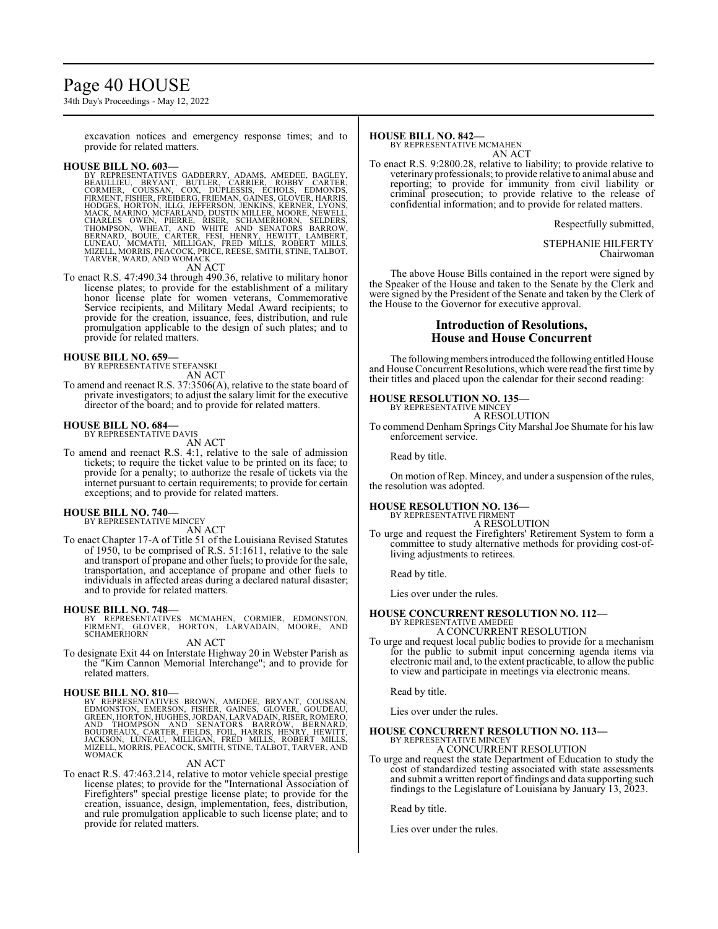# Page 40 HOUSE

34th Day's Proceedings - May 12, 2022

excavation notices and emergency response times; and to provide for related matters.

HOUSE BILL NO. 603-<br>BY REPRESENTATIVES GADBERRY, ADAMS, AMEDEE, BAGLEY, BEAULLIEU, BRYANT, BUTLER, CARRIER, ROBBY CARTER,<br>CORMIER, COUSSAN, COX, DUPLESSIS, ECHOLS, EDMONDS,<br>FIRMENT, FISHER, FREIBERG, FREMAN, GAINES, GLOVER

AN ACT

To enact R.S. 47:490.34 through 490.36, relative to military honor license plates; to provide for the establishment of a military honor license plate for women veterans, Commemorative Service recipients, and Military Medal Award recipients; to provide for the creation, issuance, fees, distribution, and rule promulgation applicable to the design of such plates; and to provide for related matters.

#### **HOUSE BILL NO. 659—**

BY REPRESENTATIVE STEFANSKI AN ACT

To amend and reenact R.S. 37:3506(A), relative to the state board of private investigators; to adjust the salary limit for the executive director of the board; and to provide for related matters.

#### **HOUSE BILL NO. 684—** BY REPRESENTATIVE DAVIS

AN ACT

To amend and reenact R.S. 4:1, relative to the sale of admission tickets; to require the ticket value to be printed on its face; to provide for a penalty; to authorize the resale of tickets via the internet pursuant to certain requirements; to provide for certain exceptions; and to provide for related matters.

#### **HOUSE BILL NO. 740—** BY REPRESENTATIVE MINCEY

AN ACT

To enact Chapter 17-A of Title 51 of the Louisiana Revised Statutes of 1950, to be comprised of R.S. 51:1611, relative to the sale and transport of propane and other fuels; to provide for the sale, transportation, and acceptance of propane and other fuels to individuals in affected areas during a declared natural disaster; and to provide for related matters.

**HOUSE BILL NO. 748—** BY REPRESENTATIVES MCMAHEN, CORMIER, EDMONSTON, FIRMENT, GLOVER, HORTON, LARVADAIN, MOORE, AND SCHAMERHORN

AN ACT

To designate Exit 44 on Interstate Highway 20 in Webster Parish as the "Kim Cannon Memorial Interchange"; and to provide for related matters.

**HOUSE BILL NO. 810—**<br>BY REPRESENTATIVES BROWN, AMEDEE, BRYANT, COUSSAN,<br>EDMONSTON, EMERSON, FISHER, GAINES, GLOVER, GOUDEAU,<br>GREEN, HORTON, HUGHES, JORDAN, LARVADAIN, RISER, ROMERO,<br>AND THOMPSON AND SENATORS BARROW, BERNA

#### AN ACT

To enact R.S. 47:463.214, relative to motor vehicle special prestige license plates; to provide for the "International Association of Firefighters" special prestige license plate; to provide for the creation, issuance, design, implementation, fees, distribution, and rule promulgation applicable to such license plate; and to provide for related matters.

#### **HOUSE BILL NO. 842—**

BY REPRESENTATIVE MCMAHEN AN ACT

To enact R.S. 9:2800.28, relative to liability; to provide relative to veterinary professionals; to provide relative to animal abuse and reporting; to provide for immunity from civil liability or criminal prosecution; to provide relative to the release of confidential information; and to provide for related matters.

Respectfully submitted,

STEPHANIE HILFERTY Chairwoman

The above House Bills contained in the report were signed by the Speaker of the House and taken to the Senate by the Clerk and were signed by the President of the Senate and taken by the Clerk of the House to the Governor for executive approval.

# **Introduction of Resolutions, House and House Concurrent**

The following members introduced the following entitled House and House Concurrent Resolutions, which were read the first time by their titles and placed upon the calendar for their second reading:

# **HOUSE RESOLUTION NO. 135—** BY REPRESENTATIVE MINCEY

A RESOLUTION

To commend Denham Springs City Marshal Joe Shumate for his law enforcement service.

Read by title.

On motion of Rep. Mincey, and under a suspension of the rules, the resolution was adopted.

## **HOUSE RESOLUTION NO. 136—**

BY REPRESENTATIVE FIRMENT A RESOLUTION

To urge and request the Firefighters' Retirement System to form a committee to study alternative methods for providing cost-ofliving adjustments to retirees.

Read by title.

Lies over under the rules.

#### **HOUSE CONCURRENT RESOLUTION NO. 112—** BY REPRESENTATIVE AMEDEE A CONCURRENT RESOLUTION

To urge and request local public bodies to provide for a mechanism for the public to submit input concerning agenda items via electronic mail and, to the extent practicable, to allow the public to view and participate in meetings via electronic means.

Read by title.

Lies over under the rules.

#### **HOUSE CONCURRENT RESOLUTION NO. 113—** BY REPRESENTATIVE MINCEY A CONCURRENT RESOLUTION

To urge and request the state Department of Education to study the cost of standardized testing associated with state assessments and submit a written report of findings and data supporting such findings to the Legislature of Louisiana by January 13, 2023.

Read by title.

Lies over under the rules.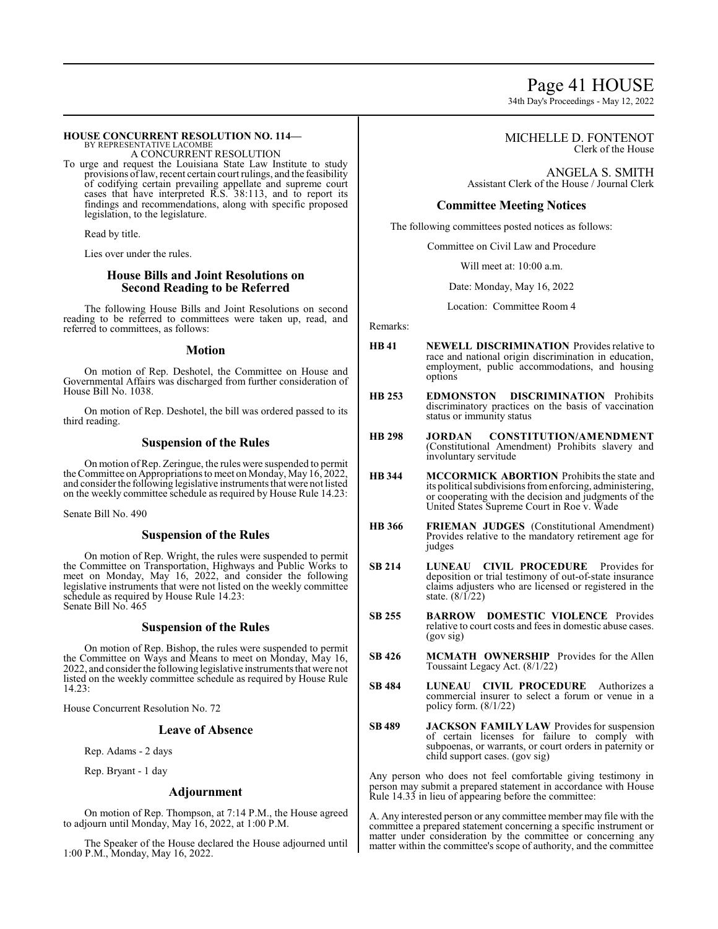# Page 41 HOUSE

34th Day's Proceedings - May 12, 2022

#### **HOUSE CONCURRENT RESOLUTION NO. 114—** BY REPRESENTATIVE LACOMBE

A CONCURRENT RESOLUTION

To urge and request the Louisiana State Law Institute to study provisions oflaw, recent certain court rulings, and the feasibility of codifying certain prevailing appellate and supreme court cases that have interpreted R.S. 38:113, and to report its findings and recommendations, along with specific proposed legislation, to the legislature.

Read by title.

Lies over under the rules.

# **House Bills and Joint Resolutions on Second Reading to be Referred**

The following House Bills and Joint Resolutions on second reading to be referred to committees were taken up, read, and referred to committees, as follows:

#### **Motion**

On motion of Rep. Deshotel, the Committee on House and Governmental Affairs was discharged from further consideration of House Bill No. 1038.

On motion of Rep. Deshotel, the bill was ordered passed to its third reading.

# **Suspension of the Rules**

On motion ofRep. Zeringue, the rules were suspended to permit the Committee on Appropriations to meet on Monday, May 16, 2022, and consider the following legislative instruments that were not listed on the weekly committee schedule as required by House Rule 14.23:

Senate Bill No. 490

# **Suspension of the Rules**

On motion of Rep. Wright, the rules were suspended to permit the Committee on Transportation, Highways and Public Works to meet on Monday, May 16, 2022, and consider the following legislative instruments that were not listed on the weekly committee schedule as required by House Rule 14.23: Senate Bill No. 465

# **Suspension of the Rules**

On motion of Rep. Bishop, the rules were suspended to permit the Committee on Ways and Means to meet on Monday, May 16, 2022, and consider the following legislative instruments that were not listed on the weekly committee schedule as required by House Rule 14.23:

House Concurrent Resolution No. 72

### **Leave of Absence**

Rep. Adams - 2 days

Rep. Bryant - 1 day

#### **Adjournment**

On motion of Rep. Thompson, at 7:14 P.M., the House agreed to adjourn until Monday, May 16, 2022, at 1:00 P.M.

The Speaker of the House declared the House adjourned until 1:00 P.M., Monday, May 16, 2022.

### MICHELLE D. FONTENOT Clerk of the House

ANGELA S. SMITH Assistant Clerk of the House / Journal Clerk

# **Committee Meeting Notices**

The following committees posted notices as follows:

Committee on Civil Law and Procedure

Will meet at: 10:00 a.m.

Date: Monday, May 16, 2022

Location: Committee Room 4

Remarks:

- **HB 41 NEWELL DISCRIMINATION** Provides relative to race and national origin discrimination in education, employment, public accommodations, and housing options
- **HB 253 EDMONSTON DISCRIMINATION** Prohibits discriminatory practices on the basis of vaccination status or immunity status
- **HB 298 JORDAN CONSTITUTION/AMENDMENT**  (Constitutional Amendment) Prohibits slavery and involuntary servitude
- **HB 344 MCCORMICK ABORTION** Prohibits the state and its political subdivisions from enforcing, administering, or cooperating with the decision and judgments of the United States Supreme Court in Roe v. Wade
- **HB 366 FRIEMAN JUDGES** (Constitutional Amendment) Provides relative to the mandatory retirement age for judges
- **SB 214 LUNEAU CIVIL PROCEDURE** Provides for deposition or trial testimony of out-of-state insurance claims adjusters who are licensed or registered in the state. (8/1/22)
- **SB 255 BARROW DOMESTIC VIOLENCE** Provides relative to court costs and fees in domestic abuse cases. (gov sig)
- **SB 426 MCMATH OWNERSHIP** Provides for the Allen Toussaint Legacy Act. (8/1/22)
- **SB 484 LUNEAU CIVIL PROCEDURE** Authorizes a commercial insurer to select a forum or venue in a policy form. (8/1/22)
- **SB 489 JACKSON FAMILY LAW** Provides for suspension of certain licenses for failure to comply with subpoenas, or warrants, or court orders in paternity or child support cases. (gov sig)

Any person who does not feel comfortable giving testimony in person may submit a prepared statement in accordance with House Rule 14.33 in lieu of appearing before the committee:

A. Any interested person or any committee member may file with the committee a prepared statement concerning a specific instrument or matter under consideration by the committee or concerning any matter within the committee's scope of authority, and the committee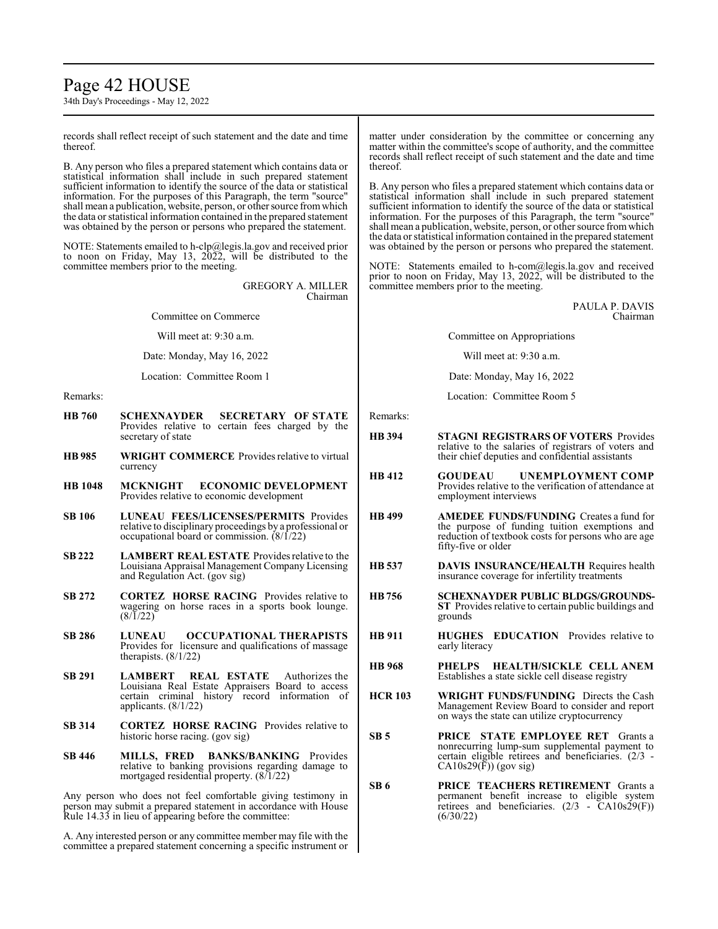# Page 42 HOUSE

34th Day's Proceedings - May 12, 2022

records shall reflect receipt of such statement and the date and time thereof.

B. Any person who files a prepared statement which contains data or statistical information shall include in such prepared statement sufficient information to identify the source of the data or statistical information. For the purposes of this Paragraph, the term "source" shall mean a publication, website, person, or other source from which the data or statistical information contained in the prepared statement was obtained by the person or persons who prepared the statement.

NOTE: Statements emailed to h-clp@legis.la.gov and received prior to noon on Friday, May 13, 2022, will be distributed to the committee members prior to the meeting.

> GREGORY A. MILLER Chairman

Committee on Commerce

Will meet at: 9:30 a.m.

Date: Monday, May 16, 2022

Location: Committee Room 1

Remarks:

- **HB 760 SCHEXNAYDER SECRETARY OF STATE**  Provides relative to certain fees charged by the secretary of state
- **HB 985 WRIGHT COMMERCE** Provides relative to virtual currency
- **HB 1048 MCKNIGHT ECONOMIC DEVELOPMENT** Provides relative to economic development
- **SB 106 LUNEAU FEES/LICENSES/PERMITS** Provides relative to disciplinary proceedings by a professional or occupational board or commission. (8/1/22)
- **SB 222 LAMBERT REAL ESTATE** Provides relative to the Louisiana Appraisal Management Company Licensing and Regulation Act. (gov sig)
- **SB 272 CORTEZ HORSE RACING** Provides relative to wagering on horse races in a sports book lounge.  $(8/\tilde{1}/22)$
- **SB 286 LUNEAU OCCUPATIONAL THERAPISTS**  Provides for licensure and qualifications of massage therapists. (8/1/22)
- **SB 291 LAMBERT REAL ESTATE** Authorizes the Louisiana Real Estate Appraisers Board to access certain criminal history record information of applicants. (8/1/22)
- **SB 314 CORTEZ HORSE RACING** Provides relative to historic horse racing. (gov sig)
- **SB 446 MILLS, FRED BANKS/BANKING** Provides relative to banking provisions regarding damage to mortgaged residential property. (8/1/22)

Any person who does not feel comfortable giving testimony in person may submit a prepared statement in accordance with House Rule 14.33 in lieu of appearing before the committee:

A. Any interested person or any committee member may file with the committee a prepared statement concerning a specific instrument or matter under consideration by the committee or concerning any matter within the committee's scope of authority, and the committee records shall reflect receipt of such statement and the date and time thereof.

B. Any person who files a prepared statement which contains data or statistical information shall include in such prepared statement sufficient information to identify the source of the data or statistical information. For the purposes of this Paragraph, the term "source" shall mean a publication, website, person, or other source fromwhich the data or statistical information contained in the prepared statement was obtained by the person or persons who prepared the statement.

NOTE: Statements emailed to h-com@legis.la.gov and received prior to noon on Friday, May 13, 2022, will be distributed to the committee members prior to the meeting.

> PAULA P. DAVIS Chairman

Committee on Appropriations

Will meet at: 9:30 a.m.

Date: Monday, May 16, 2022

Location: Committee Room 5

Remarks:

- **HB 394 STAGNI REGISTRARS OF VOTERS** Provides relative to the salaries of registrars of voters and their chief deputies and confidential assistants
- **HB 412 GOUDEAU UNEMPLOYMENT COMP**  Provides relative to the verification of attendance at employment interviews
- **HB 499 AMEDEE FUNDS/FUNDING** Creates a fund for the purpose of funding tuition exemptions and reduction of textbook costs for persons who are age fifty-five or older
- **HB 537 DAVIS INSURANCE/HEALTH** Requires health insurance coverage for infertility treatments
- **HB756 SCHEXNAYDER PUBLIC BLDGS/GROUNDS-ST** Provides relative to certain public buildings and grounds
- **HB 911 HUGHES EDUCATION** Provides relative to early literacy
- **HB 968 PHELPS HEALTH/SICKLE CELL ANEM** Establishes a state sickle cell disease registry
- **HCR 103 WRIGHT FUNDS/FUNDING** Directs the Cash Management Review Board to consider and report on ways the state can utilize cryptocurrency
- **SB 5 PRICE STATE EMPLOYEE RET** Grants a nonrecurring lump-sum supplemental payment to certain eligible retirees and beneficiaries. (2/3 -  $CA10s29(F)$  (gov sig)
- **SB 6 PRICE TEACHERS RETIREMENT** Grants a permanent benefit increase to eligible system retirees and beneficiaries. (2/3 - CA10s29(F)) (6/30/22)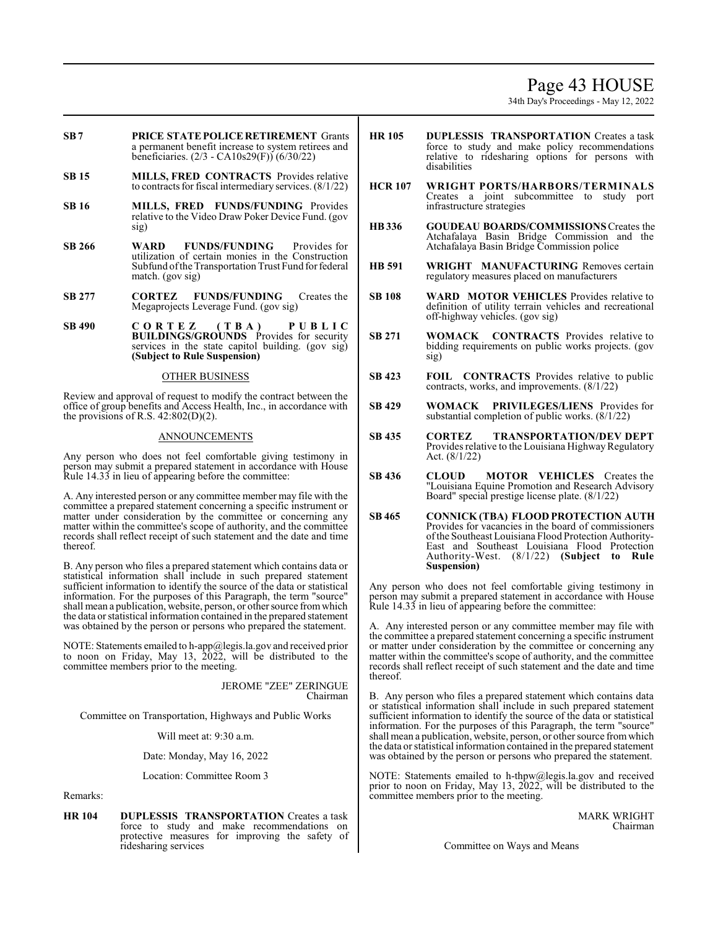# Page 43 HOUSE

34th Day's Proceedings - May 12, 2022

- **SB7 PRICE STATE POLICE RETIREMENT** Grants a permanent benefit increase to system retirees and beneficiaries. (2/3 - CA10s29(F)) (6/30/22)
- **SB 15 MILLS, FRED CONTRACTS** Provides relative to contracts for fiscal intermediary services. (8/1/22)
- **SB 16 MILLS, FRED FUNDS/FUNDING** Provides relative to the Video Draw Poker Device Fund. (gov sig)
- **SB 266 WARD FUNDS/FUNDING** Provides for utilization of certain monies in the Construction Subfund ofthe Transportation Trust Fund for federal match. (gov sig)
- **SB 277 CORTEZ FUNDS/FUNDING** Creates the Megaprojects Leverage Fund. (gov sig)
- **SB 490 C O R T E Z ( T B A ) P U B L I C BUILDINGS/GROUNDS** Provides for security services in the state capitol building. (gov sig) **(Subject to Rule Suspension)**

#### OTHER BUSINESS

Review and approval of request to modify the contract between the office of group benefits and Access Health, Inc., in accordance with the provisions of R.S.  $42:802(D)(2)$ .

# ANNOUNCEMENTS

Any person who does not feel comfortable giving testimony in person may submit a prepared statement in accordance with House Rule 14.33 in lieu of appearing before the committee:

A. Any interested person or any committee member may file with the committee a prepared statement concerning a specific instrument or matter under consideration by the committee or concerning any matter within the committee's scope of authority, and the committee records shall reflect receipt of such statement and the date and time thereof.

B. Any person who files a prepared statement which contains data or statistical information shall include in such prepared statement sufficient information to identify the source of the data or statistical information. For the purposes of this Paragraph, the term "source" shall mean a publication, website, person, or other source from which the data or statistical information contained in the prepared statement was obtained by the person or persons who prepared the statement.

NOTE: Statements emailed to h-app@legis.la.gov and received prior to noon on Friday, May 13, 2022, will be distributed to the committee members prior to the meeting.

> JEROME "ZEE" ZERINGUE Chairman

Committee on Transportation, Highways and Public Works

Will meet at: 9:30 a.m.

Date: Monday, May 16, 2022

Location: Committee Room 3

Remarks:

**HR 104 DUPLESSIS TRANSPORTATION** Creates a task force to study and make recommendations on protective measures for improving the safety of ridesharing services

- **HR 105 DUPLESSIS TRANSPORTATION** Creates a task force to study and make policy recommendations relative to ridesharing options for persons with disabilities
- **HCR 107 WRIGHT PORTS/HARBORS/TERMINALS** Creates a joint subcommittee to study port infrastructure strategies
- **HB336 GOUDEAU BOARDS/COMMISSIONS** Creates the Atchafalaya Basin Bridge Commission and the Atchafalaya Basin Bridge Commission police
- **HB 591 WRIGHT MANUFACTURING** Removes certain regulatory measures placed on manufacturers
- **SB 108 WARD MOTOR VEHICLES** Provides relative to definition of utility terrain vehicles and recreational off-highway vehicles. (gov sig)
- **SB 271 WOMACK CONTRACTS** Provides relative to bidding requirements on public works projects. (gov sig)
- **SB 423 FOIL CONTRACTS** Provides relative to public contracts, works, and improvements. (8/1/22)
- **SB 429 WOMACK PRIVILEGES/LIENS** Provides for substantial completion of public works. (8/1/22)
- **SB 435 CORTEZ TRANSPORTATION/DEV DEPT** Provides relative to the Louisiana Highway Regulatory Act. (8/1/22)
- **SB 436 CLOUD MOTOR VEHICLES** Creates the "Louisiana Equine Promotion and Research Advisory Board" special prestige license plate. (8/1/22)
- **SB 465 CONNICK (TBA) FLOOD PROTECTION AUTH** Provides for vacancies in the board of commissioners ofthe Southeast Louisiana Flood Protection Authority-East and Southeast Louisiana Flood Protection Authority-West. (8/1/22) **(Subject to Rule Suspension)**

Any person who does not feel comfortable giving testimony in person may submit a prepared statement in accordance with House Rule 14.33 in lieu of appearing before the committee:

A. Any interested person or any committee member may file with the committee a prepared statement concerning a specific instrument or matter under consideration by the committee or concerning any matter within the committee's scope of authority, and the committee records shall reflect receipt of such statement and the date and time thereof.

B. Any person who files a prepared statement which contains data or statistical information shall include in such prepared statement sufficient information to identify the source of the data or statistical information. For the purposes of this Paragraph, the term "source" shall mean a publication, website, person, or other source fromwhich the data or statistical information contained in the prepared statement was obtained by the person or persons who prepared the statement.

NOTE: Statements emailed to h-thpw@legis.la.gov and received prior to noon on Friday, May 13, 2022, will be distributed to the committee members prior to the meeting.

> MARK WRIGHT Chairman

Committee on Ways and Means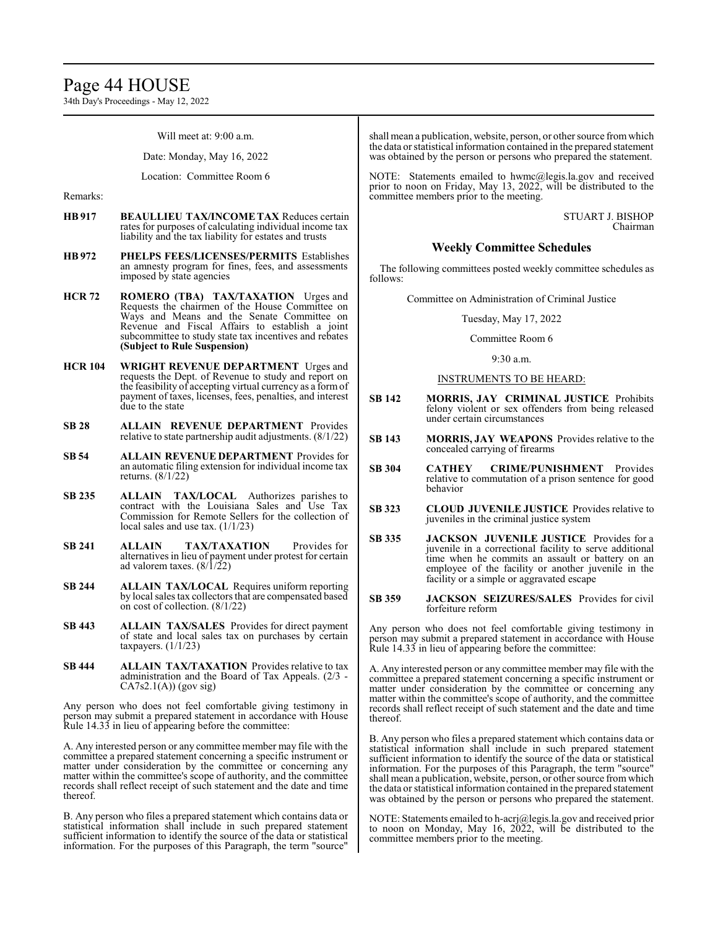# Page 44 HOUSE

34th Day's Proceedings - May 12, 2022

Will meet at: 9:00 a.m.

Date: Monday, May 16, 2022

Location: Committee Room 6

Remarks:

- **HB 917 BEAULLIEU TAX/INCOME TAX** Reduces certain rates for purposes of calculating individual income tax liability and the tax liability for estates and trusts
- **HB 972 PHELPS FEES/LICENSES/PERMITS** Establishes an amnesty program for fines, fees, and assessments imposed by state agencies
- **HCR 72 ROMERO (TBA) TAX/TAXATION** Urges and Requests the chairmen of the House Committee on Ways and Means and the Senate Committee on Revenue and Fiscal Affairs to establish a joint subcommittee to study state tax incentives and rebates **(Subject to Rule Suspension)**
- **HCR 104 WRIGHT REVENUE DEPARTMENT** Urges and requests the Dept. of Revenue to study and report on the feasibility of accepting virtual currency as a formof payment of taxes, licenses, fees, penalties, and interest due to the state
- **SB 28 ALLAIN REVENUE DEPARTMENT** Provides relative to state partnership audit adjustments. (8/1/22)
- **SB 54 ALLAIN REVENUE DEPARTMENT** Provides for an automatic filing extension for individual income tax returns. (8/1/22)
- **SB 235 ALLAIN TAX/LOCAL** Authorizes parishes to contract with the Louisiana Sales and Use Tax Commission for Remote Sellers for the collection of local sales and use tax. (1/1/23)
- **SB 241 ALLAIN TAX/TAXATION** Provides for alternatives in lieu of payment under protest for certain ad valorem taxes.  $\left(\frac{8}{1}{22}\right)$
- **SB 244 ALLAIN TAX/LOCAL** Requires uniform reporting by local sales tax collectors that are compensated based on cost of collection. (8/1/22)
- **SB 443 ALLAIN TAX/SALES** Provides for direct payment of state and local sales tax on purchases by certain taxpayers.  $(1/1/23)$
- **SB 444 ALLAIN TAX/TAXATION** Provides relative to tax administration and the Board of Tax Appeals. (2/3 -  $CA7s2.1(A)$  (gov sig)

Any person who does not feel comfortable giving testimony in person may submit a prepared statement in accordance with House Rule 14.33 in lieu of appearing before the committee:

A. Any interested person or any committee member may file with the committee a prepared statement concerning a specific instrument or matter under consideration by the committee or concerning any matter within the committee's scope of authority, and the committee records shall reflect receipt of such statement and the date and time thereof.

B. Any person who files a prepared statement which contains data or statistical information shall include in such prepared statement sufficient information to identify the source of the data or statistical information. For the purposes of this Paragraph, the term "source"

shall mean a publication, website, person, or other source fromwhich the data or statistical information contained in the prepared statement was obtained by the person or persons who prepared the statement.

NOTE: Statements emailed to hwmc@legis.la.gov and received prior to noon on Friday, May 13, 2022, will be distributed to the committee members prior to the meeting.

> STUART J. BISHOP Chairman

# **Weekly Committee Schedules**

The following committees posted weekly committee schedules as follows:

Committee on Administration of Criminal Justice

Tuesday, May 17, 2022

#### Committee Room 6

9:30 a.m.

### INSTRUMENTS TO BE HEARD:

- **SB 142 MORRIS, JAY CRIMINAL JUSTICE** Prohibits felony violent or sex offenders from being released under certain circumstances
- **SB 143 MORRIS, JAY WEAPONS** Provides relative to the concealed carrying of firearms
- **SB 304 CATHEY CRIME/PUNISHMENT** Provides relative to commutation of a prison sentence for good behavior
- **SB 323 CLOUD JUVENILE JUSTICE** Provides relative to juveniles in the criminal justice system
- **SB 335 JACKSON JUVENILE JUSTICE** Provides for a juvenile in a correctional facility to serve additional time when he commits an assault or battery on an employee of the facility or another juvenile in the facility or a simple or aggravated escape
- **SB 359 JACKSON SEIZURES/SALES** Provides for civil forfeiture reform

Any person who does not feel comfortable giving testimony in person may submit a prepared statement in accordance with House Rule 14.33 in lieu of appearing before the committee:

A. Any interested person or any committee member may file with the committee a prepared statement concerning a specific instrument or matter under consideration by the committee or concerning any matter within the committee's scope of authority, and the committee records shall reflect receipt of such statement and the date and time thereof.

B. Any person who files a prepared statement which contains data or statistical information shall include in such prepared statement sufficient information to identify the source of the data or statistical information. For the purposes of this Paragraph, the term "source" shall mean a publication, website, person, or other source fromwhich the data or statistical information contained in the prepared statement was obtained by the person or persons who prepared the statement.

NOTE: Statements emailed to h-acrj@legis.la.gov and received prior to noon on Monday, May 16, 2022, will be distributed to the committee members prior to the meeting.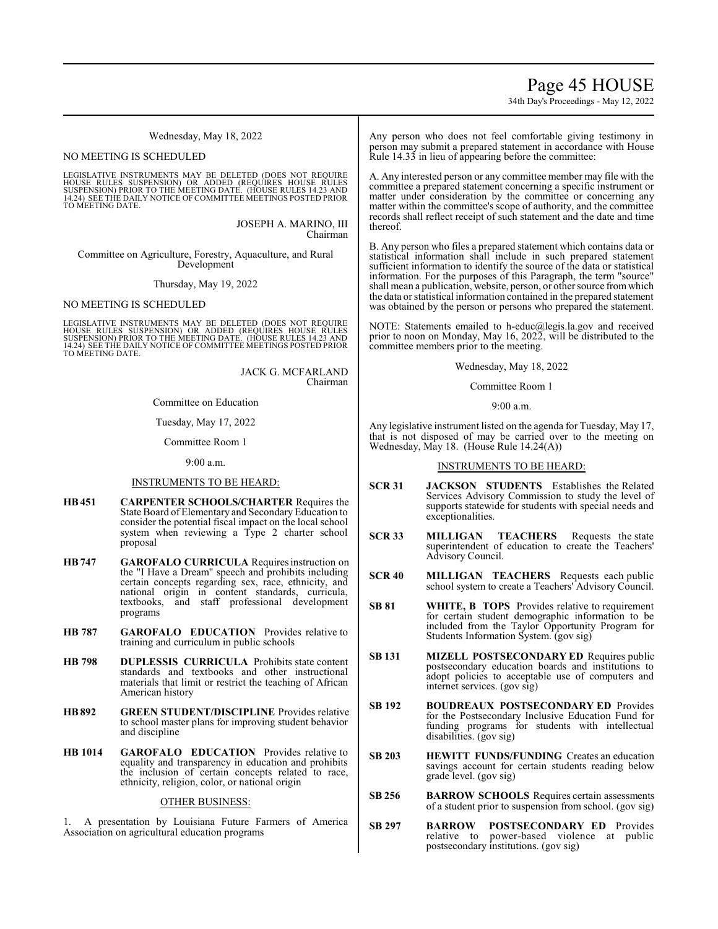# Page 45 HOUSE

34th Day's Proceedings - May 12, 2022

Wednesday, May 18, 2022

#### NO MEETING IS SCHEDULED

LEGISLATIVE INSTRUMENTS MAY BE DELETED (DOES NOT REQUIRE<br>HOUSE RULES SUSPENSION) OR ADDED (REQUIRES HOUSE RULES<br>SUSPENSION) PRIOR TO THE MEETING DATE. (HOUSE RULES 14.23 AND<br>14.24) SEE THE DAILY NOTICE OF COMMITTEE MEETING TO MEETING DATE.

> JOSEPH A. MARINO, III Chairman

Committee on Agriculture, Forestry, Aquaculture, and Rural Development

Thursday, May 19, 2022

### NO MEETING IS SCHEDULED

LEGISLATIVE INSTRUMENTS MAY BE DELETED (DOES NOT REQUIRE HOUSE RULES SUSPENSION) OR ADDED (REQUIRES HOUSE RULES<br>SUSPENSION)PRIOR TO THE MEETING DATE. (HOUSE RULES 14.23 AND<br>14.24) SEE THE DAILY NOTICE OF COMMITTEE MEETINGS POSTED PRIOR TO MEETING DATE.

> JACK G. MCFARLAND Chairman

Committee on Education

Tuesday, May 17, 2022

Committee Room 1

9:00 a.m.

#### INSTRUMENTS TO BE HEARD:

- **HB451 CARPENTER SCHOOLS/CHARTER** Requires the State Board of Elementary and Secondary Education to consider the potential fiscal impact on the local school system when reviewing a Type 2 charter school proposal
- **HB747 GAROFALO CURRICULA** Requires instruction on the "I Have a Dream" speech and prohibits including certain concepts regarding sex, race, ethnicity, and national origin in content standards, curricula, textbooks, and staff professional development programs
- **HB 787 GAROFALO EDUCATION** Provides relative to training and curriculum in public schools
- **HB 798 DUPLESSIS CURRICULA** Prohibits state content standards and textbooks and other instructional materials that limit or restrict the teaching of African American history
- **HB892 GREEN STUDENT/DISCIPLINE** Provides relative to school master plans for improving student behavior and discipline
- **HB 1014 GAROFALO EDUCATION** Provides relative to equality and transparency in education and prohibits the inclusion of certain concepts related to race, ethnicity, religion, color, or national origin

#### OTHER BUSINESS:

1. A presentation by Louisiana Future Farmers of America Association on agricultural education programs

Any person who does not feel comfortable giving testimony in person may submit a prepared statement in accordance with House Rule 14.33 in lieu of appearing before the committee:

A. Any interested person or any committee member may file with the committee a prepared statement concerning a specific instrument or matter under consideration by the committee or concerning any matter within the committee's scope of authority, and the committee records shall reflect receipt of such statement and the date and time thereof.

B. Any person who files a prepared statement which contains data or statistical information shall include in such prepared statement sufficient information to identify the source of the data or statistical information. For the purposes of this Paragraph, the term "source" shall mean a publication, website, person, or other source fromwhich the data or statistical information contained in the prepared statement was obtained by the person or persons who prepared the statement.

NOTE: Statements emailed to h-educ@legis.la.gov and received prior to noon on Monday, May 16, 2022, will be distributed to the committee members prior to the meeting.

Wednesday, May 18, 2022

Committee Room 1

9:00 a.m.

Any legislative instrument listed on the agenda for Tuesday, May 17, that is not disposed of may be carried over to the meeting on Wednesday, May 18. (House Rule 14.24(A))

#### INSTRUMENTS TO BE HEARD:

- **SCR 31 JACKSON STUDENTS** Establishes the Related Services Advisory Commission to study the level of supports statewide for students with special needs and exceptionalities.
- **SCR 33 MILLIGAN TEACHERS** Requests the state superintendent of education to create the Teachers' Advisory Council.
- **SCR 40 MILLIGAN TEACHERS** Requests each public school system to create a Teachers' Advisory Council.
- **SB 81 WHITE, B TOPS** Provides relative to requirement for certain student demographic information to be included from the Taylor Opportunity Program for Students Information System. (gov sig)
- **SB 131 MIZELL POSTSECONDARY ED** Requires public postsecondary education boards and institutions to adopt policies to acceptable use of computers and internet services. (gov sig)
- **SB 192 BOUDREAUX POSTSECONDARY ED** Provides for the Postsecondary Inclusive Education Fund for funding programs for students with intellectual disabilities. (gov sig)
- **SB 203 HEWITT FUNDS/FUNDING** Creates an education savings account for certain students reading below grade level. (gov sig)
- **SB 256 BARROW SCHOOLS** Requires certain assessments of a student prior to suspension from school. (gov sig)
- **SB 297 BARROW POSTSECONDARY ED** Provides relative to power-based violence at public postsecondary institutions. (gov sig)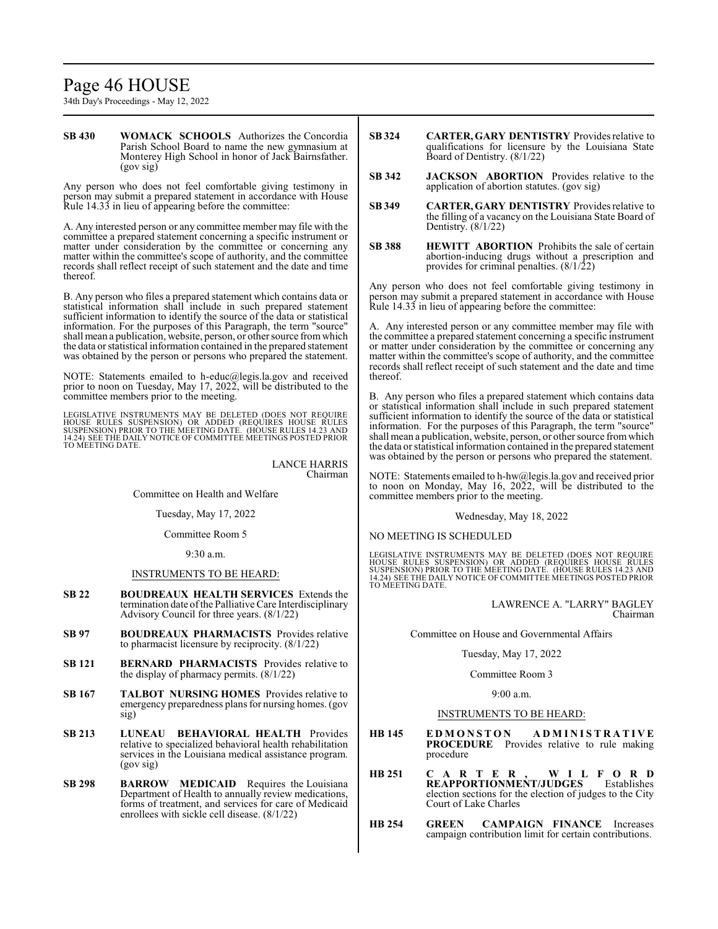# Page 46 HOUSE

34th Day's Proceedings - May 12, 2022

**SB 430 WOMACK SCHOOLS** Authorizes the Concordia Parish School Board to name the new gymnasium at Monterey High School in honor of Jack Bairnsfather. (gov sig)

Any person who does not feel comfortable giving testimony in person may submit a prepared statement in accordance with House Rule 14.33 in lieu of appearing before the committee:

A. Any interested person or any committee member may file with the committee a prepared statement concerning a specific instrument or matter under consideration by the committee or concerning any matter within the committee's scope of authority, and the committee records shall reflect receipt of such statement and the date and time thereof.

B. Any person who files a prepared statement which contains data or statistical information shall include in such prepared statement sufficient information to identify the source of the data or statistical information. For the purposes of this Paragraph, the term "source" shall mean a publication, website, person, or other source fromwhich the data or statistical information contained in the prepared statement was obtained by the person or persons who prepared the statement.

NOTE: Statements emailed to h-educ@legis.la.gov and received prior to noon on Tuesday, May 17, 2022, will be distributed to the committee members prior to the meeting.

LEGISLATIVE INSTRUMENTS MAY BE DELETED (DOES NOT REQUIRE HOUSE RULES SUSPENSION) OR ADDED (REQUIRES HOUSE RULES<br>SUSPENSION) PRIOR TO THE MEETING DATE. (HOUSE RULES 14.23 AND<br>14.24) SEE THE DAILY NOTICE OF COMMITTEE MEETINGS POSTED PRIOR<br>TO MEETING DATE.

> LANCE HARRIS Chairman

Committee on Health and Welfare

Tuesday, May 17, 2022

Committee Room 5

9:30 a.m.

# INSTRUMENTS TO BE HEARD:

- **SB 22 BOUDREAUX HEALTH SERVICES** Extends the termination date ofthe Palliative Care Interdisciplinary Advisory Council for three years. (8/1/22)
- **SB 97 BOUDREAUX PHARMACISTS** Provides relative to pharmacist licensure by reciprocity. (8/1/22)
- **SB 121 BERNARD PHARMACISTS** Provides relative to the display of pharmacy permits. (8/1/22)
- **SB 167 TALBOT NURSING HOMES** Provides relative to emergency preparedness plans for nursing homes. (gov sig)
- **SB 213 LUNEAU BEHAVIORAL HEALTH** Provides relative to specialized behavioral health rehabilitation services in the Louisiana medical assistance program. (gov sig)
- **SB 298 BARROW MEDICAID** Requires the Louisiana Department of Health to annually review medications, forms of treatment, and services for care of Medicaid enrollees with sickle cell disease. (8/1/22)
- **SB 324 CARTER, GARY DENTISTRY** Provides relative to qualifications for licensure by the Louisiana State Board of Dentistry. (8/1/22)
- **SB 342 JACKSON ABORTION** Provides relative to the application of abortion statutes. (gov sig)
- **SB 349 CARTER, GARY DENTISTRY** Provides relative to the filling of a vacancy on the Louisiana State Board of Dentistry. (8/1/22)
- **SB 388 HEWITT ABORTION** Prohibits the sale of certain abortion-inducing drugs without a prescription and provides for criminal penalties. (8/1/22)

Any person who does not feel comfortable giving testimony in person may submit a prepared statement in accordance with House Rule 14.33 in lieu of appearing before the committee:

A. Any interested person or any committee member may file with the committee a prepared statement concerning a specific instrument or matter under consideration by the committee or concerning any matter within the committee's scope of authority, and the committee records shall reflect receipt of such statement and the date and time thereof.

B. Any person who files a prepared statement which contains data or statistical information shall include in such prepared statement sufficient information to identify the source of the data or statistical information. For the purposes of this Paragraph, the term "source" shall mean a publication, website, person, or other source fromwhich the data or statistical information contained in the prepared statement was obtained by the person or persons who prepared the statement.

NOTE: Statements emailed to h-hw@legis.la.gov and received prior to noon on Monday, May 16, 2022, will be distributed to the committee members prior to the meeting.

Wednesday, May 18, 2022

NO MEETING IS SCHEDULED

LEGISLATIVE INSTRUMENTS MAY BE DELETED (DOES NOT REQUIRE<br>HOUSE RULES SUSPENSION) OR ADDED (REQUIRES HOUSE RULES<br>SUSPENSION) PRIOR TO THE MEETING DATE. (HOUSE RULES 14.23 AND<br>14.24) SEE THE DAILY NOTICE OF COMMITTEE MEETING TO MEETING DATE.

> LAWRENCE A. "LARRY" BAGLEY Chairman

Committee on House and Governmental Affairs

#### Tuesday, May 17, 2022

#### Committee Room 3

9:00 a.m.

# INSTRUMENTS TO BE HEARD:

- **HB 145 E D M O N S T O N A D M I N I S T R A T I V E PROCEDURE** Provides relative to rule making procedure
- **HB 251 C A R T E R , W I L F O R D REAPPORTIONMENT/JUDGES** Establishes election sections for the election of judges to the City Court of Lake Charles
- **HB 254 GREEN CAMPAIGN FINANCE** Increases campaign contribution limit for certain contributions.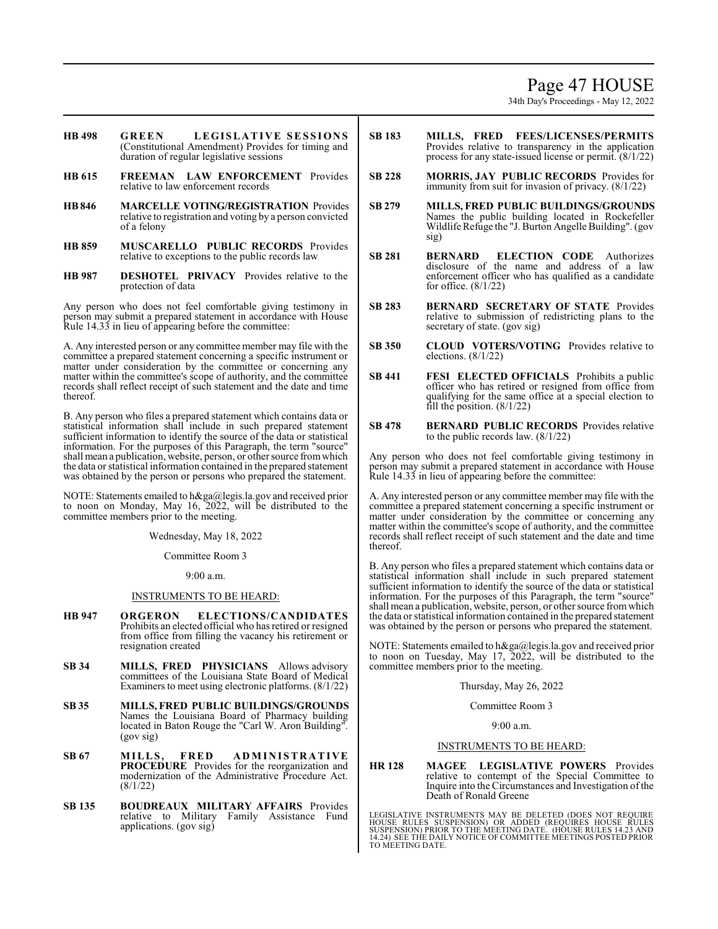# Page 47 HOUSE

34th Day's Proceedings - May 12, 2022

- **HB 498 GREEN LEGISLA TIVE SES S IONS** (Constitutional Amendment) Provides for timing and duration of regular legislative sessions
- **HB 615 FREEMAN LAW ENFORCEMENT** Provides relative to law enforcement records
- **HB846 MARCELLE VOTING/REGISTRATION** Provides relative to registration and voting by a person convicted of a felony
- **HB 859 MUSCARELLO PUBLIC RECORDS** Provides relative to exceptions to the public records law
- **HB 987 DESHOTEL PRIVACY** Provides relative to the protection of data

Any person who does not feel comfortable giving testimony in person may submit a prepared statement in accordance with House Rule 14.33 in lieu of appearing before the committee:

A. Any interested person or any committee member may file with the committee a prepared statement concerning a specific instrument or matter under consideration by the committee or concerning any matter within the committee's scope of authority, and the committee records shall reflect receipt of such statement and the date and time thereof.

B. Any person who files a prepared statement which contains data or statistical information shall include in such prepared statement sufficient information to identify the source of the data or statistical information. For the purposes of this Paragraph, the term "source" shall mean a publication, website, person, or other source fromwhich the data or statistical information contained in the prepared statement was obtained by the person or persons who prepared the statement.

NOTE: Statements emailed to h&ga@legis.la.gov and received prior to noon on Monday, May 16, 2022, will be distributed to the committee members prior to the meeting.

Wednesday, May 18, 2022

Committee Room 3

9:00 a.m.

# INSTRUMENTS TO BE HEARD:

- **HB 947 ORGERON ELECTIONS/CANDIDATES** Prohibits an elected official who has retired or resigned from office from filling the vacancy his retirement or resignation created
- **SB 34 MILLS, FRED PHYSICIANS** Allows advisory committees of the Louisiana State Board of Medical Examiners to meet using electronic platforms. (8/1/22)
- **SB 35 MILLS, FRED PUBLIC BUILDINGS/GROUNDS** Names the Louisiana Board of Pharmacy building located in Baton Rouge the "Carl W. Aron Building". (gov sig)
- **SB 67 MILLS, FRED ADMIN I ST R A TIVE PROCEDURE** Provides for the reorganization and modernization of the Administrative Procedure Act. (8/1/22)
- **SB 135 BOUDREAUX MILITARY AFFAIRS** Provides relative to Military Family Assistance Fund applications. (gov sig)
- **SB 183 MILLS, FRED FEES/LICENSES/PERMITS** Provides relative to transparency in the application process for any state-issued license or permit. (8/1/22)
- **SB 228 MORRIS, JAY PUBLIC RECORDS** Provides for immunity from suit for invasion of privacy. (8/1/22)
- **SB 279 MILLS, FRED PUBLIC BUILDINGS/GROUNDS** Names the public building located in Rockefeller Wildlife Refuge the "J. Burton Angelle Building". (gov sig)
- **SB 281 BERNARD ELECTION CODE** Authorizes disclosure of the name and address of a law enforcement officer who has qualified as a candidate for office. (8/1/22)
- **SB 283 BERNARD SECRETARY OF STATE** Provides relative to submission of redistricting plans to the secretary of state. (gov sig)
- **SB 350 CLOUD VOTERS/VOTING** Provides relative to elections. (8/1/22)
- **SB 441 FESI ELECTED OFFICIALS** Prohibits a public officer who has retired or resigned from office from qualifying for the same office at a special election to fill the position.  $(8/1/22)$
- **SB 478 BERNARD PUBLIC RECORDS** Provides relative to the public records law. (8/1/22)

Any person who does not feel comfortable giving testimony in person may submit a prepared statement in accordance with House Rule 14.33 in lieu of appearing before the committee:

A. Any interested person or any committee member may file with the committee a prepared statement concerning a specific instrument or matter under consideration by the committee or concerning any matter within the committee's scope of authority, and the committee records shall reflect receipt of such statement and the date and time thereof.

B. Any person who files a prepared statement which contains data or statistical information shall include in such prepared statement sufficient information to identify the source of the data or statistical information. For the purposes of this Paragraph, the term "source" shall mean a publication, website, person, or other source fromwhich the data or statistical information contained in the prepared statement was obtained by the person or persons who prepared the statement.

NOTE: Statements emailed to h&ga@legis.la.gov and received prior to noon on Tuesday, May 17, 2022, will be distributed to the committee members prior to the meeting.

Thursday, May 26, 2022

Committee Room 3

 $9.00 a m$ 

#### INSTRUMENTS TO BE HEARD:

**HR 128 MAGEE LEGISLATIVE POWERS** Provides relative to contempt of the Special Committee to Inquire into the Circumstances and Investigation of the Death of Ronald Greene

LEGISLATIVE INSTRUMENTS MAY BE DELETED (DOES NOT REQUIRE<br>HOUSE RULES SUSPENSION) OR ADDED (REQUIRES HOUSE RULES<br>SUSPENSION) PRIOR TO THE MEETING DATE. (HOUSE RULES 14.23 AND<br>14.24) SEE THE DAILY NOTICE OF COMMITTEE MEETING TO MEETING DATE.